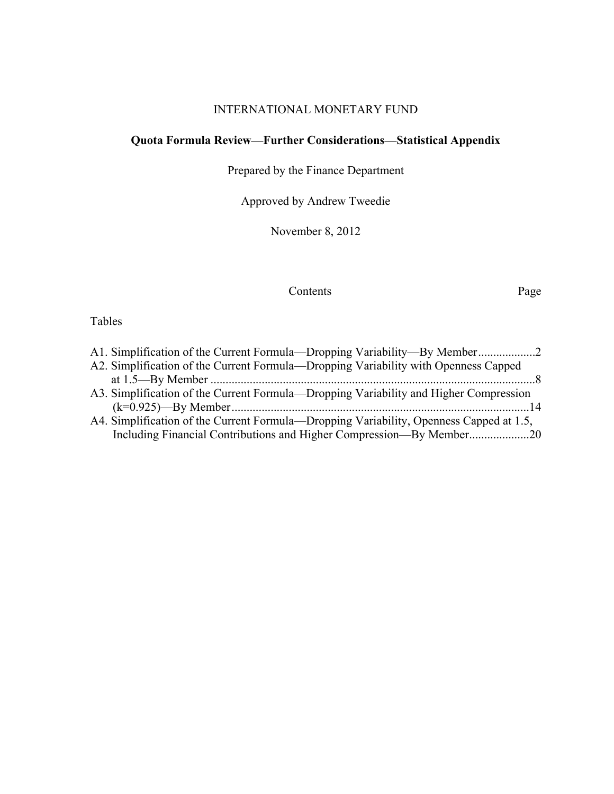# INTERNATIONAL MONETARY FUND

# **Quota Formula Review—Further Considerations—Statistical Appendix**

Prepared by the Finance Department

Approved by Andrew Tweedie

November 8, 2012

### Contents Page

# Tables

| A2. Simplification of the Current Formula—Dropping Variability with Openness Capped<br>A3. Simplification of the Current Formula—Dropping Variability and Higher Compression<br>A4. Simplification of the Current Formula—Dropping Variability, Openness Capped at 1.5,<br>Including Financial Contributions and Higher Compression—By Member20 | A1. Simplification of the Current Formula—Dropping Variability—By Member2 |  |
|-------------------------------------------------------------------------------------------------------------------------------------------------------------------------------------------------------------------------------------------------------------------------------------------------------------------------------------------------|---------------------------------------------------------------------------|--|
|                                                                                                                                                                                                                                                                                                                                                 |                                                                           |  |
|                                                                                                                                                                                                                                                                                                                                                 |                                                                           |  |
|                                                                                                                                                                                                                                                                                                                                                 |                                                                           |  |
|                                                                                                                                                                                                                                                                                                                                                 |                                                                           |  |
|                                                                                                                                                                                                                                                                                                                                                 |                                                                           |  |
|                                                                                                                                                                                                                                                                                                                                                 |                                                                           |  |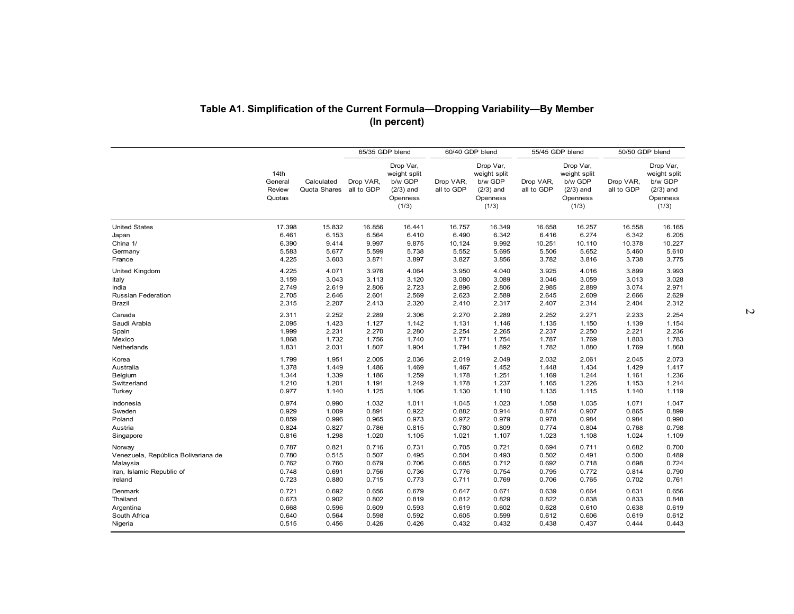|                                                  |                                           |                                           | 65/35 GDP blend                           | (In percent)                                                             | 60/40 GDP blend                           |                                                                          | 55/45 GDP blend                  |                                                                          |                                  | 50/50 GDP blend                                                          |
|--------------------------------------------------|-------------------------------------------|-------------------------------------------|-------------------------------------------|--------------------------------------------------------------------------|-------------------------------------------|--------------------------------------------------------------------------|----------------------------------|--------------------------------------------------------------------------|----------------------------------|--------------------------------------------------------------------------|
|                                                  | 14th<br>General<br>Review<br>Quotas       | Calculated<br>Quota Shares                | Drop VAR,<br>all to GDP                   | Drop Var,<br>weight split<br>b/w GDP<br>$(2/3)$ and<br>Openness<br>(1/3) | Drop VAR,<br>all to GDP                   | Drop Var,<br>weight split<br>b/w GDP<br>$(2/3)$ and<br>Openness<br>(1/3) | Drop VAR,<br>all to GDP          | Drop Var,<br>weight split<br>b/w GDP<br>$(2/3)$ and<br>Openness<br>(1/3) | Drop VAR,<br>all to GDP          | Drop Var,<br>weight split<br>b/w GDP<br>$(2/3)$ and<br>Openness<br>(1/3) |
| <b>United States</b>                             | 17.398                                    | 15.832                                    | 16.856                                    | 16.441                                                                   | 16.757                                    | 16.349                                                                   | 16.658                           | 16.257                                                                   | 16.558                           | 16.165                                                                   |
| Japan                                            | 6.461                                     | 6.153                                     | 6.564                                     | 6.410                                                                    | 6.490                                     | 6.342                                                                    | 6.416                            | 6.274                                                                    | 6.342                            | 6.205                                                                    |
| China 1/                                         | 6.390                                     | 9.414                                     | 9.997                                     | 9.875                                                                    | 10.124                                    | 9.992                                                                    | 10.251                           | 10.110                                                                   | 10.378                           | 10.227                                                                   |
| Germany                                          | 5.583                                     | 5.677                                     | 5.599                                     | 5.738                                                                    | 5.552                                     | 5.695                                                                    | 5.506                            | 5.652                                                                    | 5.460                            | 5.610                                                                    |
| France                                           | 4.225                                     | 3.603                                     | 3.871                                     | 3.897                                                                    | 3.827                                     | 3.856                                                                    | 3.782                            | 3.816                                                                    | 3.738                            | 3.775                                                                    |
| United Kingdom                                   | 4.225                                     | 4.071                                     | 3.976                                     | 4.064                                                                    | 3.950                                     | 4.040                                                                    | 3.925                            | 4.016                                                                    | 3.899                            | 3.993                                                                    |
| Italy                                            | 3.159                                     | 3.043                                     | 3.113                                     | 3.120                                                                    | 3.080                                     | 3.089                                                                    | 3.046                            | 3.059                                                                    | 3.013                            | 3.028                                                                    |
| India                                            | 2.749                                     | 2.619                                     | 2.806                                     | 2.723                                                                    | 2.896                                     | 2.806                                                                    | 2.985                            | 2.889                                                                    | 3.074                            | 2.971                                                                    |
| Russian Federation                               | 2.705                                     | 2.646                                     | 2.601                                     | 2.569                                                                    | 2.623                                     | 2.589                                                                    | 2.645                            | 2.609                                                                    | 2.666                            | 2.629                                                                    |
| Brazil                                           | 2.315                                     | 2.207                                     | 2.413                                     | 2.320                                                                    | 2.410                                     | 2.317                                                                    | 2.407                            | 2.314                                                                    | 2.404                            | 2.312                                                                    |
| Canada                                           | 2.311                                     | 2.252                                     | 2.289                                     | 2.306                                                                    | 2.270                                     | 2.289                                                                    | 2.252                            | 2.271                                                                    | 2.233                            | 2.254                                                                    |
| Saudi Arabia                                     | 2.095                                     | 1.423                                     | 1.127                                     | 1.142                                                                    | 1.131                                     | 1.146                                                                    | 1.135                            | 1.150                                                                    | 1.139                            | 1.154                                                                    |
| Spain                                            | 1.999                                     | 2.231                                     | 2.270                                     | 2.280                                                                    | 2.254                                     | 2.265                                                                    | 2.237                            | 2.250                                                                    | 2.221                            | 2.236                                                                    |
| Mexico                                           | 1.868                                     | 1.732                                     | 1.756                                     | 1.740                                                                    | 1.771                                     | 1.754                                                                    | 1.787                            | 1.769                                                                    | 1.803                            | 1.783                                                                    |
| Netherlands                                      | 1.831                                     | 2.031                                     | 1.807                                     | 1.904                                                                    | 1.794                                     | 1.892                                                                    | 1.782                            | 1.880                                                                    | 1.769                            | 1.868                                                                    |
| Korea                                            | 1.799                                     | 1.951                                     | 2.005                                     | 2.036                                                                    | 2.019                                     | 2.049                                                                    | 2.032                            | 2.061                                                                    | 2.045                            | 2.073                                                                    |
| Australia                                        | 1.378                                     | 1.449                                     | 1.486                                     | 1.469                                                                    | 1.467                                     | 1.452                                                                    | 1.448                            | 1.434                                                                    | 1.429                            | 1.417                                                                    |
| Belgium                                          | 1.344                                     | 1.339                                     | 1.186                                     | 1.259                                                                    | 1.178                                     | 1.251                                                                    | 1.169                            | 1.244                                                                    | 1.161                            | 1.236                                                                    |
| Switzerland                                      | 1.210                                     | 1.201                                     | 1.191                                     | 1.249                                                                    | 1.178                                     | 1.237                                                                    | 1.165                            | 1.226                                                                    | 1.153                            | 1.214                                                                    |
| Turkey                                           | 0.977                                     | 1.140                                     | 1.125                                     | 1.106                                                                    | 1.130                                     | 1.110                                                                    | 1.135                            | 1.115                                                                    | 1.140                            | 1.119                                                                    |
| Indonesia                                        | 0.974                                     | 0.990                                     | 1.032                                     | 1.011                                                                    | 1.045                                     | 1.023                                                                    | 1.058                            | 1.035                                                                    | 1.071                            | 1.047                                                                    |
| Sweden                                           | 0.929                                     | 1.009                                     | 0.891                                     | 0.922                                                                    | 0.882                                     | 0.914                                                                    | 0.874                            | 0.907                                                                    | 0.865                            | 0.899                                                                    |
| Poland                                           | 0.859                                     | 0.996                                     | 0.965                                     | 0.973                                                                    | 0.972                                     | 0.979                                                                    | 0.978                            | 0.984                                                                    | 0.984                            | 0.990                                                                    |
| Austria                                          | 0.824                                     | 0.827                                     | 0.786                                     | 0.815                                                                    | 0.780                                     | 0.809                                                                    | 0.774                            | 0.804                                                                    | 0.768                            | 0.798                                                                    |
| Singapore                                        | 0.816                                     | 1.298                                     | 1.020                                     | 1.105                                                                    | 1.021                                     | 1.107                                                                    | 1.023                            | 1.108                                                                    | 1.024                            | 1.109                                                                    |
| Norway                                           | 0.787                                     | 0.821                                     | 0.716                                     | 0.731                                                                    | 0.705                                     | 0.721                                                                    | 0.694                            | 0.711                                                                    | 0.682                            | 0.700                                                                    |
| Venezuela, República Bolivariana de              | 0.780                                     | 0.515                                     | 0.507                                     | 0.495                                                                    | 0.504                                     | 0.493                                                                    | 0.502                            | 0.491                                                                    | 0.500                            | 0.489                                                                    |
| Malaysia                                         | 0.762                                     | 0.760                                     | 0.679                                     | 0.706                                                                    | 0.685                                     | 0.712                                                                    | 0.692                            | 0.718                                                                    | 0.698                            | 0.724                                                                    |
| Iran, Islamic Republic of                        | 0.748                                     | 0.691                                     | 0.756                                     | 0.736                                                                    | 0.776                                     | 0.754                                                                    | 0.795                            | 0.772                                                                    | 0.814                            | 0.790                                                                    |
| Ireland                                          | 0.723                                     | 0.880                                     | 0.715                                     | 0.773                                                                    | 0.711                                     | 0.769                                                                    | 0.706                            | 0.765                                                                    | 0.702                            | 0.761                                                                    |
| Denmark<br>Thailand<br>Argentina<br>South Africa | 0.721<br>0.673<br>0.668<br>0.640<br>0.515 | 0.692<br>0.902<br>0.596<br>0.564<br>0.456 | 0.656<br>0.802<br>0.609<br>0.598<br>0.426 | 0.679<br>0.819<br>0.593<br>0.592<br>0.426                                | 0.647<br>0.812<br>0.619<br>0.605<br>0.432 | 0.671<br>0.829<br>0.602<br>0.599<br>0.432                                | 0.639<br>0.822<br>0.628<br>0.612 | 0.664<br>0.838<br>0.610<br>0.606                                         | 0.631<br>0.833<br>0.638<br>0.619 | 0.656<br>0.848<br>0.619<br>0.612                                         |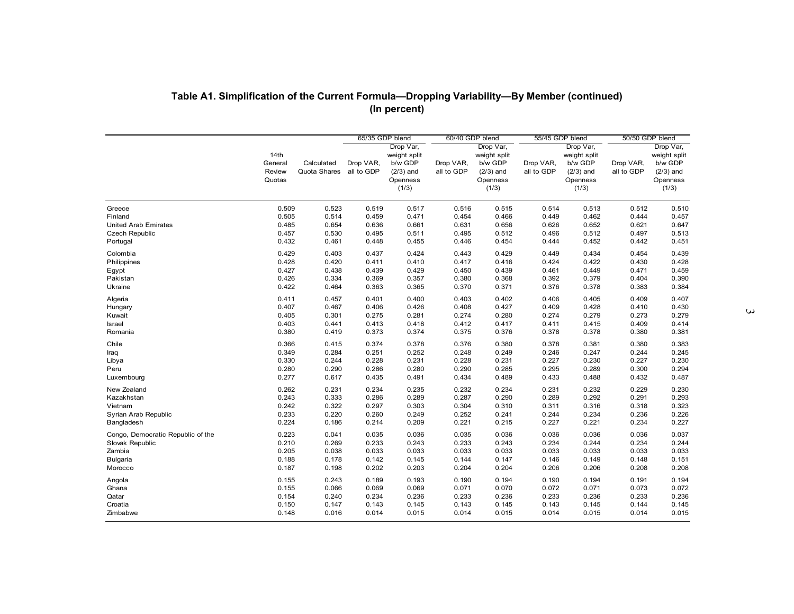| Table A1. Simplification of the Current Formula-Dropping Variability-By Member (continued) |                                     |                                       |                 | (In percent)                                                             |                         |                                                                          |                         |                                                                          |                         |                                                                          |
|--------------------------------------------------------------------------------------------|-------------------------------------|---------------------------------------|-----------------|--------------------------------------------------------------------------|-------------------------|--------------------------------------------------------------------------|-------------------------|--------------------------------------------------------------------------|-------------------------|--------------------------------------------------------------------------|
|                                                                                            |                                     |                                       |                 |                                                                          |                         |                                                                          |                         |                                                                          |                         |                                                                          |
|                                                                                            |                                     |                                       | 65/35 GDP blend |                                                                          | 60/40 GDP blend         |                                                                          | 55/45 GDP blend         |                                                                          |                         | 50/50 GDP blend                                                          |
|                                                                                            | 14th<br>General<br>Review<br>Quotas | Calculated<br>Quota Shares all to GDP | Drop VAR,       | Drop Var,<br>weight split<br>b/w GDP<br>$(2/3)$ and<br>Openness<br>(1/3) | Drop VAR,<br>all to GDP | Drop Var,<br>weight split<br>b/w GDP<br>$(2/3)$ and<br>Openness<br>(1/3) | Drop VAR,<br>all to GDP | Drop Var,<br>weight split<br>b/w GDP<br>$(2/3)$ and<br>Openness<br>(1/3) | Drop VAR,<br>all to GDP | Drop Var,<br>weight split<br>b/w GDP<br>$(2/3)$ and<br>Openness<br>(1/3) |
| Greece                                                                                     | 0.509                               | 0.523                                 | 0.519           | 0.517                                                                    | 0.516                   | 0.515                                                                    | 0.514                   | 0.513                                                                    | 0.512                   | 0.510                                                                    |
| Finland                                                                                    | 0.505                               | 0.514                                 | 0.459           | 0.471                                                                    | 0.454                   | 0.466                                                                    | 0.449                   | 0.462                                                                    | 0.444                   | 0.457                                                                    |
| <b>United Arab Emirates</b>                                                                | 0.485                               | 0.654                                 | 0.636           | 0.661                                                                    | 0.631                   | 0.656                                                                    | 0.626                   | 0.652                                                                    | 0.621                   | 0.647                                                                    |
| <b>Czech Republic</b>                                                                      | 0.457                               | 0.530                                 | 0.495           | 0.511                                                                    | 0.495                   | 0.512                                                                    | 0.496                   | 0.512                                                                    | 0.497                   | 0.513                                                                    |
| Portugal                                                                                   | 0.432                               | 0.461                                 | 0.448           | 0.455                                                                    | 0.446                   | 0.454                                                                    | 0.444                   | 0.452                                                                    | 0.442                   | 0.451                                                                    |
| Colombia                                                                                   | 0.429                               | 0.403                                 | 0.437           | 0.424                                                                    | 0.443                   | 0.429                                                                    | 0.449                   | 0.434                                                                    | 0.454                   | 0.439                                                                    |
| Philippines                                                                                | 0.428                               | 0.420                                 | 0.411           | 0.410                                                                    | 0.417                   | 0.416                                                                    | 0.424                   | 0.422                                                                    | 0.430                   | 0.428                                                                    |
| Egypt                                                                                      | 0.427                               | 0.438                                 | 0.439           | 0.429                                                                    | 0.450                   | 0.439                                                                    | 0.461                   | 0.449                                                                    | 0.471                   | 0.459                                                                    |
| Pakistan                                                                                   | 0.426                               | 0.334                                 | 0.369           | 0.357                                                                    | 0.380                   | 0.368                                                                    | 0.392                   | 0.379                                                                    | 0.404                   | 0.390                                                                    |
| Ukraine                                                                                    | 0.422                               | 0.464                                 | 0.363           | 0.365                                                                    | 0.370                   | 0.371                                                                    | 0.376                   | 0.378                                                                    | 0.383                   | 0.384                                                                    |
| Algeria                                                                                    | 0.411                               | 0.457                                 | 0.401           | 0.400                                                                    | 0.403                   | 0.402                                                                    | 0.406                   | 0.405                                                                    | 0.409                   | 0.407                                                                    |
| Hungary                                                                                    | 0.407                               | 0.467                                 | 0.406           | 0.426                                                                    | 0.408                   | 0.427                                                                    | 0.409                   | 0.428                                                                    | 0.410                   | 0.430                                                                    |
| Kuwait                                                                                     | 0.405                               | 0.301                                 | 0.275           | 0.281                                                                    | 0.274                   | 0.280                                                                    | 0.274                   | 0.279                                                                    | 0.273                   | 0.279                                                                    |
| Israel                                                                                     | 0.403                               | 0.441                                 | 0.413           | 0.418                                                                    | 0.412                   | 0.417                                                                    | 0.411                   | 0.415                                                                    | 0.409                   | 0.414                                                                    |
| Romania                                                                                    | 0.380                               | 0.419                                 | 0.373           | 0.374                                                                    | 0.375                   | 0.376                                                                    | 0.378                   | 0.378                                                                    | 0.380                   | 0.381                                                                    |
| Chile                                                                                      | 0.366                               | 0.415                                 | 0.374           | 0.378                                                                    | 0.376                   | 0.380                                                                    | 0.378                   | 0.381                                                                    | 0.380                   | 0.383                                                                    |
| Iraq                                                                                       | 0.349                               | 0.284                                 | 0.251           | 0.252                                                                    | 0.248                   | 0.249                                                                    | 0.246                   | 0.247                                                                    | 0.244                   | 0.245                                                                    |
| Libya                                                                                      | 0.330                               | 0.244                                 | 0.228           | 0.231                                                                    | 0.228                   | 0.231                                                                    | 0.227                   | 0.230                                                                    | 0.227                   | 0.230                                                                    |
| Peru                                                                                       | 0.280                               | 0.290                                 | 0.286           | 0.280                                                                    | 0.290                   | 0.285                                                                    | 0.295                   | 0.289                                                                    | 0.300                   | 0.294                                                                    |
| Luxembourg                                                                                 | 0.277                               | 0.617                                 | 0.435           | 0.491                                                                    | 0.434                   | 0.489                                                                    | 0.433                   | 0.488                                                                    | 0.432                   | 0.487                                                                    |
|                                                                                            |                                     |                                       |                 |                                                                          |                         |                                                                          |                         |                                                                          |                         |                                                                          |
| New Zealand                                                                                | 0.262                               | 0.231                                 | 0.234           | 0.235                                                                    | 0.232                   | 0.234                                                                    | 0.231                   | 0.232                                                                    | 0.229                   | 0.230                                                                    |
| Kazakhstan                                                                                 | 0.243                               | 0.333                                 | 0.286           | 0.289                                                                    | 0.287                   | 0.290                                                                    | 0.289                   | 0.292                                                                    | 0.291                   | 0.293                                                                    |
| Vietnam                                                                                    | 0.242                               | 0.322                                 | 0.297           | 0.303                                                                    | 0.304                   | 0.310                                                                    | 0.311                   | 0.316                                                                    | 0.318                   | 0.323                                                                    |
| Syrian Arab Republic                                                                       | 0.233                               | 0.220                                 | 0.260           | 0.249                                                                    | 0.252                   | 0.241                                                                    | 0.244                   | 0.234                                                                    | 0.236                   | 0.226                                                                    |
| Bangladesh                                                                                 | 0.224                               | 0.186                                 | 0.214           | 0.209                                                                    | 0.221                   | 0.215                                                                    | 0.227                   | 0.221                                                                    | 0.234                   | 0.227                                                                    |
| Congo, Democratic Republic of the                                                          | 0.223                               | 0.041                                 | 0.035           | 0.036                                                                    | 0.035                   | 0.036                                                                    | 0.036                   | 0.036                                                                    | 0.036                   | 0.037                                                                    |
| Slovak Republic                                                                            | 0.210                               | 0.269                                 | 0.233           | 0.243                                                                    | 0.233                   | 0.243                                                                    | 0.234                   | 0.244                                                                    | 0.234                   | 0.244                                                                    |
| Zambia                                                                                     | 0.205                               | 0.038                                 | 0.033           | 0.033                                                                    | 0.033                   | 0.033                                                                    | 0.033                   | 0.033                                                                    | 0.033                   | 0.033                                                                    |
| <b>Bulgaria</b>                                                                            | 0.188                               | 0.178                                 | 0.142           | 0.145                                                                    | 0.144                   | 0.147                                                                    | 0.146                   | 0.149                                                                    | 0.148                   | 0.151                                                                    |
| Morocco                                                                                    | 0.187                               | 0.198                                 | 0.202           | 0.203                                                                    | 0.204                   | 0.204                                                                    | 0.206                   | 0.206                                                                    | 0.208                   | 0.208                                                                    |
| Angola                                                                                     | 0.155                               | 0.243                                 | 0.189           | 0.193                                                                    | 0.190                   | 0.194                                                                    | 0.190                   | 0.194                                                                    | 0.191                   | 0.194                                                                    |
| Ghana                                                                                      | 0.155                               | 0.066                                 | 0.069           | 0.069                                                                    | 0.071                   | 0.070                                                                    | 0.072                   | 0.071                                                                    | 0.073                   | 0.072                                                                    |
| Qatar                                                                                      | 0.154                               | 0.240                                 | 0.234           | 0.236                                                                    | 0.233                   | 0.236                                                                    | 0.233                   | 0.236                                                                    | 0.233                   | 0.236                                                                    |
| Croatia                                                                                    | 0.150                               | 0.147                                 | 0.143           | 0.145                                                                    | 0.143                   | 0.145                                                                    | 0.143                   | 0.145                                                                    | 0.144                   | 0.145                                                                    |
| Zimbabwe                                                                                   | 0.148                               | 0.016                                 | 0.014           | 0.015                                                                    | 0.014                   | 0.015                                                                    | 0.014                   | 0.015                                                                    | 0.014                   | 0.015                                                                    |
|                                                                                            |                                     |                                       |                 |                                                                          |                         |                                                                          |                         |                                                                          |                         |                                                                          |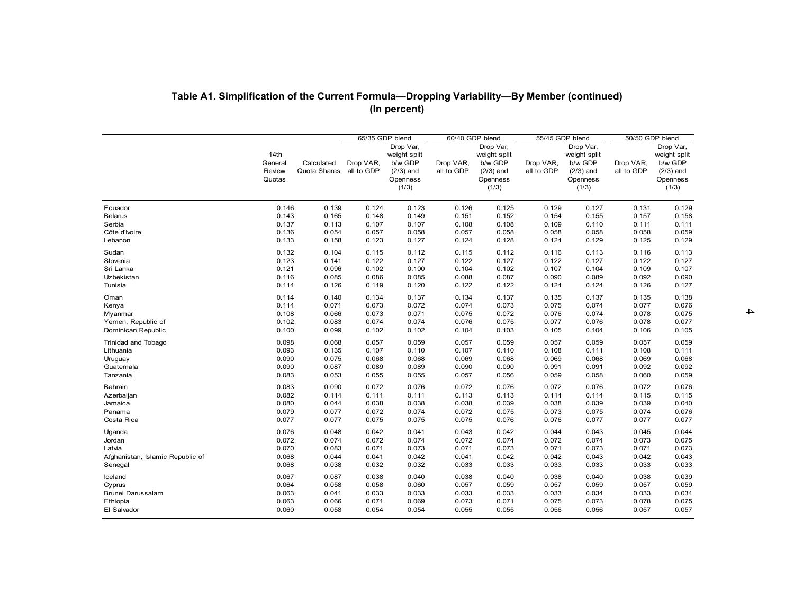|                                  | Table A1. Simplification of the Current Formula-Dropping Variability-By Member (continued) |                            |                         |                                                                          |                         |                                                                          |                         |                                                                          |                         |                                                                          |
|----------------------------------|--------------------------------------------------------------------------------------------|----------------------------|-------------------------|--------------------------------------------------------------------------|-------------------------|--------------------------------------------------------------------------|-------------------------|--------------------------------------------------------------------------|-------------------------|--------------------------------------------------------------------------|
|                                  |                                                                                            |                            | 65/35 GDP blend         | (In percent)                                                             | 60/40 GDP blend         |                                                                          | 55/45 GDP blend         |                                                                          |                         | 50/50 GDP blend                                                          |
|                                  | 14th<br>General<br>Review<br>Quotas                                                        | Calculated<br>Quota Shares | Drop VAR,<br>all to GDP | Drop Var,<br>weight split<br>b/w GDP<br>$(2/3)$ and<br>Openness<br>(1/3) | Drop VAR,<br>all to GDP | Drop Var,<br>weight split<br>b/w GDP<br>$(2/3)$ and<br>Openness<br>(1/3) | Drop VAR,<br>all to GDP | Drop Var,<br>weight split<br>b/w GDP<br>$(2/3)$ and<br>Openness<br>(1/3) | Drop VAR,<br>all to GDP | Drop Var,<br>weight split<br>b/w GDP<br>$(2/3)$ and<br>Openness<br>(1/3) |
| Ecuador                          | 0.146                                                                                      | 0.139                      | 0.124                   | 0.123                                                                    | 0.126                   | 0.125                                                                    | 0.129                   | 0.127                                                                    | 0.131                   | 0.129                                                                    |
| <b>Belarus</b>                   | 0.143                                                                                      | 0.165                      | 0.148                   | 0.149                                                                    | 0.151                   | 0.152                                                                    | 0.154                   | 0.155                                                                    | 0.157                   | 0.158                                                                    |
| Serbia                           | 0.137                                                                                      | 0.113                      | 0.107                   | 0.107                                                                    | 0.108                   | 0.108                                                                    | 0.109                   | 0.110                                                                    | 0.111                   | 0.111                                                                    |
| Côte d'Ivoire                    | 0.136                                                                                      | 0.054                      | 0.057                   | 0.058                                                                    | 0.057                   | 0.058                                                                    | 0.058                   | 0.058                                                                    | 0.058                   | 0.059                                                                    |
| Lebanon                          | 0.133                                                                                      | 0.158                      | 0.123                   | 0.127                                                                    | 0.124                   | 0.128                                                                    | 0.124                   | 0.129                                                                    | 0.125                   | 0.129                                                                    |
| Sudan                            | 0.132                                                                                      | 0.104                      | 0.115                   | 0.112                                                                    | 0.115                   | 0.112                                                                    | 0.116                   | 0.113                                                                    | 0.116                   | 0.113                                                                    |
| Slovenia                         | 0.123                                                                                      | 0.141                      | 0.122                   | 0.127                                                                    | 0.122                   | 0.127                                                                    | 0.122                   | 0.127                                                                    | 0.122                   | 0.127                                                                    |
| Sri Lanka                        | 0.121                                                                                      | 0.096                      | 0.102                   | 0.100                                                                    | 0.104                   | 0.102                                                                    | 0.107                   | 0.104                                                                    | 0.109                   | 0.107                                                                    |
| Uzbekistan                       | 0.116                                                                                      | 0.085                      | 0.086                   | 0.085                                                                    | 0.088                   | 0.087                                                                    | 0.090                   | 0.089                                                                    | 0.092                   | 0.090                                                                    |
| Tunisia                          | 0.114                                                                                      | 0.126                      | 0.119                   | 0.120                                                                    | 0.122                   | 0.122                                                                    | 0.124                   | 0.124                                                                    | 0.126                   | 0.127                                                                    |
| Oman                             | 0.114                                                                                      | 0.140                      | 0.134                   | 0.137                                                                    | 0.134                   | 0.137                                                                    | 0.135                   | 0.137                                                                    | 0.135                   | 0.138                                                                    |
| Kenya                            | 0.114                                                                                      | 0.071                      | 0.073                   | 0.072                                                                    | 0.074                   | 0.073                                                                    | 0.075                   | 0.074                                                                    | 0.077                   | 0.076                                                                    |
| Myanmar                          | 0.108                                                                                      | 0.066                      | 0.073                   | 0.071                                                                    | 0.075                   | 0.072                                                                    | 0.076                   | 0.074                                                                    | 0.078                   | 0.075                                                                    |
| Yemen, Republic of               | 0.102                                                                                      | 0.083                      | 0.074                   | 0.074                                                                    | 0.076                   | 0.075                                                                    | 0.077                   | 0.076                                                                    | 0.078                   | 0.077                                                                    |
| Dominican Republic               | 0.100                                                                                      | 0.099                      | 0.102                   | 0.102                                                                    | 0.104                   | 0.103                                                                    | 0.105                   | 0.104                                                                    | 0.106                   | 0.105                                                                    |
| Trinidad and Tobago              | 0.098                                                                                      | 0.068                      | 0.057                   | 0.059                                                                    | 0.057                   | 0.059                                                                    | 0.057                   | 0.059                                                                    | 0.057                   | 0.059                                                                    |
| Lithuania                        | 0.093                                                                                      | 0.135                      | 0.107                   | 0.110                                                                    | 0.107                   | 0.110                                                                    | 0.108                   | 0.111                                                                    | 0.108                   | 0.111                                                                    |
| Uruguay                          | 0.090                                                                                      | 0.075                      | 0.068                   | 0.068                                                                    | 0.069                   | 0.068                                                                    | 0.069                   | 0.068                                                                    | 0.069                   | 0.068                                                                    |
| Guatemala                        | 0.090                                                                                      | 0.087                      | 0.089                   | 0.089                                                                    | 0.090                   | 0.090                                                                    | 0.091                   | 0.091                                                                    | 0.092                   | 0.092                                                                    |
| Tanzania                         | 0.083                                                                                      | 0.053                      | 0.055                   | 0.055                                                                    | 0.057                   | 0.056                                                                    | 0.059                   | 0.058                                                                    | 0.060                   | 0.059                                                                    |
| Bahrain                          | 0.083                                                                                      | 0.090                      | 0.072                   | 0.076                                                                    | 0.072                   | 0.076                                                                    | 0.072                   | 0.076                                                                    | 0.072                   | 0.076                                                                    |
| Azerbaijan                       | 0.082                                                                                      | 0.114                      | 0.111                   | 0.111                                                                    | 0.113                   | 0.113                                                                    | 0.114                   | 0.114                                                                    | 0.115                   | 0.115                                                                    |
| Jamaica                          | 0.080                                                                                      | 0.044                      | 0.038                   | 0.038                                                                    | 0.038                   | 0.039                                                                    | 0.038                   | 0.039                                                                    | 0.039                   | 0.040                                                                    |
| Panama                           | 0.079                                                                                      | 0.077                      | 0.072                   | 0.074                                                                    | 0.072                   | 0.075                                                                    | 0.073                   | 0.075                                                                    | 0.074                   | 0.076                                                                    |
| Costa Rica                       | 0.077                                                                                      | 0.077                      | 0.075                   | 0.075                                                                    | 0.075                   | 0.076                                                                    | 0.076                   | 0.077                                                                    | 0.077                   | 0.077                                                                    |
| Uganda                           | 0.076                                                                                      | 0.048                      | 0.042                   | 0.041                                                                    | 0.043                   | 0.042                                                                    | 0.044                   | 0.043                                                                    | 0.045                   | 0.044                                                                    |
| Jordan                           | 0.072                                                                                      | 0.074                      | 0.072                   | 0.074                                                                    | 0.072                   | 0.074                                                                    | 0.072                   | 0.074                                                                    | 0.073                   | 0.075                                                                    |
| Latvia                           | 0.070                                                                                      | 0.083                      | 0.071                   | 0.073                                                                    | 0.071                   | 0.073                                                                    | 0.071                   | 0.073                                                                    | 0.071                   | 0.073                                                                    |
| Afghanistan, Islamic Republic of | 0.068                                                                                      | 0.044                      | 0.041                   | 0.042                                                                    | 0.041                   | 0.042                                                                    | 0.042                   | 0.043                                                                    | 0.042                   | 0.043                                                                    |
| Senegal                          | 0.068                                                                                      | 0.038                      | 0.032                   | 0.032                                                                    | 0.033                   | 0.033                                                                    | 0.033                   | 0.033                                                                    | 0.033                   | 0.033                                                                    |
| Iceland                          | 0.067                                                                                      | 0.087                      | 0.038                   | 0.040                                                                    | 0.038                   | 0.040                                                                    | 0.038                   | 0.040                                                                    | 0.038                   | 0.039                                                                    |
| Cyprus                           | 0.064                                                                                      | 0.058                      | 0.058                   | 0.060                                                                    | 0.057                   | 0.059                                                                    | 0.057                   | 0.059                                                                    | 0.057                   | 0.059                                                                    |
| Brunei Darussalam                | 0.063                                                                                      | 0.041                      | 0.033                   | 0.033                                                                    | 0.033                   | 0.033                                                                    | 0.033                   | 0.034                                                                    | 0.033                   | 0.034                                                                    |
| Ethiopia                         | 0.063                                                                                      | 0.066                      | 0.071                   | 0.069                                                                    | 0.073                   | 0.071                                                                    | 0.075                   | 0.073                                                                    | 0.078                   | 0.075                                                                    |
| El Salvador                      | 0.060                                                                                      | 0.058                      | 0.054                   | 0.054                                                                    | 0.055                   | 0.055                                                                    | 0.056                   | 0.056                                                                    | 0.057                   | 0.057                                                                    |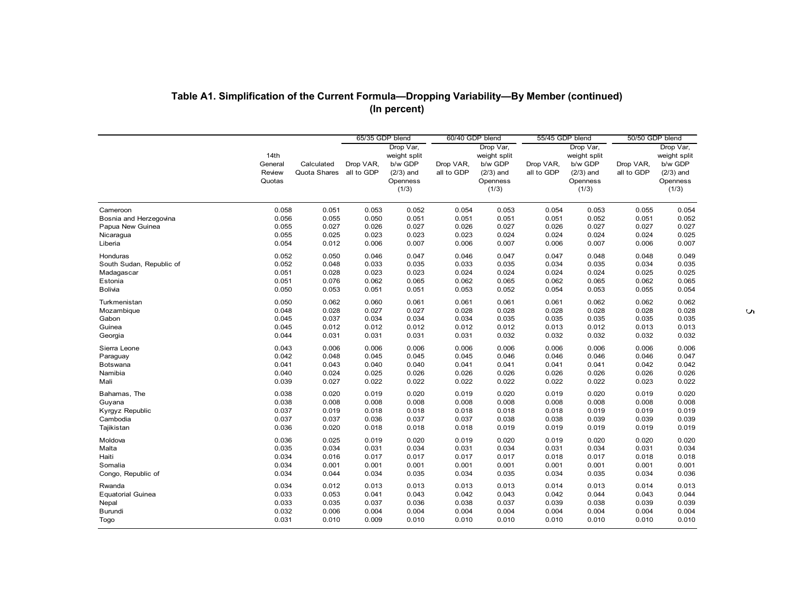|                          | Table A1. Simplification of the Current Formula-Dropping Variability-By Member (continued) |                            |                         | (In percent)                                                             |                         |                                                                          |                         |                                                                          |                         |                                                                          |   |
|--------------------------|--------------------------------------------------------------------------------------------|----------------------------|-------------------------|--------------------------------------------------------------------------|-------------------------|--------------------------------------------------------------------------|-------------------------|--------------------------------------------------------------------------|-------------------------|--------------------------------------------------------------------------|---|
|                          |                                                                                            |                            | 65/35 GDP blend         |                                                                          | 60/40 GDP blend         |                                                                          | 55/45 GDP blend         |                                                                          | 50/50 GDP blend         |                                                                          |   |
|                          | 14th<br>General<br>Review<br>Quotas                                                        | Calculated<br>Quota Shares | Drop VAR,<br>all to GDP | Drop Var,<br>weight split<br>b/w GDP<br>$(2/3)$ and<br>Openness<br>(1/3) | Drop VAR,<br>all to GDP | Drop Var,<br>weight split<br>b/w GDP<br>$(2/3)$ and<br>Openness<br>(1/3) | Drop VAR,<br>all to GDP | Drop Var,<br>weight split<br>b/w GDP<br>$(2/3)$ and<br>Openness<br>(1/3) | Drop VAR,<br>all to GDP | Drop Var,<br>weight split<br>b/w GDP<br>$(2/3)$ and<br>Openness<br>(1/3) |   |
| Cameroon                 | 0.058                                                                                      | 0.051                      | 0.053                   | 0.052                                                                    | 0.054                   | 0.053                                                                    | 0.054                   | 0.053                                                                    | 0.055                   | 0.054                                                                    |   |
| Bosnia and Herzegovina   | 0.056                                                                                      | 0.055                      | 0.050                   | 0.051                                                                    | 0.051                   | 0.051                                                                    | 0.051                   | 0.052                                                                    | 0.051                   | 0.052                                                                    |   |
| Papua New Guinea         | 0.055                                                                                      | 0.027                      | 0.026                   | 0.027                                                                    | 0.026                   | 0.027                                                                    | 0.026                   | 0.027                                                                    | 0.027                   | 0.027                                                                    |   |
| Nicaragua                | 0.055                                                                                      | 0.025                      | 0.023                   | 0.023                                                                    | 0.023                   | 0.024                                                                    | 0.024                   | 0.024                                                                    | 0.024                   | 0.025                                                                    |   |
| Liberia                  | 0.054                                                                                      | 0.012                      | 0.006                   | 0.007                                                                    | 0.006                   | 0.007                                                                    | 0.006                   | 0.007                                                                    | 0.006                   | 0.007                                                                    |   |
| Honduras                 | 0.052                                                                                      | 0.050                      | 0.046                   | 0.047                                                                    | 0.046                   | 0.047                                                                    | 0.047                   | 0.048                                                                    | 0.048                   | 0.049                                                                    |   |
| South Sudan, Republic of | 0.052                                                                                      | 0.048                      | 0.033                   | 0.035                                                                    | 0.033                   | 0.035                                                                    | 0.034                   | 0.035                                                                    | 0.034                   | 0.035                                                                    |   |
| Madagascar               | 0.051                                                                                      | 0.028                      | 0.023                   | 0.023                                                                    | 0.024                   | 0.024                                                                    | 0.024                   | 0.024                                                                    | 0.025                   | 0.025                                                                    |   |
| Estonia                  | 0.051                                                                                      | 0.076                      | 0.062                   | 0.065                                                                    | 0.062                   | 0.065                                                                    | 0.062                   | 0.065                                                                    | 0.062                   | 0.065                                                                    |   |
| Bolivia                  | 0.050                                                                                      | 0.053                      | 0.051                   | 0.051                                                                    | 0.053                   | 0.052                                                                    | 0.054                   | 0.053                                                                    | 0.055                   | 0.054                                                                    |   |
| Turkmenistan             | 0.050                                                                                      | 0.062                      | 0.060                   | 0.061                                                                    | 0.061                   | 0.061                                                                    | 0.061                   | 0.062                                                                    | 0.062                   | 0.062                                                                    | Ō |
| Mozambique               | 0.048                                                                                      | 0.028                      | 0.027                   | 0.027                                                                    | 0.028                   | 0.028                                                                    | 0.028                   | 0.028                                                                    | 0.028                   | 0.028                                                                    |   |
| Gabon                    | 0.045                                                                                      | 0.037                      | 0.034                   | 0.034                                                                    | 0.034                   | 0.035                                                                    | 0.035                   | 0.035                                                                    | 0.035                   | 0.035                                                                    |   |
| Guinea                   | 0.045                                                                                      | 0.012                      | 0.012                   | 0.012                                                                    | 0.012                   | 0.012                                                                    | 0.013                   | 0.012                                                                    | 0.013                   | 0.013                                                                    |   |
| Georgia                  | 0.044                                                                                      | 0.031                      | 0.031                   | 0.031                                                                    | 0.031                   | 0.032                                                                    | 0.032                   | 0.032                                                                    | 0.032                   | 0.032                                                                    |   |
| Sierra Leone             | 0.043                                                                                      | 0.006                      | 0.006                   | 0.006                                                                    | 0.006                   | 0.006                                                                    | 0.006                   | 0.006                                                                    | 0.006                   | 0.006                                                                    |   |
| Paraguay                 | 0.042                                                                                      | 0.048                      | 0.045                   | 0.045                                                                    | 0.045                   | 0.046                                                                    | 0.046                   | 0.046                                                                    | 0.046                   | 0.047                                                                    |   |
| Botswana                 | 0.041                                                                                      | 0.043                      | 0.040                   | 0.040                                                                    | 0.041                   | 0.041                                                                    | 0.041                   | 0.041                                                                    | 0.042                   | 0.042                                                                    |   |
| Namibia                  | 0.040                                                                                      | 0.024                      | 0.025                   | 0.026                                                                    | 0.026                   | 0.026                                                                    | 0.026                   | 0.026                                                                    | 0.026                   | 0.026                                                                    |   |
| Mali                     | 0.039                                                                                      | 0.027                      | 0.022                   | 0.022                                                                    | 0.022                   | 0.022                                                                    | 0.022                   | 0.022                                                                    | 0.023                   | 0.022                                                                    |   |
| Bahamas, The             | 0.038                                                                                      | 0.020                      | 0.019                   | 0.020                                                                    | 0.019                   | 0.020                                                                    | 0.019                   | 0.020                                                                    | 0.019                   | 0.020                                                                    |   |
| Guyana                   | 0.038                                                                                      | 0.008                      | 0.008                   | 0.008                                                                    | 0.008                   | 0.008                                                                    | 0.008                   | 0.008                                                                    | 0.008                   | 0.008                                                                    |   |
| Kyrgyz Republic          | 0.037                                                                                      | 0.019                      | 0.018                   | 0.018                                                                    | 0.018                   | 0.018                                                                    | 0.018                   | 0.019                                                                    | 0.019                   | 0.019                                                                    |   |
| Cambodia                 | 0.037                                                                                      | 0.037                      | 0.036                   | 0.037                                                                    | 0.037                   | 0.038                                                                    | 0.038                   | 0.039                                                                    | 0.039                   | 0.039                                                                    |   |
| Tajikistan               | 0.036                                                                                      | 0.020                      | 0.018                   | 0.018                                                                    | 0.018                   | 0.019                                                                    | 0.019                   | 0.019                                                                    | 0.019                   | 0.019                                                                    |   |
| Moldova                  | 0.036                                                                                      | 0.025                      | 0.019                   | 0.020                                                                    | 0.019                   | 0.020                                                                    | 0.019                   | 0.020                                                                    | 0.020                   | 0.020                                                                    |   |
| Malta                    | 0.035                                                                                      | 0.034                      | 0.031                   | 0.034                                                                    | 0.031                   | 0.034                                                                    | 0.031                   | 0.034                                                                    | 0.031                   | 0.034                                                                    |   |
| Haiti                    | 0.034                                                                                      | 0.016                      | 0.017                   | 0.017                                                                    | 0.017                   | 0.017                                                                    | 0.018                   | 0.017                                                                    | 0.018                   | 0.018                                                                    |   |
| Somalia                  | 0.034                                                                                      | 0.001                      | 0.001                   | 0.001                                                                    | 0.001                   | 0.001                                                                    | 0.001                   | 0.001                                                                    | 0.001                   | 0.001                                                                    |   |
| Congo, Republic of       | 0.034                                                                                      | 0.044                      | 0.034                   | 0.035                                                                    | 0.034                   | 0.035                                                                    | 0.034                   | 0.035                                                                    | 0.034                   | 0.036                                                                    |   |
| Rwanda                   | 0.034                                                                                      | 0.012                      | 0.013                   | 0.013                                                                    | 0.013                   | 0.013                                                                    | 0.014                   | 0.013                                                                    | 0.014                   | 0.013                                                                    |   |
| <b>Equatorial Guinea</b> | 0.033                                                                                      | 0.053                      | 0.041                   | 0.043                                                                    | 0.042                   | 0.043                                                                    | 0.042                   | 0.044                                                                    | 0.043                   | 0.044                                                                    |   |
| Nepal                    | 0.033                                                                                      | 0.035                      | 0.037                   | 0.036                                                                    | 0.038                   | 0.037                                                                    | 0.039                   | 0.038                                                                    | 0.039                   | 0.039                                                                    |   |
| Burundi                  | 0.032                                                                                      | 0.006                      | 0.004                   | 0.004                                                                    | 0.004                   | 0.004                                                                    | 0.004                   | 0.004                                                                    | 0.004                   | 0.004                                                                    |   |
| Togo                     | 0.031                                                                                      | 0.010                      | 0.009                   | 0.010                                                                    | 0.010                   | 0.010                                                                    | 0.010                   | 0.010                                                                    | 0.010                   | 0.010                                                                    |   |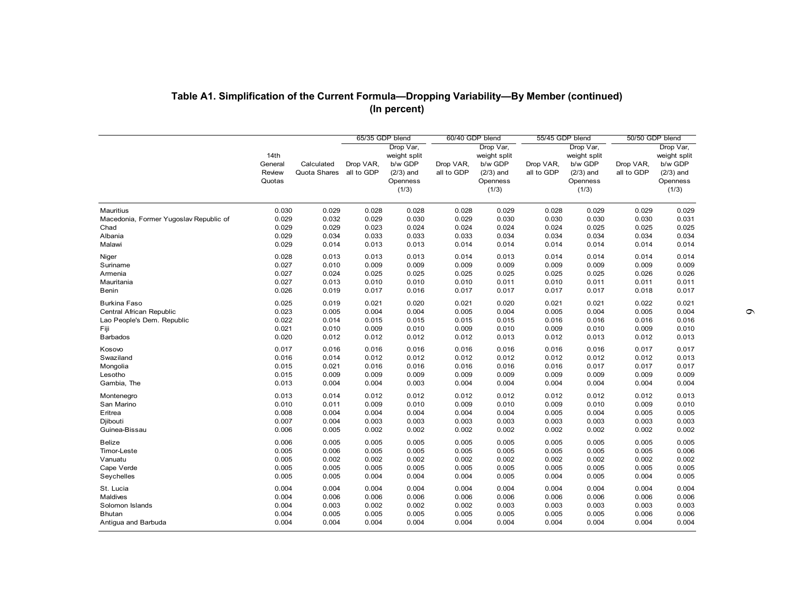| Table A1. Simplification of the Current Formula-Dropping Variability-By Member (continued) |                                     |                            |                                            | (In percent)                                                             |                                            |                                                                          |                                            |                                                                          |                                            |                                                                          |
|--------------------------------------------------------------------------------------------|-------------------------------------|----------------------------|--------------------------------------------|--------------------------------------------------------------------------|--------------------------------------------|--------------------------------------------------------------------------|--------------------------------------------|--------------------------------------------------------------------------|--------------------------------------------|--------------------------------------------------------------------------|
|                                                                                            | 14th<br>General<br>Review<br>Quotas | Calculated<br>Quota Shares | 65/35 GDP blend<br>Drop VAR,<br>all to GDP | Drop Var,<br>weight split<br>b/w GDP<br>$(2/3)$ and<br>Openness<br>(1/3) | 60/40 GDP blend<br>Drop VAR,<br>all to GDP | Drop Var,<br>weight split<br>b/w GDP<br>$(2/3)$ and<br>Openness<br>(1/3) | 55/45 GDP blend<br>Drop VAR,<br>all to GDP | Drop Var,<br>weight split<br>b/w GDP<br>$(2/3)$ and<br>Openness<br>(1/3) | 50/50 GDP blend<br>Drop VAR,<br>all to GDP | Drop Var,<br>weight split<br>b/w GDP<br>$(2/3)$ and<br>Openness<br>(1/3) |
| Mauritius                                                                                  | 0.030                               | 0.029                      | 0.028                                      | 0.028                                                                    | 0.028                                      | 0.029                                                                    | 0.028                                      | 0.029                                                                    | 0.029                                      | 0.029                                                                    |
| Macedonia, Former Yugoslav Republic of                                                     | 0.029                               | 0.032                      | 0.029                                      | 0.030                                                                    | 0.029                                      | 0.030                                                                    | 0.030                                      | 0.030                                                                    | 0.030                                      | 0.031                                                                    |
| Chad                                                                                       | 0.029                               | 0.029                      | 0.023                                      | 0.024                                                                    | 0.024                                      | 0.024                                                                    | 0.024                                      | 0.025                                                                    | 0.025                                      | 0.025                                                                    |
| Albania                                                                                    | 0.029                               | 0.034                      | 0.033                                      | 0.033                                                                    | 0.033                                      | 0.034                                                                    | 0.034                                      | 0.034                                                                    | 0.034                                      | 0.034                                                                    |
| Malawi                                                                                     | 0.029                               | 0.014                      | 0.013                                      | 0.013                                                                    | 0.014                                      | 0.014                                                                    | 0.014                                      | 0.014                                                                    | 0.014                                      | 0.014                                                                    |
| Niger                                                                                      | 0.028                               | 0.013                      | 0.013                                      | 0.013                                                                    | 0.014                                      | 0.013                                                                    | 0.014                                      | 0.014                                                                    | 0.014                                      | 0.014                                                                    |
| Suriname                                                                                   | 0.027                               | 0.010                      | 0.009                                      | 0.009                                                                    | 0.009                                      | 0.009                                                                    | 0.009                                      | 0.009                                                                    | 0.009                                      | 0.009                                                                    |
| Armenia                                                                                    | 0.027                               | 0.024                      | 0.025                                      | 0.025                                                                    | 0.025                                      | 0.025                                                                    | 0.025                                      | 0.025                                                                    | 0.026                                      | 0.026                                                                    |
| Mauritania                                                                                 | 0.027                               | 0.013                      | 0.010                                      | 0.010                                                                    | 0.010                                      | 0.011                                                                    | 0.010                                      | 0.011                                                                    | 0.011                                      | 0.011                                                                    |
| Benin                                                                                      | 0.026                               | 0.019                      | 0.017                                      | 0.016                                                                    | 0.017                                      | 0.017                                                                    | 0.017                                      | 0.017                                                                    | 0.018                                      | 0.017                                                                    |
| <b>Burkina Faso</b>                                                                        | 0.025                               | 0.019                      | 0.021                                      | 0.020                                                                    | 0.021                                      | 0.020                                                                    | 0.021                                      | 0.021                                                                    | 0.022                                      | 0.021                                                                    |
| Central African Republic                                                                   | 0.023                               | 0.005                      | 0.004                                      | 0.004                                                                    | 0.005                                      | 0.004                                                                    | 0.005                                      | 0.004                                                                    | 0.005                                      | 0.004                                                                    |
| Lao People's Dem. Republic                                                                 | 0.022                               | 0.014                      | 0.015                                      | 0.015                                                                    | 0.015                                      | 0.015                                                                    | 0.016                                      | 0.016                                                                    | 0.016                                      | 0.016                                                                    |
| Fiji                                                                                       | 0.021                               | 0.010                      | 0.009                                      | 0.010                                                                    | 0.009                                      | 0.010                                                                    | 0.009                                      | 0.010                                                                    | 0.009                                      | 0.010                                                                    |
| <b>Barbados</b>                                                                            | 0.020                               | 0.012                      | 0.012                                      | 0.012                                                                    | 0.012                                      | 0.013                                                                    | 0.012                                      | 0.013                                                                    | 0.012                                      | 0.013                                                                    |
| Kosovo                                                                                     | 0.017                               | 0.016                      | 0.016                                      | 0.016                                                                    | 0.016                                      | 0.016                                                                    | 0.016                                      | 0.016                                                                    | 0.017                                      | 0.017                                                                    |
| Swaziland                                                                                  | 0.016                               | 0.014                      | 0.012                                      | 0.012                                                                    | 0.012                                      | 0.012                                                                    | 0.012                                      | 0.012                                                                    | 0.012                                      | 0.013                                                                    |
| Mongolia                                                                                   | 0.015                               | 0.021                      | 0.016                                      | 0.016                                                                    | 0.016                                      | 0.016                                                                    | 0.016                                      | 0.017                                                                    | 0.017                                      | 0.017                                                                    |
| Lesotho                                                                                    | 0.015                               | 0.009                      | 0.009                                      | 0.009                                                                    | 0.009                                      | 0.009                                                                    | 0.009                                      | 0.009                                                                    | 0.009                                      | 0.009                                                                    |
| Gambia, The                                                                                | 0.013                               | 0.004                      | 0.004                                      | 0.003                                                                    | 0.004                                      | 0.004                                                                    | 0.004                                      | 0.004                                                                    | 0.004                                      | 0.004                                                                    |
| Montenegro                                                                                 | 0.013                               | 0.014                      | 0.012                                      | 0.012                                                                    | 0.012                                      | 0.012                                                                    | 0.012                                      | 0.012                                                                    | 0.012                                      | 0.013                                                                    |
| San Marino                                                                                 | 0.010                               | 0.011                      | 0.009                                      | 0.010                                                                    | 0.009                                      | 0.010                                                                    | 0.009                                      | 0.010                                                                    | 0.009                                      | 0.010                                                                    |
| Eritrea                                                                                    | 0.008                               | 0.004                      | 0.004                                      | 0.004                                                                    | 0.004                                      | 0.004                                                                    | 0.005                                      | 0.004                                                                    | 0.005                                      | 0.005                                                                    |
| Djibouti                                                                                   | 0.007                               | 0.004                      | 0.003                                      | 0.003                                                                    | 0.003                                      | 0.003                                                                    | 0.003                                      | 0.003                                                                    | 0.003                                      | 0.003                                                                    |
| Guinea-Bissau                                                                              | 0.006                               | 0.005                      | 0.002                                      | 0.002                                                                    | 0.002                                      | 0.002                                                                    | 0.002                                      | 0.002                                                                    | 0.002                                      | 0.002                                                                    |
| Belize                                                                                     | 0.006                               | 0.005                      | 0.005                                      | 0.005                                                                    | 0.005                                      | 0.005                                                                    | 0.005                                      | 0.005                                                                    | 0.005                                      | 0.005                                                                    |
| Timor-Leste                                                                                | 0.005                               | 0.006                      | 0.005                                      | 0.005                                                                    | 0.005                                      | 0.005                                                                    | 0.005                                      | 0.005                                                                    | 0.005                                      | 0.006                                                                    |
| Vanuatu                                                                                    | 0.005                               | 0.002                      | 0.002                                      | 0.002                                                                    | 0.002                                      | 0.002                                                                    | 0.002                                      | 0.002                                                                    | 0.002                                      | 0.002                                                                    |
| Cape Verde                                                                                 | 0.005                               | 0.005                      | 0.005                                      | 0.005                                                                    | 0.005                                      | 0.005                                                                    | 0.005                                      | 0.005                                                                    | 0.005                                      | 0.005                                                                    |
| Seychelles                                                                                 | 0.005                               | 0.005                      | 0.004                                      | 0.004                                                                    | 0.004                                      | 0.005                                                                    | 0.004                                      | 0.005                                                                    | 0.004                                      | 0.005                                                                    |
| St. Lucia                                                                                  | 0.004                               | 0.004                      | 0.004                                      | 0.004                                                                    | 0.004                                      | 0.004                                                                    | 0.004                                      | 0.004                                                                    | 0.004                                      | 0.004                                                                    |
| Maldives                                                                                   | 0.004                               | 0.006                      | 0.006                                      | 0.006                                                                    | 0.006                                      | 0.006                                                                    | 0.006                                      | 0.006                                                                    | 0.006                                      | 0.006                                                                    |
| Solomon Islands                                                                            | 0.004                               | 0.003                      | 0.002                                      | 0.002                                                                    | 0.002                                      | 0.003                                                                    | 0.003                                      | 0.003                                                                    | 0.003                                      | 0.003                                                                    |
| <b>Bhutan</b>                                                                              | 0.004                               | 0.005                      | 0.005                                      | 0.005                                                                    | 0.005                                      | 0.005                                                                    | 0.005                                      | 0.005                                                                    | 0.006                                      | 0.006                                                                    |
| Antigua and Barbuda                                                                        | 0.004                               | 0.004                      | 0.004                                      | 0.004                                                                    | 0.004                                      | 0.004                                                                    | 0.004                                      | 0.004                                                                    | 0.004                                      | 0.004                                                                    |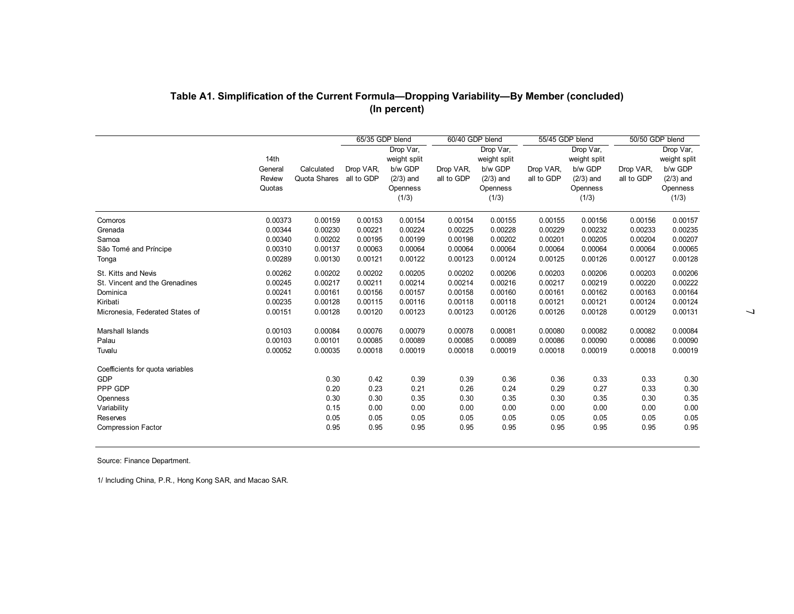|                                             | 14th<br>General<br>Review<br>Quotas | Calculated<br>Quota Shares | 65/35 GDP blend<br>Drop VAR,<br>all to GDP | Drop Var,<br>weight split<br>b/w GDP<br>$(2/3)$ and<br>Openness<br>(1/3) | 60/40 GDP blend<br>Drop VAR,<br>all to GDP | Drop Var,<br>weight split<br>b/w GDP<br>$(2/3)$ and<br>Openness<br>(1/3) | 55/45 GDP blend<br>Drop VAR,<br>all to GDP | Drop Var,<br>weight split<br>b/w GDP<br>$(2/3)$ and<br>Openness<br>(1/3) | 50/50 GDP blend<br>Drop VAR,<br>all to GDP | Drop Var,<br>weight split<br>b/w GDP<br>$(2/3)$ and<br>Openness<br>(1/3) |
|---------------------------------------------|-------------------------------------|----------------------------|--------------------------------------------|--------------------------------------------------------------------------|--------------------------------------------|--------------------------------------------------------------------------|--------------------------------------------|--------------------------------------------------------------------------|--------------------------------------------|--------------------------------------------------------------------------|
| Comoros                                     | 0.00373                             | 0.00159                    | 0.00153                                    | 0.00154                                                                  | 0.00154                                    | 0.00155                                                                  | 0.00155                                    | 0.00156                                                                  | 0.00156                                    | 0.00157                                                                  |
| Grenada                                     | 0.00344                             | 0.00230                    | 0.00221                                    | 0.00224                                                                  | 0.00225                                    | 0.00228                                                                  | 0.00229                                    | 0.00232                                                                  | 0.00233                                    | 0.00235                                                                  |
| Samoa                                       | 0.00340                             | 0.00202                    | 0.00195                                    | 0.00199                                                                  | 0.00198                                    | 0.00202                                                                  | 0.00201                                    | 0.00205                                                                  | 0.00204                                    | 0.00207                                                                  |
| São Tomé and Príncipe<br>Tonga              | 0.00310<br>0.00289                  | 0.00137<br>0.00130         | 0.00063<br>0.00121                         | 0.00064<br>0.00122                                                       | 0.00064<br>0.00123                         | 0.00064<br>0.00124                                                       | 0.00064<br>0.00125                         | 0.00064<br>0.00126                                                       | 0.00064<br>0.00127                         | 0.00065<br>0.00128                                                       |
|                                             |                                     |                            |                                            |                                                                          |                                            |                                                                          |                                            |                                                                          |                                            |                                                                          |
| St. Kitts and Nevis                         | 0.00262                             | 0.00202                    | 0.00202                                    | 0.00205                                                                  | 0.00202                                    | 0.00206                                                                  | 0.00203                                    | 0.00206                                                                  | 0.00203                                    | 0.00206                                                                  |
| St. Vincent and the Grenadines              | 0.00245                             | 0.00217                    | 0.00211                                    | 0.00214                                                                  | 0.00214                                    | 0.00216                                                                  | 0.00217                                    | 0.00219                                                                  | 0.00220                                    | 0.00222                                                                  |
| Dominica                                    | 0.00241                             | 0.00161                    | 0.00156                                    | 0.00157                                                                  | 0.00158                                    | 0.00160                                                                  | 0.00161                                    | 0.00162                                                                  | 0.00163                                    | 0.00164                                                                  |
| Kiribati<br>Micronesia, Federated States of | 0.00235<br>0.00151                  | 0.00128<br>0.00128         | 0.00115<br>0.00120                         | 0.00116<br>0.00123                                                       | 0.00118<br>0.00123                         | 0.00118<br>0.00126                                                       | 0.00121<br>0.00126                         | 0.00121<br>0.00128                                                       | 0.00124<br>0.00129                         | 0.00124<br>0.00131                                                       |
| Marshall Islands                            | 0.00103                             | 0.00084                    | 0.00076                                    | 0.00079                                                                  | 0.00078                                    | 0.00081                                                                  | 0.00080                                    | 0.00082                                                                  | 0.00082                                    | 0.00084                                                                  |
| Palau                                       | 0.00103                             | 0.00101                    | 0.00085                                    | 0.00089                                                                  | 0.00085                                    | 0.00089                                                                  | 0.00086                                    | 0.00090                                                                  | 0.00086                                    | 0.00090                                                                  |
| Tuvalu                                      | 0.00052                             | 0.00035                    | 0.00018                                    | 0.00019                                                                  | 0.00018                                    | 0.00019                                                                  | 0.00018                                    | 0.00019                                                                  | 0.00018                                    | 0.00019                                                                  |
| Coefficients for quota variables<br>GDP     |                                     | 0.30                       | 0.42                                       | 0.39                                                                     | 0.39                                       | 0.36                                                                     | 0.36                                       | 0.33                                                                     | 0.33                                       | 0.30                                                                     |
| PPP GDP                                     |                                     | 0.20                       | 0.23                                       | 0.21                                                                     | 0.26                                       | 0.24                                                                     | 0.29                                       | 0.27                                                                     | 0.33                                       | 0.30                                                                     |
| Openness                                    |                                     | 0.30                       | 0.30                                       | 0.35                                                                     | 0.30                                       | 0.35                                                                     | 0.30                                       | 0.35                                                                     | 0.30                                       | 0.35                                                                     |
| Variability                                 |                                     | 0.15                       | 0.00                                       | 0.00                                                                     | 0.00                                       | 0.00                                                                     | 0.00                                       | 0.00                                                                     | 0.00                                       | 0.00                                                                     |
| Reserves                                    |                                     | 0.05                       | 0.05                                       | 0.05                                                                     | 0.05                                       | 0.05                                                                     | 0.05                                       | 0.05                                                                     | 0.05                                       | 0.05                                                                     |
| <b>Compression Factor</b>                   |                                     | 0.95                       | 0.95                                       | 0.95                                                                     | 0.95                                       | 0.95                                                                     | 0.95                                       | 0.95                                                                     | 0.95                                       | 0.95                                                                     |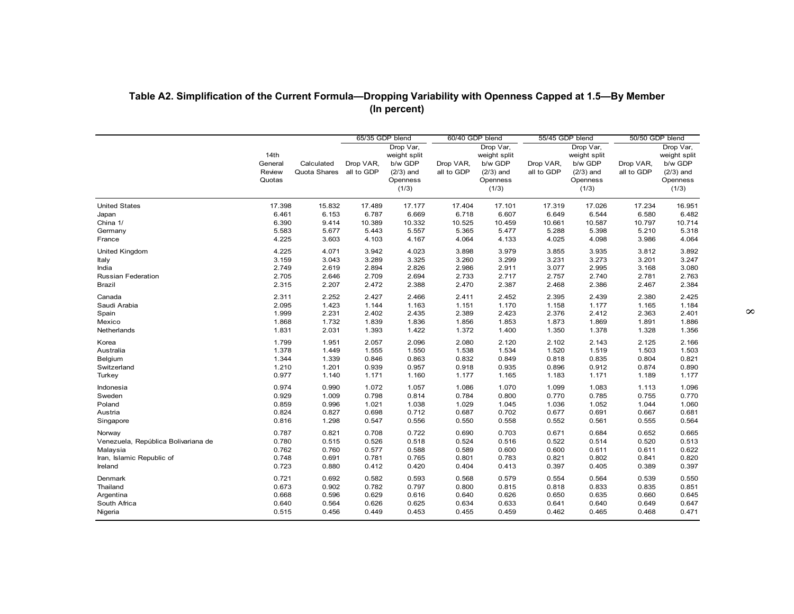|                                     |                                     |                            |                         | (In percent)                                                             |                         |                                                                          |                         |                                                                          |                         |                                                                          |
|-------------------------------------|-------------------------------------|----------------------------|-------------------------|--------------------------------------------------------------------------|-------------------------|--------------------------------------------------------------------------|-------------------------|--------------------------------------------------------------------------|-------------------------|--------------------------------------------------------------------------|
|                                     |                                     |                            | 65/35 GDP blend         |                                                                          | 60/40 GDP blend         |                                                                          | 55/45 GDP blend         |                                                                          | 50/50 GDP blend         |                                                                          |
|                                     | 14th<br>General<br>Review<br>Quotas | Calculated<br>Quota Shares | Drop VAR,<br>all to GDP | Drop Var,<br>weight split<br>b/w GDP<br>$(2/3)$ and<br>Openness<br>(1/3) | Drop VAR,<br>all to GDP | Drop Var,<br>weight split<br>b/w GDP<br>$(2/3)$ and<br>Openness<br>(1/3) | Drop VAR,<br>all to GDP | Drop Var,<br>weight split<br>b/w GDP<br>$(2/3)$ and<br>Openness<br>(1/3) | Drop VAR,<br>all to GDP | Drop Var,<br>weight split<br>b/w GDP<br>$(2/3)$ and<br>Openness<br>(1/3) |
| <b>United States</b><br>Japan       | 17.398<br>6.461                     | 15.832<br>6.153            | 17.489<br>6.787         | 17.177<br>6.669                                                          | 17.404<br>6.718         | 17.101<br>6.607                                                          | 17.319<br>6.649         | 17.026<br>6.544                                                          | 17.234<br>6.580         | 16.951<br>6.482                                                          |
| China 1/                            | 6.390                               | 9.414                      | 10.389                  | 10.332                                                                   | 10.525                  | 10.459                                                                   | 10.661                  | 10.587                                                                   | 10.797                  | 10.714                                                                   |
| Germany                             | 5.583                               | 5.677                      | 5.443                   | 5.557                                                                    | 5.365                   | 5.477                                                                    | 5.288                   | 5.398                                                                    | 5.210                   | 5.318                                                                    |
| France                              | 4.225                               | 3.603                      | 4.103                   | 4.167                                                                    | 4.064                   | 4.133                                                                    | 4.025                   | 4.098                                                                    | 3.986                   | 4.064                                                                    |
| <b>United Kingdom</b>               | 4.225                               | 4.071                      | 3.942                   | 4.023                                                                    | 3.898                   | 3.979                                                                    | 3.855                   | 3.935                                                                    | 3.812                   | 3.892                                                                    |
| Italy                               | 3.159                               | 3.043                      | 3.289                   | 3.325                                                                    | 3.260                   | 3.299                                                                    | 3.231                   | 3.273                                                                    | 3.201                   | 3.247                                                                    |
| India                               | 2.749                               | 2.619                      | 2.894                   | 2.826                                                                    | 2.986                   | 2.911                                                                    | 3.077                   | 2.995                                                                    | 3.168                   | 3.080                                                                    |
| Russian Federation                  | 2.705                               | 2.646                      | 2.709                   | 2.694                                                                    | 2.733                   | 2.717                                                                    | 2.757                   | 2.740                                                                    | 2.781                   | 2.763                                                                    |
| Brazil                              | 2.315                               | 2.207                      | 2.472                   | 2.388                                                                    | 2.470                   | 2.387                                                                    | 2.468                   | 2.386                                                                    | 2.467                   | 2.384                                                                    |
| Canada                              | 2.311                               | 2.252                      | 2.427                   | 2.466                                                                    | 2.411                   | 2.452                                                                    | 2.395                   | 2.439                                                                    | 2.380                   | 2.425                                                                    |
| Saudi Arabia                        | 2.095                               | 1.423                      | 1.144                   | 1.163                                                                    | 1.151                   | 1.170                                                                    | 1.158                   | 1.177                                                                    | 1.165                   | 1.184                                                                    |
| Spain                               | 1.999                               | 2.231                      | 2.402                   | 2.435                                                                    | 2.389                   | 2.423                                                                    | 2.376                   | 2.412                                                                    | 2.363                   | 2.401                                                                    |
| Mexico<br>Netherlands               | 1.868<br>1.831                      | 1.732<br>2.031             | 1.839<br>1.393          | 1.836<br>1.422                                                           | 1.856<br>1.372          | 1.853<br>1.400                                                           | 1.873<br>1.350          | 1.869<br>1.378                                                           | 1.891<br>1.328          | 1.886<br>1.356                                                           |
|                                     |                                     |                            |                         |                                                                          |                         |                                                                          |                         |                                                                          |                         |                                                                          |
| Korea                               | 1.799                               | 1.951                      | 2.057                   | 2.096                                                                    | 2.080                   | 2.120                                                                    | 2.102                   | 2.143                                                                    | 2.125                   | 2.166                                                                    |
| Australia<br>Belgium                | 1.378<br>1.344                      | 1.449<br>1.339             | 1.555<br>0.846          | 1.550<br>0.863                                                           | 1.538<br>0.832          | 1.534<br>0.849                                                           | 1.520<br>0.818          | 1.519<br>0.835                                                           | 1.503<br>0.804          | 1.503<br>0.821                                                           |
| Switzerland                         | 1.210                               | 1.201                      | 0.939                   | 0.957                                                                    | 0.918                   | 0.935                                                                    | 0.896                   | 0.912                                                                    | 0.874                   | 0.890                                                                    |
| Turkey                              | 0.977                               | 1.140                      | 1.171                   | 1.160                                                                    | 1.177                   | 1.165                                                                    | 1.183                   | 1.171                                                                    | 1.189                   | 1.177                                                                    |
| Indonesia                           | 0.974                               | 0.990                      | 1.072                   | 1.057                                                                    | 1.086                   | 1.070                                                                    | 1.099                   | 1.083                                                                    | 1.113                   | 1.096                                                                    |
| Sweden                              | 0.929                               | 1.009                      | 0.798                   | 0.814                                                                    | 0.784                   | 0.800                                                                    | 0.770                   | 0.785                                                                    | 0.755                   | 0.770                                                                    |
| Poland                              | 0.859                               | 0.996                      | 1.021                   | 1.038                                                                    | 1.029                   | 1.045                                                                    | 1.036                   | 1.052                                                                    | 1.044                   | 1.060                                                                    |
| Austria                             | 0.824                               | 0.827                      | 0.698                   | 0.712                                                                    | 0.687                   | 0.702                                                                    | 0.677                   | 0.691                                                                    | 0.667                   | 0.681                                                                    |
| Singapore                           | 0.816                               | 1.298                      | 0.547                   | 0.556                                                                    | 0.550                   | 0.558                                                                    | 0.552                   | 0.561                                                                    | 0.555                   | 0.564                                                                    |
| Norway                              | 0.787                               | 0.821                      | 0.708                   | 0.722                                                                    | 0.690                   | 0.703                                                                    | 0.671                   | 0.684                                                                    | 0.652                   | 0.665                                                                    |
| Venezuela, República Bolivariana de | 0.780                               | 0.515                      | 0.526                   | 0.518                                                                    | 0.524                   | 0.516                                                                    | 0.522                   | 0.514                                                                    | 0.520                   | 0.513                                                                    |
| Malaysia                            | 0.762                               | 0.760                      | 0.577                   | 0.588                                                                    | 0.589                   | 0.600                                                                    | 0.600                   | 0.611                                                                    | 0.611                   | 0.622                                                                    |
| Iran, Islamic Republic of           | 0.748                               | 0.691                      | 0.781                   | 0.765                                                                    | 0.801                   | 0.783                                                                    | 0.821                   | 0.802                                                                    | 0.841                   | 0.820                                                                    |
| Ireland                             | 0.723                               | 0.880                      | 0.412                   | 0.420                                                                    | 0.404                   | 0.413                                                                    | 0.397                   | 0.405                                                                    | 0.389                   | 0.397                                                                    |
| Denmark                             | 0.721                               | 0.692                      | 0.582                   | 0.593                                                                    | 0.568                   | 0.579                                                                    | 0.554                   | 0.564                                                                    | 0.539                   | 0.550                                                                    |
| Thailand                            | 0.673                               | 0.902                      | 0.782                   | 0.797                                                                    | 0.800                   | 0.815                                                                    | 0.818                   | 0.833                                                                    | 0.835                   | 0.851                                                                    |
| Argentina                           | 0.668                               | 0.596                      | 0.629                   | 0.616                                                                    | 0.640                   | 0.626                                                                    | 0.650                   | 0.635                                                                    | 0.660                   | 0.645                                                                    |
|                                     |                                     |                            |                         |                                                                          |                         |                                                                          |                         |                                                                          |                         |                                                                          |
| South Africa                        | 0.640                               | 0.564                      | 0.626                   | 0.625                                                                    | 0.634                   | 0.633                                                                    | 0.641                   | 0.640                                                                    | 0.649                   | 0.647                                                                    |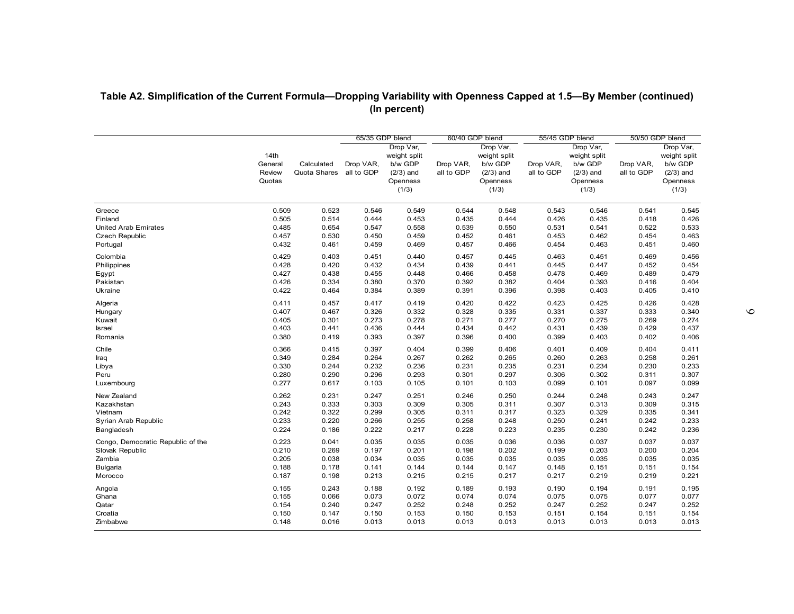| Table A2. Simplification of the Current Formula-Dropping Variability with Openness Capped at 1.5-By Member (continued) |                                     |                            |                         | (In percent)                                                             |                         |                                                                          |                         |                                                                          |                         |                                                                          |
|------------------------------------------------------------------------------------------------------------------------|-------------------------------------|----------------------------|-------------------------|--------------------------------------------------------------------------|-------------------------|--------------------------------------------------------------------------|-------------------------|--------------------------------------------------------------------------|-------------------------|--------------------------------------------------------------------------|
|                                                                                                                        |                                     |                            | 65/35 GDP blend         |                                                                          | 60/40 GDP blend         |                                                                          | 55/45 GDP blend         |                                                                          | 50/50 GDP blend         |                                                                          |
|                                                                                                                        | 14th<br>General<br>Review<br>Quotas | Calculated<br>Quota Shares | Drop VAR,<br>all to GDP | Drop Var,<br>weight split<br>b/w GDP<br>$(2/3)$ and<br>Openness<br>(1/3) | Drop VAR,<br>all to GDP | Drop Var,<br>weight split<br>b/w GDP<br>$(2/3)$ and<br>Openness<br>(1/3) | Drop VAR,<br>all to GDP | Drop Var,<br>weight split<br>b/w GDP<br>$(2/3)$ and<br>Openness<br>(1/3) | Drop VAR,<br>all to GDP | Drop Var,<br>weight split<br>b/w GDP<br>$(2/3)$ and<br>Openness<br>(1/3) |
| Greece                                                                                                                 | 0.509                               | 0.523                      | 0.546                   | 0.549                                                                    | 0.544                   | 0.548                                                                    | 0.543                   | 0.546                                                                    | 0.541                   | 0.545                                                                    |
| Finland                                                                                                                | 0.505                               | 0.514                      | 0.444                   | 0.453                                                                    | 0.435                   | 0.444                                                                    | 0.426                   | 0.435                                                                    | 0.418                   | 0.426                                                                    |
| <b>United Arab Emirates</b>                                                                                            | 0.485                               | 0.654                      | 0.547                   | 0.558                                                                    | 0.539                   | 0.550                                                                    | 0.531                   | 0.541                                                                    | 0.522                   | 0.533                                                                    |
| <b>Czech Republic</b>                                                                                                  | 0.457                               | 0.530                      | 0.450                   | 0.459                                                                    | 0.452                   | 0.461                                                                    | 0.453                   | 0.462                                                                    | 0.454                   | 0.463                                                                    |
| Portugal                                                                                                               | 0.432                               | 0.461                      | 0.459                   | 0.469                                                                    | 0.457                   | 0.466                                                                    | 0.454                   | 0.463                                                                    | 0.451                   | 0.460                                                                    |
| Colombia                                                                                                               | 0.429                               | 0.403                      | 0.451                   | 0.440                                                                    | 0.457                   | 0.445                                                                    | 0.463                   | 0.451                                                                    | 0.469                   | 0.456                                                                    |
| Philippines                                                                                                            | 0.428                               | 0.420                      | 0.432                   | 0.434                                                                    | 0.439                   | 0.441                                                                    | 0.445                   | 0.447                                                                    | 0.452                   | 0.454                                                                    |
| Egypt                                                                                                                  | 0.427                               | 0.438                      | 0.455                   | 0.448                                                                    | 0.466                   | 0.458                                                                    | 0.478                   | 0.469                                                                    | 0.489                   | 0.479                                                                    |
| Pakistan                                                                                                               | 0.426                               | 0.334                      | 0.380                   | 0.370                                                                    | 0.392                   | 0.382                                                                    | 0.404                   | 0.393                                                                    | 0.416                   | 0.404                                                                    |
| Ukraine                                                                                                                | 0.422                               | 0.464                      | 0.384                   | 0.389                                                                    | 0.391                   | 0.396                                                                    | 0.398                   | 0.403                                                                    | 0.405                   | 0.410                                                                    |
| Algeria                                                                                                                | 0.411                               | 0.457                      | 0.417                   | 0.419                                                                    | 0.420                   | 0.422                                                                    | 0.423                   | 0.425                                                                    | 0.426                   | 0.428                                                                    |
| Hungary                                                                                                                | 0.407                               | 0.467                      | 0.326                   | 0.332                                                                    | 0.328                   | 0.335                                                                    | 0.331                   | 0.337                                                                    | 0.333                   | 0.340                                                                    |
| Kuwait                                                                                                                 | 0.405                               | 0.301                      | 0.273                   | 0.278                                                                    | 0.271                   | 0.277                                                                    | 0.270                   | 0.275                                                                    | 0.269                   | 0.274                                                                    |
| <b>Israel</b>                                                                                                          | 0.403                               | 0.441                      | 0.436                   | 0.444                                                                    | 0.434                   | 0.442                                                                    | 0.431                   | 0.439                                                                    | 0.429                   | 0.437                                                                    |
| Romania                                                                                                                | 0.380                               | 0.419                      | 0.393                   | 0.397                                                                    | 0.396                   | 0.400                                                                    | 0.399                   | 0.403                                                                    | 0.402                   | 0.406                                                                    |
| Chile                                                                                                                  | 0.366                               | 0.415                      | 0.397                   | 0.404                                                                    | 0.399                   | 0.406                                                                    | 0.401                   | 0.409                                                                    | 0.404                   | 0.411                                                                    |
| Iraq                                                                                                                   | 0.349                               | 0.284                      | 0.264                   | 0.267                                                                    | 0.262                   | 0.265                                                                    | 0.260                   | 0.263                                                                    | 0.258                   | 0.261                                                                    |
| Libya                                                                                                                  | 0.330                               | 0.244                      | 0.232                   | 0.236                                                                    | 0.231                   | 0.235                                                                    | 0.231                   | 0.234                                                                    | 0.230                   | 0.233                                                                    |
| Peru                                                                                                                   | 0.280                               | 0.290                      | 0.296                   | 0.293                                                                    | 0.301                   | 0.297                                                                    | 0.306                   | 0.302                                                                    | 0.311                   | 0.307                                                                    |
| Luxembourg                                                                                                             | 0.277                               | 0.617                      | 0.103                   | 0.105                                                                    | 0.101                   | 0.103                                                                    | 0.099                   | 0.101                                                                    | 0.097                   | 0.099                                                                    |
| New Zealand                                                                                                            | 0.262                               | 0.231                      | 0.247                   | 0.251                                                                    | 0.246                   | 0.250                                                                    | 0.244                   | 0.248                                                                    | 0.243                   | 0.247                                                                    |
| Kazakhstan                                                                                                             | 0.243                               | 0.333                      | 0.303                   | 0.309                                                                    | 0.305                   | 0.311                                                                    | 0.307                   | 0.313                                                                    | 0.309                   | 0.315                                                                    |
| Vietnam                                                                                                                | 0.242                               | 0.322                      | 0.299                   | 0.305                                                                    | 0.311                   | 0.317                                                                    | 0.323                   | 0.329                                                                    | 0.335                   | 0.341                                                                    |
| Syrian Arab Republic                                                                                                   | 0.233                               | 0.220                      | 0.266                   | 0.255                                                                    | 0.258                   | 0.248                                                                    | 0.250                   | 0.241                                                                    | 0.242                   | 0.233                                                                    |
| Bangladesh                                                                                                             | 0.224                               | 0.186                      | 0.222                   | 0.217                                                                    | 0.228                   | 0.223                                                                    | 0.235                   | 0.230                                                                    | 0.242                   | 0.236                                                                    |
| Congo, Democratic Republic of the                                                                                      | 0.223                               | 0.041                      | 0.035                   | 0.035                                                                    | 0.035                   | 0.036                                                                    | 0.036                   | 0.037                                                                    | 0.037                   | 0.037                                                                    |
| Slovak Republic                                                                                                        | 0.210                               | 0.269                      | 0.197                   | 0.201                                                                    | 0.198                   | 0.202                                                                    | 0.199                   | 0.203                                                                    | 0.200                   | 0.204                                                                    |
| Zambia                                                                                                                 | 0.205                               | 0.038                      | 0.034                   | 0.035                                                                    | 0.035                   | 0.035                                                                    | 0.035                   | 0.035                                                                    | 0.035                   | 0.035                                                                    |
| Bulgaria                                                                                                               | 0.188                               | 0.178                      | 0.141                   | 0.144                                                                    | 0.144                   | 0.147                                                                    | 0.148                   | 0.151                                                                    | 0.151                   | 0.154                                                                    |
| Morocco                                                                                                                | 0.187                               | 0.198                      | 0.213                   | 0.215                                                                    | 0.215                   | 0.217                                                                    | 0.217                   | 0.219                                                                    | 0.219                   | 0.221                                                                    |
| Angola                                                                                                                 | 0.155                               | 0.243                      | 0.188                   | 0.192                                                                    | 0.189                   | 0.193                                                                    | 0.190                   | 0.194                                                                    | 0.191                   | 0.195                                                                    |
| Ghana                                                                                                                  | 0.155                               | 0.066                      | 0.073                   | 0.072                                                                    | 0.074                   | 0.074                                                                    | 0.075                   | 0.075                                                                    | 0.077                   | 0.077                                                                    |
| Qatar                                                                                                                  | 0.154                               | 0.240                      | 0.247                   | 0.252                                                                    | 0.248                   | 0.252                                                                    | 0.247                   | 0.252                                                                    | 0.247                   | 0.252                                                                    |
| Croatia                                                                                                                | 0.150                               | 0.147                      | 0.150                   | 0.153                                                                    | 0.150                   | 0.153                                                                    | 0.151                   | 0.154                                                                    | 0.151                   | 0.154                                                                    |
| Zimbabwe                                                                                                               | 0.148                               | 0.016                      | 0.013                   | 0.013                                                                    | 0.013                   | 0.013                                                                    | 0.013                   | 0.013                                                                    | 0.013                   | 0.013                                                                    |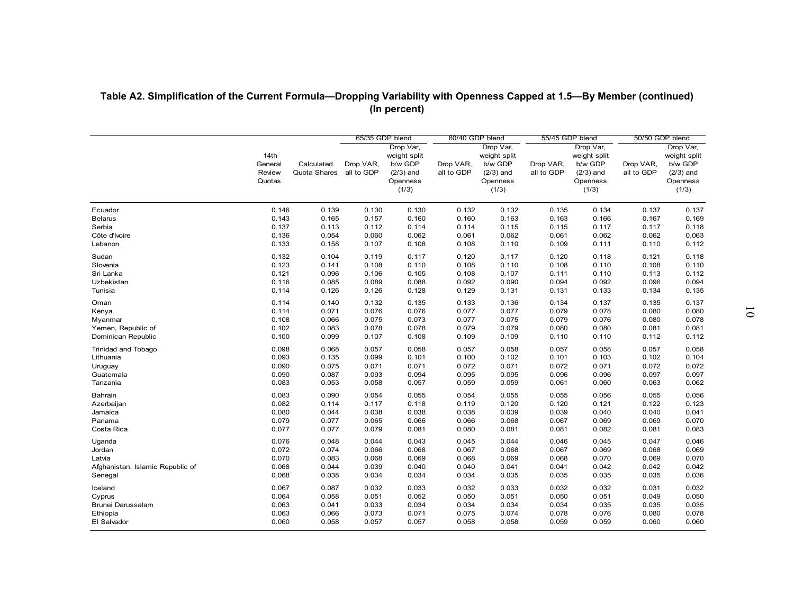| 65/35 GDP blend<br>60/40 GDP blend<br>55/45 GDP blend<br>50/50 GDP blend<br>Drop Var,<br>Drop Var,<br>Drop Var,<br>14th<br>weight split<br>weight split<br>weight split<br>General<br>Calculated<br>Drop VAR,<br>b/w GDP<br>Drop VAR,<br>b/w GDP<br>Drop VAR,<br>b/w GDP<br>Drop VAR,<br>all to GDP<br>Review<br>Quota Shares<br>$(2/3)$ and<br>all to GDP<br>$(2/3)$ and<br>all to GDP<br>$(2/3)$ and<br>all to GDP<br>Quotas<br>Openness<br>Openness<br>Openness<br>(1/3)<br>(1/3)<br>(1/3)<br>0.146<br>0.139<br>0.130<br>0.132<br>0.132<br>0.134<br>0.137<br>Ecuador<br>0.130<br>0.135<br>0.143<br>0.165<br>0.157<br>0.160<br>0.160<br>0.163<br>0.163<br>0.166<br>0.167<br><b>Belarus</b><br>0.137<br>0.113<br>0.114<br>0.115<br>0.117<br>0.117<br>0.112<br>0.114<br>0.115<br>Serbia<br>0.136<br>0.054<br>0.060<br>0.062<br>0.061<br>0.062<br>0.061<br>0.062<br>0.062<br>Côte d'Ivoire<br>0.133<br>0.110<br>0.158<br>0.107<br>0.108<br>0.108<br>0.109<br>0.111<br>0.110<br>Lebanon<br>0.132<br>0.104<br>0.119<br>0.117<br>0.120<br>0.117<br>0.118<br>0.121<br>Sudan<br>0.120<br>0.123<br>0.108<br>0.110<br>0.110<br>0.108<br>Slovenia<br>0.141<br>0.110<br>0.108<br>0.108<br>0.096<br>0.107<br>Sri Lanka<br>0.121<br>0.106<br>0.105<br>0.108<br>0.111<br>0.110<br>0.113<br>Uzbekistan<br>0.116<br>0.085<br>0.088<br>0.092<br>0.090<br>0.094<br>0.092<br>0.096<br>0.089<br>0.114<br>0.126<br>0.131<br>0.134<br>Tunisia<br>0.126<br>0.128<br>0.129<br>0.131<br>0.133<br>0.114<br>0.140<br>0.132<br>0.135<br>0.133<br>0.136<br>0.137<br>0.135<br>Oman<br>0.134<br>0.114<br>0.071<br>0.076<br>0.076<br>0.077<br>0.077<br>0.079<br>0.078<br>0.080<br>Kenya<br>0.108<br>0.066<br>0.075<br>0.073<br>0.077<br>0.075<br>0.079<br>0.076<br>0.080<br>Myanmar<br>0.079<br>Yemen, Republic of<br>0.102<br>0.083<br>0.078<br>0.078<br>0.079<br>0.080<br>0.080<br>0.081<br>Dominican Republic<br>0.100<br>0.099<br>0.109<br>0.107<br>0.108<br>0.109<br>0.110<br>0.110<br>0.112<br>0.098<br>0.068<br>0.058<br>0.057<br>0.058<br>0.057<br>0.058<br>0.057<br>0.057<br>Trinidad and Tobago<br>0.093<br>0.135<br>0.099<br>0.101<br>0.100<br>0.102<br>0.101<br>0.103<br>0.102<br>Lithuania<br>0.090<br>0.075<br>0.071<br>0.071<br>0.072<br>0.071<br>0.071<br>0.072<br>0.072<br>Uruguay<br>0.090<br>0.087<br>0.094<br>0.095<br>0.095<br>0.096<br>0.097<br>Guatemala<br>0.093<br>0.096<br>0.083<br>0.059<br>0.053<br>0.058<br>0.057<br>0.059<br>0.061<br>0.060<br>0.063<br>Tanzania<br>0.083<br>0.090<br>0.054<br>0.055<br>0.056<br>0.055<br>Bahrain<br>0.054<br>0.055<br>0.055<br>0.120<br>0.082<br>0.114<br>0.117<br>0.119<br>0.121<br>0.122<br>Azerbaijan<br>0.118<br>0.120<br>0.080<br>0.044<br>0.038<br>0.039<br>0.040<br>0.040<br>Jamaica<br>0.038<br>0.038<br>0.039<br>0.079<br>0.077<br>0.066<br>0.066<br>0.068<br>0.069<br>0.069<br>Panama<br>0.065<br>0.067<br>0.077<br>0.081<br>Costa Rica<br>0.077<br>0.079<br>0.081<br>0.080<br>0.081<br>0.082<br>0.081<br>0.076<br>0.048<br>0.043<br>0.045<br>0.044<br>0.045<br>0.047<br>0.044<br>0.046<br>Uganda<br>0.072<br>0.074<br>0.066<br>0.068<br>0.067<br>0.068<br>0.067<br>0.069<br>0.068<br>Jordan<br>0.070<br>0.083<br>0.069<br>0.069<br>0.068<br>0.069<br>0.068<br>0.068<br>0.070<br>Latvia<br>0.068<br>0.044<br>0.040<br>0.040<br>0.041<br>0.042<br>0.042<br>Afghanistan, Islamic Republic of<br>0.039<br>0.041<br>0.038<br>0.035<br>0.035<br>0.068<br>0.034<br>0.034<br>0.034<br>0.035<br>0.035<br>Senegal<br>0.033<br>0.067<br>0.087<br>0.032<br>0.033<br>0.032<br>0.032<br>0.032<br>0.031<br>Iceland<br>0.064<br>0.058<br>0.051<br>0.049<br>0.051<br>0.052<br>0.050<br>0.050<br>0.051<br>Cyprus<br>0.063<br>0.041<br>0.033<br>0.034<br>0.034<br>0.034<br>0.034<br>0.035<br>0.035<br>Brunei Darussalam<br>0.066<br>0.074<br>0.080<br>Ethiopia<br>0.063<br>0.073<br>0.071<br>0.075<br>0.078<br>0.076 |  |  |  |  |  |                                      |
|----------------------------------------------------------------------------------------------------------------------------------------------------------------------------------------------------------------------------------------------------------------------------------------------------------------------------------------------------------------------------------------------------------------------------------------------------------------------------------------------------------------------------------------------------------------------------------------------------------------------------------------------------------------------------------------------------------------------------------------------------------------------------------------------------------------------------------------------------------------------------------------------------------------------------------------------------------------------------------------------------------------------------------------------------------------------------------------------------------------------------------------------------------------------------------------------------------------------------------------------------------------------------------------------------------------------------------------------------------------------------------------------------------------------------------------------------------------------------------------------------------------------------------------------------------------------------------------------------------------------------------------------------------------------------------------------------------------------------------------------------------------------------------------------------------------------------------------------------------------------------------------------------------------------------------------------------------------------------------------------------------------------------------------------------------------------------------------------------------------------------------------------------------------------------------------------------------------------------------------------------------------------------------------------------------------------------------------------------------------------------------------------------------------------------------------------------------------------------------------------------------------------------------------------------------------------------------------------------------------------------------------------------------------------------------------------------------------------------------------------------------------------------------------------------------------------------------------------------------------------------------------------------------------------------------------------------------------------------------------------------------------------------------------------------------------------------------------------------------------------------------------------------------------------------------------------------------------------------------------------------------------------------------------------------------------------------------------------------------------------------------------------------------------------------------------------------------------------------------------------------------------------------------------------------------------------------------------------------------------------------------------------------------------------------------------------------------------------------------------------------------------------------------------------------------------------------------------------|--|--|--|--|--|--------------------------------------|
|                                                                                                                                                                                                                                                                                                                                                                                                                                                                                                                                                                                                                                                                                                                                                                                                                                                                                                                                                                                                                                                                                                                                                                                                                                                                                                                                                                                                                                                                                                                                                                                                                                                                                                                                                                                                                                                                                                                                                                                                                                                                                                                                                                                                                                                                                                                                                                                                                                                                                                                                                                                                                                                                                                                                                                                                                                                                                                                                                                                                                                                                                                                                                                                                                                                                                                                                                                                                                                                                                                                                                                                                                                                                                                                                                                                                                                              |  |  |  |  |  | Drop Var,<br>weight split<br>b/w GDP |
|                                                                                                                                                                                                                                                                                                                                                                                                                                                                                                                                                                                                                                                                                                                                                                                                                                                                                                                                                                                                                                                                                                                                                                                                                                                                                                                                                                                                                                                                                                                                                                                                                                                                                                                                                                                                                                                                                                                                                                                                                                                                                                                                                                                                                                                                                                                                                                                                                                                                                                                                                                                                                                                                                                                                                                                                                                                                                                                                                                                                                                                                                                                                                                                                                                                                                                                                                                                                                                                                                                                                                                                                                                                                                                                                                                                                                                              |  |  |  |  |  | $(2/3)$ and<br>Openness<br>(1/3)     |
|                                                                                                                                                                                                                                                                                                                                                                                                                                                                                                                                                                                                                                                                                                                                                                                                                                                                                                                                                                                                                                                                                                                                                                                                                                                                                                                                                                                                                                                                                                                                                                                                                                                                                                                                                                                                                                                                                                                                                                                                                                                                                                                                                                                                                                                                                                                                                                                                                                                                                                                                                                                                                                                                                                                                                                                                                                                                                                                                                                                                                                                                                                                                                                                                                                                                                                                                                                                                                                                                                                                                                                                                                                                                                                                                                                                                                                              |  |  |  |  |  | 0.137                                |
|                                                                                                                                                                                                                                                                                                                                                                                                                                                                                                                                                                                                                                                                                                                                                                                                                                                                                                                                                                                                                                                                                                                                                                                                                                                                                                                                                                                                                                                                                                                                                                                                                                                                                                                                                                                                                                                                                                                                                                                                                                                                                                                                                                                                                                                                                                                                                                                                                                                                                                                                                                                                                                                                                                                                                                                                                                                                                                                                                                                                                                                                                                                                                                                                                                                                                                                                                                                                                                                                                                                                                                                                                                                                                                                                                                                                                                              |  |  |  |  |  | 0.169                                |
|                                                                                                                                                                                                                                                                                                                                                                                                                                                                                                                                                                                                                                                                                                                                                                                                                                                                                                                                                                                                                                                                                                                                                                                                                                                                                                                                                                                                                                                                                                                                                                                                                                                                                                                                                                                                                                                                                                                                                                                                                                                                                                                                                                                                                                                                                                                                                                                                                                                                                                                                                                                                                                                                                                                                                                                                                                                                                                                                                                                                                                                                                                                                                                                                                                                                                                                                                                                                                                                                                                                                                                                                                                                                                                                                                                                                                                              |  |  |  |  |  | 0.118<br>0.063                       |
|                                                                                                                                                                                                                                                                                                                                                                                                                                                                                                                                                                                                                                                                                                                                                                                                                                                                                                                                                                                                                                                                                                                                                                                                                                                                                                                                                                                                                                                                                                                                                                                                                                                                                                                                                                                                                                                                                                                                                                                                                                                                                                                                                                                                                                                                                                                                                                                                                                                                                                                                                                                                                                                                                                                                                                                                                                                                                                                                                                                                                                                                                                                                                                                                                                                                                                                                                                                                                                                                                                                                                                                                                                                                                                                                                                                                                                              |  |  |  |  |  | 0.112                                |
|                                                                                                                                                                                                                                                                                                                                                                                                                                                                                                                                                                                                                                                                                                                                                                                                                                                                                                                                                                                                                                                                                                                                                                                                                                                                                                                                                                                                                                                                                                                                                                                                                                                                                                                                                                                                                                                                                                                                                                                                                                                                                                                                                                                                                                                                                                                                                                                                                                                                                                                                                                                                                                                                                                                                                                                                                                                                                                                                                                                                                                                                                                                                                                                                                                                                                                                                                                                                                                                                                                                                                                                                                                                                                                                                                                                                                                              |  |  |  |  |  | 0.118                                |
|                                                                                                                                                                                                                                                                                                                                                                                                                                                                                                                                                                                                                                                                                                                                                                                                                                                                                                                                                                                                                                                                                                                                                                                                                                                                                                                                                                                                                                                                                                                                                                                                                                                                                                                                                                                                                                                                                                                                                                                                                                                                                                                                                                                                                                                                                                                                                                                                                                                                                                                                                                                                                                                                                                                                                                                                                                                                                                                                                                                                                                                                                                                                                                                                                                                                                                                                                                                                                                                                                                                                                                                                                                                                                                                                                                                                                                              |  |  |  |  |  | 0.110                                |
|                                                                                                                                                                                                                                                                                                                                                                                                                                                                                                                                                                                                                                                                                                                                                                                                                                                                                                                                                                                                                                                                                                                                                                                                                                                                                                                                                                                                                                                                                                                                                                                                                                                                                                                                                                                                                                                                                                                                                                                                                                                                                                                                                                                                                                                                                                                                                                                                                                                                                                                                                                                                                                                                                                                                                                                                                                                                                                                                                                                                                                                                                                                                                                                                                                                                                                                                                                                                                                                                                                                                                                                                                                                                                                                                                                                                                                              |  |  |  |  |  | 0.112                                |
|                                                                                                                                                                                                                                                                                                                                                                                                                                                                                                                                                                                                                                                                                                                                                                                                                                                                                                                                                                                                                                                                                                                                                                                                                                                                                                                                                                                                                                                                                                                                                                                                                                                                                                                                                                                                                                                                                                                                                                                                                                                                                                                                                                                                                                                                                                                                                                                                                                                                                                                                                                                                                                                                                                                                                                                                                                                                                                                                                                                                                                                                                                                                                                                                                                                                                                                                                                                                                                                                                                                                                                                                                                                                                                                                                                                                                                              |  |  |  |  |  | 0.094                                |
|                                                                                                                                                                                                                                                                                                                                                                                                                                                                                                                                                                                                                                                                                                                                                                                                                                                                                                                                                                                                                                                                                                                                                                                                                                                                                                                                                                                                                                                                                                                                                                                                                                                                                                                                                                                                                                                                                                                                                                                                                                                                                                                                                                                                                                                                                                                                                                                                                                                                                                                                                                                                                                                                                                                                                                                                                                                                                                                                                                                                                                                                                                                                                                                                                                                                                                                                                                                                                                                                                                                                                                                                                                                                                                                                                                                                                                              |  |  |  |  |  | 0.135                                |
|                                                                                                                                                                                                                                                                                                                                                                                                                                                                                                                                                                                                                                                                                                                                                                                                                                                                                                                                                                                                                                                                                                                                                                                                                                                                                                                                                                                                                                                                                                                                                                                                                                                                                                                                                                                                                                                                                                                                                                                                                                                                                                                                                                                                                                                                                                                                                                                                                                                                                                                                                                                                                                                                                                                                                                                                                                                                                                                                                                                                                                                                                                                                                                                                                                                                                                                                                                                                                                                                                                                                                                                                                                                                                                                                                                                                                                              |  |  |  |  |  | 0.137                                |
|                                                                                                                                                                                                                                                                                                                                                                                                                                                                                                                                                                                                                                                                                                                                                                                                                                                                                                                                                                                                                                                                                                                                                                                                                                                                                                                                                                                                                                                                                                                                                                                                                                                                                                                                                                                                                                                                                                                                                                                                                                                                                                                                                                                                                                                                                                                                                                                                                                                                                                                                                                                                                                                                                                                                                                                                                                                                                                                                                                                                                                                                                                                                                                                                                                                                                                                                                                                                                                                                                                                                                                                                                                                                                                                                                                                                                                              |  |  |  |  |  | 0.080                                |
|                                                                                                                                                                                                                                                                                                                                                                                                                                                                                                                                                                                                                                                                                                                                                                                                                                                                                                                                                                                                                                                                                                                                                                                                                                                                                                                                                                                                                                                                                                                                                                                                                                                                                                                                                                                                                                                                                                                                                                                                                                                                                                                                                                                                                                                                                                                                                                                                                                                                                                                                                                                                                                                                                                                                                                                                                                                                                                                                                                                                                                                                                                                                                                                                                                                                                                                                                                                                                                                                                                                                                                                                                                                                                                                                                                                                                                              |  |  |  |  |  | 0.078                                |
|                                                                                                                                                                                                                                                                                                                                                                                                                                                                                                                                                                                                                                                                                                                                                                                                                                                                                                                                                                                                                                                                                                                                                                                                                                                                                                                                                                                                                                                                                                                                                                                                                                                                                                                                                                                                                                                                                                                                                                                                                                                                                                                                                                                                                                                                                                                                                                                                                                                                                                                                                                                                                                                                                                                                                                                                                                                                                                                                                                                                                                                                                                                                                                                                                                                                                                                                                                                                                                                                                                                                                                                                                                                                                                                                                                                                                                              |  |  |  |  |  | 0.081<br>0.112                       |
|                                                                                                                                                                                                                                                                                                                                                                                                                                                                                                                                                                                                                                                                                                                                                                                                                                                                                                                                                                                                                                                                                                                                                                                                                                                                                                                                                                                                                                                                                                                                                                                                                                                                                                                                                                                                                                                                                                                                                                                                                                                                                                                                                                                                                                                                                                                                                                                                                                                                                                                                                                                                                                                                                                                                                                                                                                                                                                                                                                                                                                                                                                                                                                                                                                                                                                                                                                                                                                                                                                                                                                                                                                                                                                                                                                                                                                              |  |  |  |  |  | 0.058                                |
|                                                                                                                                                                                                                                                                                                                                                                                                                                                                                                                                                                                                                                                                                                                                                                                                                                                                                                                                                                                                                                                                                                                                                                                                                                                                                                                                                                                                                                                                                                                                                                                                                                                                                                                                                                                                                                                                                                                                                                                                                                                                                                                                                                                                                                                                                                                                                                                                                                                                                                                                                                                                                                                                                                                                                                                                                                                                                                                                                                                                                                                                                                                                                                                                                                                                                                                                                                                                                                                                                                                                                                                                                                                                                                                                                                                                                                              |  |  |  |  |  | 0.104                                |
|                                                                                                                                                                                                                                                                                                                                                                                                                                                                                                                                                                                                                                                                                                                                                                                                                                                                                                                                                                                                                                                                                                                                                                                                                                                                                                                                                                                                                                                                                                                                                                                                                                                                                                                                                                                                                                                                                                                                                                                                                                                                                                                                                                                                                                                                                                                                                                                                                                                                                                                                                                                                                                                                                                                                                                                                                                                                                                                                                                                                                                                                                                                                                                                                                                                                                                                                                                                                                                                                                                                                                                                                                                                                                                                                                                                                                                              |  |  |  |  |  | 0.072                                |
|                                                                                                                                                                                                                                                                                                                                                                                                                                                                                                                                                                                                                                                                                                                                                                                                                                                                                                                                                                                                                                                                                                                                                                                                                                                                                                                                                                                                                                                                                                                                                                                                                                                                                                                                                                                                                                                                                                                                                                                                                                                                                                                                                                                                                                                                                                                                                                                                                                                                                                                                                                                                                                                                                                                                                                                                                                                                                                                                                                                                                                                                                                                                                                                                                                                                                                                                                                                                                                                                                                                                                                                                                                                                                                                                                                                                                                              |  |  |  |  |  | 0.097                                |
|                                                                                                                                                                                                                                                                                                                                                                                                                                                                                                                                                                                                                                                                                                                                                                                                                                                                                                                                                                                                                                                                                                                                                                                                                                                                                                                                                                                                                                                                                                                                                                                                                                                                                                                                                                                                                                                                                                                                                                                                                                                                                                                                                                                                                                                                                                                                                                                                                                                                                                                                                                                                                                                                                                                                                                                                                                                                                                                                                                                                                                                                                                                                                                                                                                                                                                                                                                                                                                                                                                                                                                                                                                                                                                                                                                                                                                              |  |  |  |  |  | 0.062                                |
|                                                                                                                                                                                                                                                                                                                                                                                                                                                                                                                                                                                                                                                                                                                                                                                                                                                                                                                                                                                                                                                                                                                                                                                                                                                                                                                                                                                                                                                                                                                                                                                                                                                                                                                                                                                                                                                                                                                                                                                                                                                                                                                                                                                                                                                                                                                                                                                                                                                                                                                                                                                                                                                                                                                                                                                                                                                                                                                                                                                                                                                                                                                                                                                                                                                                                                                                                                                                                                                                                                                                                                                                                                                                                                                                                                                                                                              |  |  |  |  |  | 0.056                                |
|                                                                                                                                                                                                                                                                                                                                                                                                                                                                                                                                                                                                                                                                                                                                                                                                                                                                                                                                                                                                                                                                                                                                                                                                                                                                                                                                                                                                                                                                                                                                                                                                                                                                                                                                                                                                                                                                                                                                                                                                                                                                                                                                                                                                                                                                                                                                                                                                                                                                                                                                                                                                                                                                                                                                                                                                                                                                                                                                                                                                                                                                                                                                                                                                                                                                                                                                                                                                                                                                                                                                                                                                                                                                                                                                                                                                                                              |  |  |  |  |  | 0.123                                |
|                                                                                                                                                                                                                                                                                                                                                                                                                                                                                                                                                                                                                                                                                                                                                                                                                                                                                                                                                                                                                                                                                                                                                                                                                                                                                                                                                                                                                                                                                                                                                                                                                                                                                                                                                                                                                                                                                                                                                                                                                                                                                                                                                                                                                                                                                                                                                                                                                                                                                                                                                                                                                                                                                                                                                                                                                                                                                                                                                                                                                                                                                                                                                                                                                                                                                                                                                                                                                                                                                                                                                                                                                                                                                                                                                                                                                                              |  |  |  |  |  | 0.041                                |
|                                                                                                                                                                                                                                                                                                                                                                                                                                                                                                                                                                                                                                                                                                                                                                                                                                                                                                                                                                                                                                                                                                                                                                                                                                                                                                                                                                                                                                                                                                                                                                                                                                                                                                                                                                                                                                                                                                                                                                                                                                                                                                                                                                                                                                                                                                                                                                                                                                                                                                                                                                                                                                                                                                                                                                                                                                                                                                                                                                                                                                                                                                                                                                                                                                                                                                                                                                                                                                                                                                                                                                                                                                                                                                                                                                                                                                              |  |  |  |  |  | 0.070                                |
|                                                                                                                                                                                                                                                                                                                                                                                                                                                                                                                                                                                                                                                                                                                                                                                                                                                                                                                                                                                                                                                                                                                                                                                                                                                                                                                                                                                                                                                                                                                                                                                                                                                                                                                                                                                                                                                                                                                                                                                                                                                                                                                                                                                                                                                                                                                                                                                                                                                                                                                                                                                                                                                                                                                                                                                                                                                                                                                                                                                                                                                                                                                                                                                                                                                                                                                                                                                                                                                                                                                                                                                                                                                                                                                                                                                                                                              |  |  |  |  |  | 0.083                                |
|                                                                                                                                                                                                                                                                                                                                                                                                                                                                                                                                                                                                                                                                                                                                                                                                                                                                                                                                                                                                                                                                                                                                                                                                                                                                                                                                                                                                                                                                                                                                                                                                                                                                                                                                                                                                                                                                                                                                                                                                                                                                                                                                                                                                                                                                                                                                                                                                                                                                                                                                                                                                                                                                                                                                                                                                                                                                                                                                                                                                                                                                                                                                                                                                                                                                                                                                                                                                                                                                                                                                                                                                                                                                                                                                                                                                                                              |  |  |  |  |  | 0.046                                |
|                                                                                                                                                                                                                                                                                                                                                                                                                                                                                                                                                                                                                                                                                                                                                                                                                                                                                                                                                                                                                                                                                                                                                                                                                                                                                                                                                                                                                                                                                                                                                                                                                                                                                                                                                                                                                                                                                                                                                                                                                                                                                                                                                                                                                                                                                                                                                                                                                                                                                                                                                                                                                                                                                                                                                                                                                                                                                                                                                                                                                                                                                                                                                                                                                                                                                                                                                                                                                                                                                                                                                                                                                                                                                                                                                                                                                                              |  |  |  |  |  | 0.069                                |
|                                                                                                                                                                                                                                                                                                                                                                                                                                                                                                                                                                                                                                                                                                                                                                                                                                                                                                                                                                                                                                                                                                                                                                                                                                                                                                                                                                                                                                                                                                                                                                                                                                                                                                                                                                                                                                                                                                                                                                                                                                                                                                                                                                                                                                                                                                                                                                                                                                                                                                                                                                                                                                                                                                                                                                                                                                                                                                                                                                                                                                                                                                                                                                                                                                                                                                                                                                                                                                                                                                                                                                                                                                                                                                                                                                                                                                              |  |  |  |  |  | 0.070                                |
|                                                                                                                                                                                                                                                                                                                                                                                                                                                                                                                                                                                                                                                                                                                                                                                                                                                                                                                                                                                                                                                                                                                                                                                                                                                                                                                                                                                                                                                                                                                                                                                                                                                                                                                                                                                                                                                                                                                                                                                                                                                                                                                                                                                                                                                                                                                                                                                                                                                                                                                                                                                                                                                                                                                                                                                                                                                                                                                                                                                                                                                                                                                                                                                                                                                                                                                                                                                                                                                                                                                                                                                                                                                                                                                                                                                                                                              |  |  |  |  |  | 0.042                                |
|                                                                                                                                                                                                                                                                                                                                                                                                                                                                                                                                                                                                                                                                                                                                                                                                                                                                                                                                                                                                                                                                                                                                                                                                                                                                                                                                                                                                                                                                                                                                                                                                                                                                                                                                                                                                                                                                                                                                                                                                                                                                                                                                                                                                                                                                                                                                                                                                                                                                                                                                                                                                                                                                                                                                                                                                                                                                                                                                                                                                                                                                                                                                                                                                                                                                                                                                                                                                                                                                                                                                                                                                                                                                                                                                                                                                                                              |  |  |  |  |  | 0.036                                |
|                                                                                                                                                                                                                                                                                                                                                                                                                                                                                                                                                                                                                                                                                                                                                                                                                                                                                                                                                                                                                                                                                                                                                                                                                                                                                                                                                                                                                                                                                                                                                                                                                                                                                                                                                                                                                                                                                                                                                                                                                                                                                                                                                                                                                                                                                                                                                                                                                                                                                                                                                                                                                                                                                                                                                                                                                                                                                                                                                                                                                                                                                                                                                                                                                                                                                                                                                                                                                                                                                                                                                                                                                                                                                                                                                                                                                                              |  |  |  |  |  | 0.032                                |
|                                                                                                                                                                                                                                                                                                                                                                                                                                                                                                                                                                                                                                                                                                                                                                                                                                                                                                                                                                                                                                                                                                                                                                                                                                                                                                                                                                                                                                                                                                                                                                                                                                                                                                                                                                                                                                                                                                                                                                                                                                                                                                                                                                                                                                                                                                                                                                                                                                                                                                                                                                                                                                                                                                                                                                                                                                                                                                                                                                                                                                                                                                                                                                                                                                                                                                                                                                                                                                                                                                                                                                                                                                                                                                                                                                                                                                              |  |  |  |  |  | 0.050                                |
|                                                                                                                                                                                                                                                                                                                                                                                                                                                                                                                                                                                                                                                                                                                                                                                                                                                                                                                                                                                                                                                                                                                                                                                                                                                                                                                                                                                                                                                                                                                                                                                                                                                                                                                                                                                                                                                                                                                                                                                                                                                                                                                                                                                                                                                                                                                                                                                                                                                                                                                                                                                                                                                                                                                                                                                                                                                                                                                                                                                                                                                                                                                                                                                                                                                                                                                                                                                                                                                                                                                                                                                                                                                                                                                                                                                                                                              |  |  |  |  |  | 0.035                                |
| 0.058<br>0.060<br>0.060<br>0.058<br>0.057<br>0.057<br>0.058<br>0.059<br>0.059<br>0.060<br>El Salvador                                                                                                                                                                                                                                                                                                                                                                                                                                                                                                                                                                                                                                                                                                                                                                                                                                                                                                                                                                                                                                                                                                                                                                                                                                                                                                                                                                                                                                                                                                                                                                                                                                                                                                                                                                                                                                                                                                                                                                                                                                                                                                                                                                                                                                                                                                                                                                                                                                                                                                                                                                                                                                                                                                                                                                                                                                                                                                                                                                                                                                                                                                                                                                                                                                                                                                                                                                                                                                                                                                                                                                                                                                                                                                                                        |  |  |  |  |  | 0.078                                |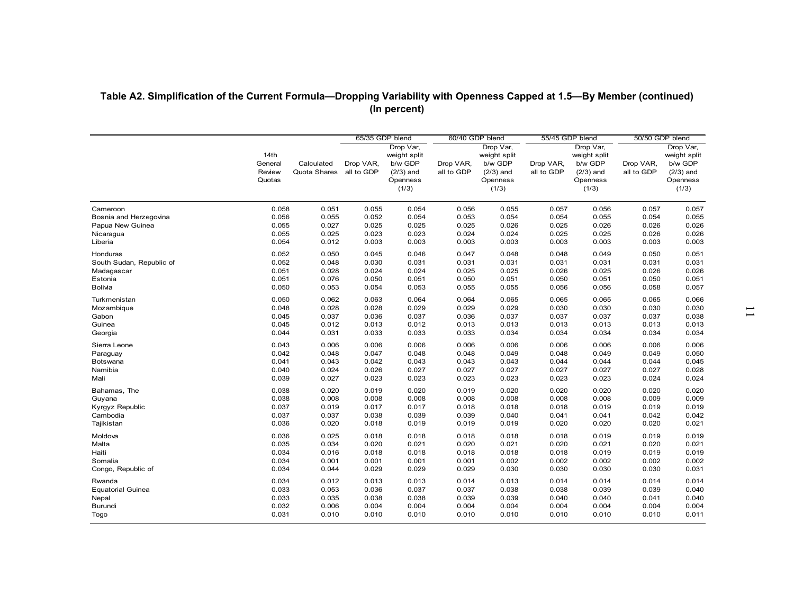|                          |                                     |                            |                         | (In percent)                                                             |                         |                                                                          |                         |                                                                          | Table A2. Simplification of the Current Formula-Dropping Variability with Openness Capped at 1.5-By Member (continued) |                                                                          |
|--------------------------|-------------------------------------|----------------------------|-------------------------|--------------------------------------------------------------------------|-------------------------|--------------------------------------------------------------------------|-------------------------|--------------------------------------------------------------------------|------------------------------------------------------------------------------------------------------------------------|--------------------------------------------------------------------------|
|                          |                                     |                            | 65/35 GDP blend         |                                                                          |                         | 60/40 GDP blend                                                          | 55/45 GDP blend         |                                                                          | 50/50 GDP blend                                                                                                        |                                                                          |
|                          | 14th<br>General<br>Review<br>Quotas | Calculated<br>Quota Shares | Drop VAR,<br>all to GDP | Drop Var,<br>weight split<br>b/w GDP<br>$(2/3)$ and<br>Openness<br>(1/3) | Drop VAR,<br>all to GDP | Drop Var,<br>weight split<br>b/w GDP<br>$(2/3)$ and<br>Openness<br>(1/3) | Drop VAR,<br>all to GDP | Drop Var,<br>weight split<br>b/w GDP<br>$(2/3)$ and<br>Openness<br>(1/3) | Drop VAR,<br>all to GDP                                                                                                | Drop Var,<br>weight split<br>b/w GDP<br>$(2/3)$ and<br>Openness<br>(1/3) |
| Cameroon                 | 0.058                               | 0.051                      | 0.055                   | 0.054                                                                    | 0.056                   | 0.055                                                                    | 0.057                   | 0.056                                                                    | 0.057                                                                                                                  | 0.057                                                                    |
| Bosnia and Herzegovina   | 0.056                               | 0.055                      | 0.052                   | 0.054                                                                    | 0.053                   | 0.054                                                                    | 0.054                   | 0.055                                                                    | 0.054                                                                                                                  | 0.055                                                                    |
| Papua New Guinea         | 0.055                               | 0.027                      | 0.025                   | 0.025                                                                    | 0.025                   | 0.026                                                                    | 0.025                   | 0.026                                                                    | 0.026                                                                                                                  | 0.026                                                                    |
| Nicaragua                | 0.055                               | 0.025                      | 0.023                   | 0.023                                                                    | 0.024                   | 0.024                                                                    | 0.025                   | 0.025                                                                    | 0.026                                                                                                                  | 0.026                                                                    |
| Liberia                  | 0.054                               | 0.012                      | 0.003                   | 0.003                                                                    | 0.003                   | 0.003                                                                    | 0.003                   | 0.003                                                                    | 0.003                                                                                                                  | 0.003                                                                    |
| Honduras                 | 0.052                               | 0.050                      | 0.045                   | 0.046                                                                    | 0.047                   | 0.048                                                                    | 0.048                   | 0.049                                                                    | 0.050                                                                                                                  | 0.051                                                                    |
| South Sudan, Republic of | 0.052                               | 0.048                      | 0.030                   | 0.031                                                                    | 0.031                   | 0.031                                                                    | 0.031                   | 0.031                                                                    | 0.031                                                                                                                  | 0.031                                                                    |
| Madagascar               | 0.051                               | 0.028                      | 0.024                   | 0.024                                                                    | 0.025                   | 0.025                                                                    | 0.026                   | 0.025                                                                    | 0.026                                                                                                                  | 0.026                                                                    |
| Estonia                  | 0.051                               | 0.076                      | 0.050                   | 0.051                                                                    | 0.050                   | 0.051                                                                    | 0.050                   | 0.051                                                                    | 0.050                                                                                                                  | 0.051                                                                    |
| Bolivia                  | 0.050                               | 0.053                      | 0.054                   | 0.053                                                                    | 0.055                   | 0.055                                                                    | 0.056                   | 0.056                                                                    | 0.058                                                                                                                  | 0.057                                                                    |
| Turkmenistan             | 0.050                               | 0.062                      | 0.063                   | 0.064                                                                    | 0.064                   | 0.065                                                                    | 0.065                   | 0.065                                                                    | 0.065                                                                                                                  | 0.066                                                                    |
| Mozambique               | 0.048                               | 0.028                      | 0.028                   | 0.029                                                                    | 0.029                   | 0.029                                                                    | 0.030                   | 0.030                                                                    | 0.030                                                                                                                  | 0.030                                                                    |
| Gabon                    | 0.045                               | 0.037                      | 0.036                   | 0.037                                                                    | 0.036                   | 0.037                                                                    | 0.037                   | 0.037                                                                    | 0.037                                                                                                                  | 0.038                                                                    |
| Guinea                   | 0.045                               | 0.012                      | 0.013                   | 0.012                                                                    | 0.013                   | 0.013                                                                    | 0.013                   | 0.013                                                                    | 0.013                                                                                                                  | 0.013                                                                    |
| Georgia                  | 0.044                               | 0.031                      | 0.033                   | 0.033                                                                    | 0.033                   | 0.034                                                                    | 0.034                   | 0.034                                                                    | 0.034                                                                                                                  | 0.034                                                                    |
| Sierra Leone             | 0.043                               | 0.006                      | 0.006                   | 0.006                                                                    | 0.006                   | 0.006                                                                    | 0.006                   | 0.006                                                                    | 0.006                                                                                                                  | 0.006                                                                    |
| Paraguay                 | 0.042                               | 0.048                      | 0.047                   | 0.048                                                                    | 0.048                   | 0.049                                                                    | 0.048                   | 0.049                                                                    | 0.049                                                                                                                  | 0.050                                                                    |
| Botswana                 | 0.041                               | 0.043                      | 0.042                   | 0.043                                                                    | 0.043                   | 0.043                                                                    | 0.044                   | 0.044                                                                    | 0.044                                                                                                                  | 0.045                                                                    |
| Namibia                  | 0.040                               | 0.024                      | 0.026                   | 0.027                                                                    | 0.027                   | 0.027                                                                    | 0.027                   | 0.027                                                                    | 0.027                                                                                                                  | 0.028                                                                    |
| Mali                     | 0.039                               | 0.027                      | 0.023                   | 0.023                                                                    | 0.023                   | 0.023                                                                    | 0.023                   | 0.023                                                                    | 0.024                                                                                                                  | 0.024                                                                    |
| Bahamas, The             | 0.038                               | 0.020                      | 0.019                   | 0.020                                                                    | 0.019                   | 0.020                                                                    | 0.020                   | 0.020                                                                    | 0.020                                                                                                                  | 0.020                                                                    |
| Guyana                   | 0.038                               | 0.008                      | 0.008                   | 0.008                                                                    | 0.008                   | 0.008                                                                    | 0.008                   | 0.008                                                                    | 0.009                                                                                                                  | 0.009                                                                    |
| Kyrgyz Republic          | 0.037                               | 0.019                      | 0.017                   | 0.017                                                                    | 0.018                   | 0.018                                                                    | 0.018                   | 0.019                                                                    | 0.019                                                                                                                  | 0.019                                                                    |
| Cambodia                 | 0.037                               | 0.037                      | 0.038                   | 0.039                                                                    | 0.039                   | 0.040                                                                    | 0.041                   | 0.041                                                                    | 0.042                                                                                                                  | 0.042                                                                    |
| Tajikistan               | 0.036                               | 0.020                      | 0.018                   | 0.019                                                                    | 0.019                   | 0.019                                                                    | 0.020                   | 0.020                                                                    | 0.020                                                                                                                  | 0.021                                                                    |
|                          |                                     |                            |                         |                                                                          |                         |                                                                          |                         |                                                                          |                                                                                                                        |                                                                          |
| Moldova                  | 0.036                               | 0.025                      | 0.018                   | 0.018                                                                    | 0.018                   | 0.018                                                                    | 0.018                   | 0.019                                                                    | 0.019                                                                                                                  | 0.019                                                                    |
| Malta                    | 0.035                               | 0.034                      | 0.020                   | 0.021                                                                    | 0.020                   | 0.021                                                                    | 0.020                   | 0.021                                                                    | 0.020                                                                                                                  | 0.021                                                                    |
| Haiti                    | 0.034                               | 0.016                      | 0.018                   | 0.018                                                                    | 0.018                   | 0.018                                                                    | 0.018                   | 0.019                                                                    | 0.019                                                                                                                  | 0.019                                                                    |
| Somalia                  | 0.034                               | 0.001                      | 0.001                   | 0.001                                                                    | 0.001                   | 0.002                                                                    | 0.002                   | 0.002                                                                    | 0.002                                                                                                                  | 0.002                                                                    |
| Congo, Republic of       | 0.034                               | 0.044                      | 0.029                   | 0.029                                                                    | 0.029                   | 0.030                                                                    | 0.030                   | 0.030                                                                    | 0.030                                                                                                                  | 0.031                                                                    |
| Rwanda                   | 0.034                               | 0.012                      | 0.013                   | 0.013                                                                    | 0.014                   | 0.013                                                                    | 0.014                   | 0.014                                                                    | 0.014                                                                                                                  | 0.014                                                                    |
| <b>Equatorial Guinea</b> | 0.033                               | 0.053                      | 0.036                   | 0.037                                                                    | 0.037                   | 0.038                                                                    | 0.038                   | 0.039                                                                    | 0.039                                                                                                                  | 0.040                                                                    |
| Nepal                    | 0.033                               | 0.035                      | 0.038                   | 0.038                                                                    | 0.039                   | 0.039                                                                    | 0.040                   | 0.040                                                                    | 0.041                                                                                                                  | 0.040                                                                    |
| Burundi                  | 0.032                               | 0.006                      | 0.004                   | 0.004                                                                    | 0.004                   | 0.004                                                                    | 0.004                   | 0.004                                                                    | 0.004                                                                                                                  | 0.004                                                                    |
| Togo                     | 0.031                               | 0.010                      | 0.010                   | 0.010                                                                    | 0.010                   | 0.010                                                                    | 0.010                   | 0.010                                                                    | 0.010                                                                                                                  |                                                                          |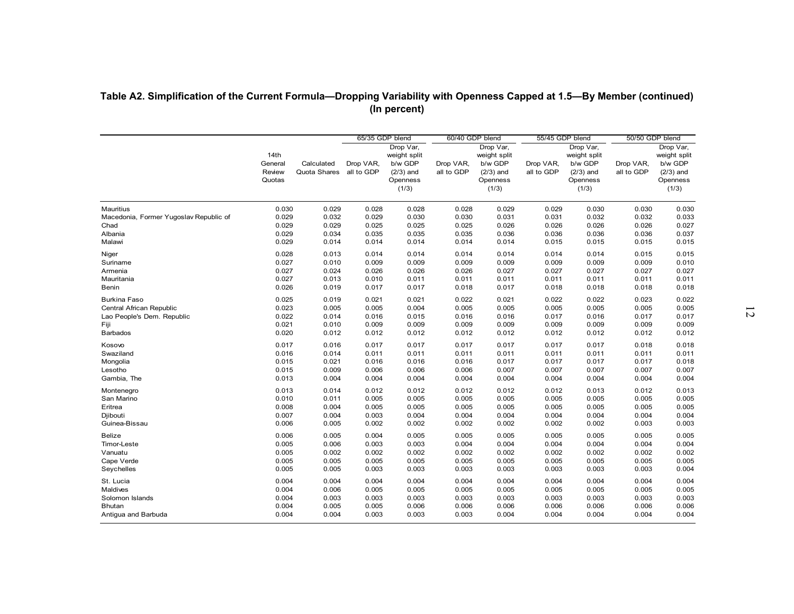| Table A2. Simplification of the Current Formula-Dropping Variability with Openness Capped at 1.5-By Member (continued) |                                     |                            |                                            | (In percent)                                                             |                         |                                                                                             |                                            |                                                                          |                                            |                                                                          |
|------------------------------------------------------------------------------------------------------------------------|-------------------------------------|----------------------------|--------------------------------------------|--------------------------------------------------------------------------|-------------------------|---------------------------------------------------------------------------------------------|--------------------------------------------|--------------------------------------------------------------------------|--------------------------------------------|--------------------------------------------------------------------------|
|                                                                                                                        | 14th<br>General<br>Review<br>Quotas | Calculated<br>Quota Shares | 65/35 GDP blend<br>Drop VAR,<br>all to GDP | Drop Var,<br>weight split<br>b/w GDP<br>$(2/3)$ and<br>Openness<br>(1/3) | Drop VAR,<br>all to GDP | 60/40 GDP blend<br>Drop Var,<br>weight split<br>b/w GDP<br>$(2/3)$ and<br>Openness<br>(1/3) | 55/45 GDP blend<br>Drop VAR,<br>all to GDP | Drop Var,<br>weight split<br>b/w GDP<br>$(2/3)$ and<br>Openness<br>(1/3) | 50/50 GDP blend<br>Drop VAR,<br>all to GDP | Drop Var,<br>weight split<br>b/w GDP<br>$(2/3)$ and<br>Openness<br>(1/3) |
| Mauritius                                                                                                              | 0.030                               | 0.029                      | 0.028                                      | 0.028                                                                    | 0.028                   | 0.029                                                                                       | 0.029                                      | 0.030                                                                    | 0.030                                      | 0.030                                                                    |
| Macedonia, Former Yugoslav Republic of                                                                                 | 0.029                               | 0.032                      | 0.029                                      | 0.030                                                                    | 0.030                   | 0.031                                                                                       | 0.031                                      | 0.032                                                                    | 0.032                                      | 0.033                                                                    |
| Chad                                                                                                                   | 0.029                               | 0.029                      | 0.025                                      | 0.025                                                                    | 0.025                   | 0.026                                                                                       | 0.026                                      | 0.026                                                                    | 0.026                                      | 0.027                                                                    |
| Albania                                                                                                                | 0.029                               | 0.034                      | 0.035                                      | 0.035                                                                    | 0.035                   | 0.036                                                                                       | 0.036                                      | 0.036                                                                    | 0.036                                      | 0.037                                                                    |
| Malawi                                                                                                                 | 0.029                               | 0.014                      | 0.014                                      | 0.014                                                                    | 0.014                   | 0.014                                                                                       | 0.015                                      | 0.015                                                                    | 0.015                                      | 0.015                                                                    |
| Niger                                                                                                                  | 0.028                               | 0.013                      | 0.014                                      | 0.014                                                                    | 0.014                   | 0.014                                                                                       | 0.014                                      | 0.014                                                                    | 0.015                                      | 0.015                                                                    |
| Suriname                                                                                                               | 0.027                               | 0.010                      | 0.009                                      | 0.009                                                                    | 0.009                   | 0.009                                                                                       | 0.009                                      | 0.009                                                                    | 0.009                                      | 0.010                                                                    |
| Armenia                                                                                                                | 0.027                               | 0.024                      | 0.026                                      | 0.026                                                                    | 0.026                   | 0.027                                                                                       | 0.027                                      | 0.027                                                                    | 0.027                                      | 0.027                                                                    |
| Mauritania                                                                                                             | 0.027                               | 0.013                      | 0.010                                      | 0.011                                                                    | 0.011                   | 0.011                                                                                       | 0.011                                      | 0.011                                                                    | 0.011                                      | 0.011                                                                    |
| Benin                                                                                                                  | 0.026                               | 0.019                      | 0.017                                      | 0.017                                                                    | 0.018                   | 0.017                                                                                       | 0.018                                      | 0.018                                                                    | 0.018                                      | 0.018                                                                    |
| <b>Burkina Faso</b>                                                                                                    | 0.025                               | 0.019                      | 0.021                                      | 0.021                                                                    | 0.022                   | 0.021                                                                                       | 0.022                                      | 0.022                                                                    | 0.023                                      | 0.022                                                                    |
| Central African Republic                                                                                               | 0.023                               | 0.005                      | 0.005                                      | 0.004                                                                    | 0.005                   | 0.005                                                                                       | 0.005                                      | 0.005                                                                    | 0.005                                      | 0.005                                                                    |
| Lao People's Dem. Republic                                                                                             | 0.022                               | 0.014                      | 0.016                                      | 0.015                                                                    | 0.016                   | 0.016                                                                                       | 0.017                                      | 0.016                                                                    | 0.017                                      | 0.017                                                                    |
| Fiji                                                                                                                   | 0.021                               | 0.010                      | 0.009                                      | 0.009                                                                    | 0.009                   | 0.009                                                                                       | 0.009                                      | 0.009                                                                    | 0.009                                      | 0.009                                                                    |
| <b>Barbados</b>                                                                                                        | 0.020                               | 0.012                      | 0.012                                      | 0.012                                                                    | 0.012                   | 0.012                                                                                       | 0.012                                      | 0.012                                                                    | 0.012                                      | 0.012                                                                    |
| Kosovo                                                                                                                 | 0.017                               | 0.016                      | 0.017                                      | 0.017                                                                    | 0.017                   | 0.017                                                                                       | 0.017                                      | 0.017                                                                    | 0.018                                      | 0.018                                                                    |
| Swaziland                                                                                                              | 0.016                               | 0.014                      | 0.011                                      | 0.011                                                                    | 0.011                   | 0.011                                                                                       | 0.011                                      | 0.011                                                                    | 0.011                                      | 0.011                                                                    |
| Mongolia                                                                                                               | 0.015                               | 0.021                      | 0.016                                      | 0.016                                                                    | 0.016                   | 0.017                                                                                       | 0.017                                      | 0.017                                                                    | 0.017                                      | 0.018                                                                    |
| Lesotho                                                                                                                | 0.015                               | 0.009                      | 0.006                                      | 0.006                                                                    | 0.006                   | 0.007                                                                                       | 0.007                                      | 0.007                                                                    | 0.007                                      | 0.007                                                                    |
| Gambia, The                                                                                                            | 0.013                               | 0.004                      | 0.004                                      | 0.004                                                                    | 0.004                   | 0.004                                                                                       | 0.004                                      | 0.004                                                                    | 0.004                                      | 0.004                                                                    |
| Montenegro                                                                                                             | 0.013                               | 0.014                      | 0.012                                      | 0.012                                                                    | 0.012                   | 0.012                                                                                       | 0.012                                      | 0.013                                                                    | 0.012                                      | 0.013                                                                    |
| San Marino                                                                                                             | 0.010                               | 0.011                      | 0.005                                      | 0.005                                                                    | 0.005                   | 0.005                                                                                       | 0.005                                      | 0.005                                                                    | 0.005                                      | 0.005                                                                    |
| Eritrea                                                                                                                | 0.008                               | 0.004                      | 0.005                                      | 0.005                                                                    | 0.005                   | 0.005                                                                                       | 0.005                                      | 0.005                                                                    | 0.005                                      | 0.005                                                                    |
| Djibouti                                                                                                               | 0.007                               | 0.004                      | 0.003                                      | 0.004                                                                    | 0.004                   | 0.004                                                                                       | 0.004                                      | 0.004                                                                    | 0.004                                      | 0.004                                                                    |
| Guinea-Bissau                                                                                                          | 0.006                               | 0.005                      | 0.002                                      | 0.002                                                                    | 0.002                   | 0.002                                                                                       | 0.002                                      | 0.002                                                                    | 0.003                                      | 0.003                                                                    |
| Belize                                                                                                                 | 0.006                               | 0.005                      | 0.004                                      | 0.005                                                                    | 0.005                   | 0.005                                                                                       | 0.005                                      | 0.005                                                                    | 0.005                                      | 0.005                                                                    |
| Timor-Leste                                                                                                            | 0.005                               | 0.006                      | 0.003                                      | 0.003                                                                    | 0.004                   | 0.004                                                                                       | 0.004                                      | 0.004                                                                    | 0.004                                      | 0.004                                                                    |
| Vanuatu                                                                                                                | 0.005                               | 0.002                      | 0.002                                      | 0.002                                                                    | 0.002                   | 0.002                                                                                       | 0.002                                      | 0.002                                                                    | 0.002                                      | 0.002                                                                    |
| Cape Verde                                                                                                             | 0.005                               | 0.005                      | 0.005                                      | 0.005                                                                    | 0.005                   | 0.005                                                                                       | 0.005                                      | 0.005                                                                    | 0.005                                      | 0.005                                                                    |
| Seychelles                                                                                                             | 0.005                               | 0.005                      | 0.003                                      | 0.003                                                                    | 0.003                   | 0.003                                                                                       | 0.003                                      | 0.003                                                                    | 0.003                                      | 0.004                                                                    |
| St. Lucia                                                                                                              | 0.004                               | 0.004                      | 0.004                                      | 0.004                                                                    | 0.004                   | 0.004                                                                                       | 0.004                                      | 0.004                                                                    | 0.004                                      | 0.004                                                                    |
| Maldives                                                                                                               | 0.004                               | 0.006                      | 0.005                                      | 0.005                                                                    | 0.005                   | 0.005                                                                                       | 0.005                                      | 0.005                                                                    | 0.005                                      | 0.005                                                                    |
| Solomon Islands                                                                                                        | 0.004                               | 0.003                      | 0.003                                      | 0.003                                                                    | 0.003                   | 0.003                                                                                       | 0.003                                      | 0.003                                                                    | 0.003                                      | 0.003                                                                    |
| <b>Bhutan</b>                                                                                                          | 0.004                               | 0.005                      | 0.005                                      | 0.006                                                                    | 0.006                   | 0.006                                                                                       | 0.006                                      | 0.006                                                                    | 0.006                                      | 0.006                                                                    |
| Antigua and Barbuda                                                                                                    | 0.004                               | 0.004                      | 0.003                                      | 0.003                                                                    | 0.003                   | 0.004                                                                                       | 0.004                                      | 0.004                                                                    | 0.004                                      | 0.004                                                                    |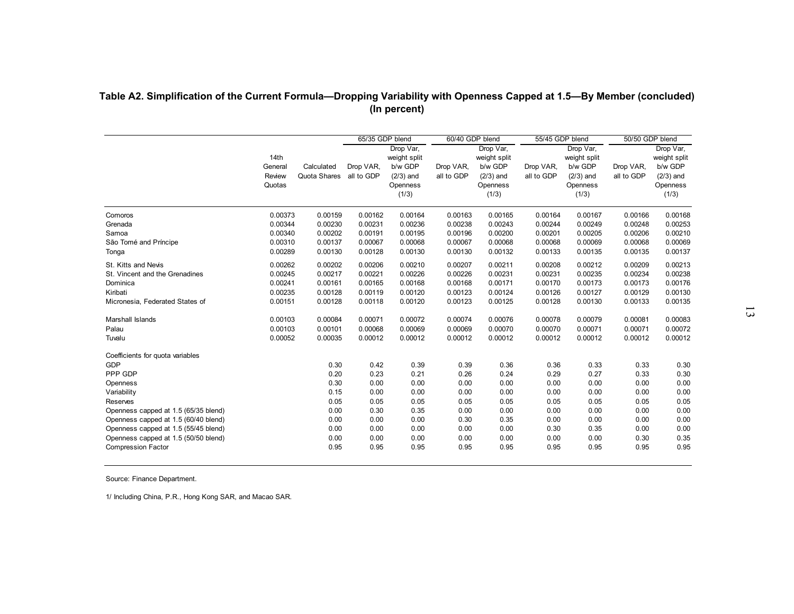|                                      |                                     |                                       |                              | (In percent)                                                             |                         | 60/40 GDP blend                                                          |                         | 55/45 GDP blend                                                          |                                            |                                                                          |
|--------------------------------------|-------------------------------------|---------------------------------------|------------------------------|--------------------------------------------------------------------------|-------------------------|--------------------------------------------------------------------------|-------------------------|--------------------------------------------------------------------------|--------------------------------------------|--------------------------------------------------------------------------|
|                                      | 14th<br>General<br>Review<br>Quotas | Calculated<br>Quota Shares all to GDP | 65/35 GDP blend<br>Drop VAR, | Drop Var,<br>weight split<br>b/w GDP<br>$(2/3)$ and<br>Openness<br>(1/3) | Drop VAR,<br>all to GDP | Drop Var,<br>weight split<br>b/w GDP<br>$(2/3)$ and<br>Openness<br>(1/3) | Drop VAR,<br>all to GDP | Drop Var,<br>weight split<br>b/w GDP<br>$(2/3)$ and<br>Openness<br>(1/3) | 50/50 GDP blend<br>Drop VAR,<br>all to GDP | Drop Var,<br>weight split<br>b/w GDP<br>$(2/3)$ and<br>Openness<br>(1/3) |
| Comoros                              | 0.00373                             | 0.00159                               | 0.00162                      | 0.00164                                                                  | 0.00163                 | 0.00165                                                                  | 0.00164                 | 0.00167                                                                  | 0.00166                                    | 0.00168                                                                  |
| Grenada<br>Samoa                     | 0.00344<br>0.00340                  | 0.00230<br>0.00202                    | 0.00231<br>0.00191           | 0.00236<br>0.00195                                                       | 0.00238<br>0.00196      | 0.00243<br>0.00200                                                       | 0.00244<br>0.00201      | 0.00249<br>0.00205                                                       | 0.00248<br>0.00206                         | 0.00253<br>0.00210                                                       |
| São Tomé and Príncipe                | 0.00310                             | 0.00137                               | 0.00067                      | 0.00068                                                                  | 0.00067                 | 0.00068                                                                  | 0.00068                 | 0.00069                                                                  | 0.00068                                    | 0.00069                                                                  |
| Tonga                                | 0.00289                             | 0.00130                               | 0.00128                      | 0.00130                                                                  | 0.00130                 | 0.00132                                                                  | 0.00133                 | 0.00135                                                                  | 0.00135                                    | 0.00137                                                                  |
| St. Kitts and Nevis                  | 0.00262                             | 0.00202                               | 0.00206                      | 0.00210                                                                  | 0.00207                 | 0.00211                                                                  | 0.00208                 | 0.00212                                                                  | 0.00209                                    | 0.00213                                                                  |
| St. Vincent and the Grenadines       | 0.00245                             | 0.00217                               | 0.00221                      | 0.00226                                                                  | 0.00226                 | 0.00231                                                                  | 0.00231                 | 0.00235                                                                  | 0.00234                                    | 0.00238                                                                  |
| Dominica                             | 0.00241                             | 0.00161                               | 0.00165                      | 0.00168                                                                  | 0.00168                 | 0.00171                                                                  | 0.00170                 | 0.00173                                                                  | 0.00173                                    | 0.00176                                                                  |
| Kiribati                             | 0.00235                             | 0.00128                               | 0.00119                      | 0.00120                                                                  | 0.00123                 | 0.00124                                                                  | 0.00126                 | 0.00127                                                                  | 0.00129                                    | 0.00130                                                                  |
| Micronesia, Federated States of      | 0.00151                             | 0.00128                               | 0.00118                      | 0.00120                                                                  | 0.00123                 | 0.00125                                                                  | 0.00128                 | 0.00130                                                                  | 0.00133                                    | 0.00135                                                                  |
| Marshall Islands                     | 0.00103                             | 0.00084                               | 0.00071                      | 0.00072                                                                  | 0.00074                 | 0.00076                                                                  | 0.00078                 | 0.00079                                                                  | 0.00081                                    | 0.00083                                                                  |
| Palau                                | 0.00103                             | 0.00101                               | 0.00068                      | 0.00069                                                                  | 0.00069                 | 0.00070                                                                  | 0.00070                 | 0.00071                                                                  | 0.00071                                    | 0.00072                                                                  |
| Tuvalu                               | 0.00052                             | 0.00035                               | 0.00012                      | 0.00012                                                                  | 0.00012                 | 0.00012                                                                  | 0.00012                 | 0.00012                                                                  | 0.00012                                    | 0.00012                                                                  |
| Coefficients for quota variables     |                                     |                                       |                              |                                                                          |                         |                                                                          |                         |                                                                          |                                            |                                                                          |
| <b>GDP</b>                           |                                     | 0.30                                  | 0.42                         | 0.39                                                                     | 0.39                    | 0.36                                                                     | 0.36                    | 0.33                                                                     | 0.33                                       | 0.30                                                                     |
| PPP GDP                              |                                     | 0.20                                  | 0.23                         | 0.21                                                                     | 0.26                    | 0.24                                                                     | 0.29                    | 0.27                                                                     | 0.33                                       | 0.30                                                                     |
| Openness<br>Variability              |                                     | 0.30<br>0.15                          | 0.00<br>0.00                 | 0.00<br>0.00                                                             | 0.00<br>0.00            | 0.00<br>0.00                                                             | 0.00<br>0.00            | 0.00<br>0.00                                                             | 0.00<br>0.00                               | 0.00<br>0.00                                                             |
| Reserves                             |                                     | 0.05                                  | 0.05                         | 0.05                                                                     | 0.05                    | 0.05                                                                     | 0.05                    | 0.05                                                                     | 0.05                                       | 0.05                                                                     |
| Openness capped at 1.5 (65/35 blend) |                                     | 0.00                                  | 0.30                         | 0.35                                                                     | 0.00                    | 0.00                                                                     | 0.00                    | 0.00                                                                     | 0.00                                       | 0.00                                                                     |
| Openness capped at 1.5 (60/40 blend) |                                     | 0.00                                  | 0.00                         | 0.00                                                                     | 0.30                    | 0.35                                                                     | 0.00                    | 0.00                                                                     | 0.00                                       | 0.00                                                                     |
| Openness capped at 1.5 (55/45 blend) |                                     | 0.00                                  | 0.00                         | 0.00                                                                     | 0.00                    | 0.00                                                                     | 0.30                    | 0.35                                                                     | 0.00                                       | 0.00                                                                     |
| Openness capped at 1.5 (50/50 blend) |                                     | 0.00                                  | 0.00                         | 0.00                                                                     | 0.00                    | 0.00                                                                     | 0.00                    | 0.00                                                                     | 0.30                                       | 0.35                                                                     |
| <b>Compression Factor</b>            |                                     | 0.95                                  | 0.95                         | 0.95                                                                     | 0.95                    | 0.95                                                                     | 0.95                    | 0.95                                                                     | 0.95                                       | 0.95                                                                     |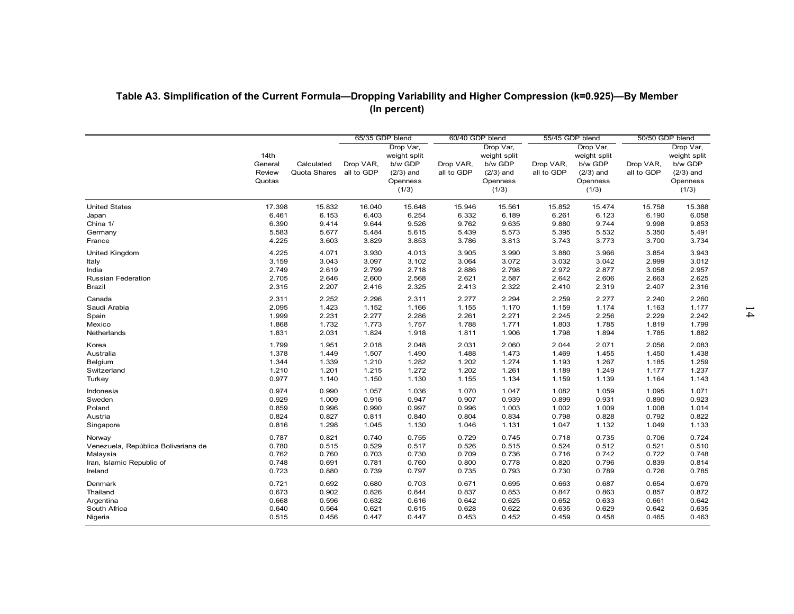| Table A3. Simplification of the Current Formula-Dropping Variability and Higher Compression (k=0.925)-By Member |                  |                |                 |                         |                 |                         |                 |                         |                 |                         |
|-----------------------------------------------------------------------------------------------------------------|------------------|----------------|-----------------|-------------------------|-----------------|-------------------------|-----------------|-------------------------|-----------------|-------------------------|
|                                                                                                                 |                  |                |                 | (In percent)            |                 |                         |                 |                         |                 |                         |
|                                                                                                                 |                  |                |                 |                         |                 |                         |                 |                         |                 |                         |
|                                                                                                                 |                  |                | 65/35 GDP blend | Drop Var,               | 60/40 GDP blend | Drop Var,               | 55/45 GDP blend | Drop Var,               | 50/50 GDP blend | Drop Var,               |
|                                                                                                                 | 14th             |                |                 | weight split            |                 | weight split            |                 | weight split            |                 | weight split            |
|                                                                                                                 | General          | Calculated     | Drop VAR,       | b/w GDP                 | Drop VAR,       | b/w GDP                 | Drop VAR,       | b/w GDP                 | Drop VAR,       | b/w GDP                 |
|                                                                                                                 | Review<br>Quotas | Quota Shares   | all to GDP      | $(2/3)$ and<br>Openness | all to GDP      | $(2/3)$ and<br>Openness | all to GDP      | $(2/3)$ and<br>Openness | all to GDP      | $(2/3)$ and<br>Openness |
|                                                                                                                 |                  |                |                 | (1/3)                   |                 | (1/3)                   |                 | (1/3)                   |                 | (1/3)                   |
| <b>United States</b>                                                                                            | 17.398           | 15.832         | 16.040          | 15.648                  | 15.946          | 15.561                  | 15.852          | 15.474                  | 15.758          | 15.388                  |
| Japan                                                                                                           | 6.461            | 6.153          | 6.403           | 6.254                   | 6.332           | 6.189                   | 6.261           | 6.123                   | 6.190           | 6.058                   |
| China 1/                                                                                                        | 6.390            | 9.414          | 9.644           | 9.526<br>5.615          | 9.762<br>5.439  | 9.635                   | 9.880           | 9.744<br>5.532          | 9.998           | 9.853<br>5.491          |
| Germany<br>France                                                                                               | 5.583<br>4.225   | 5.677<br>3.603 | 5.484<br>3.829  | 3.853                   | 3.786           | 5.573<br>3.813          | 5.395<br>3.743  | 3.773                   | 5.350<br>3.700  | 3.734                   |
| United Kingdom                                                                                                  | 4.225            | 4.071          | 3.930           | 4.013                   | 3.905           | 3.990                   | 3.880           | 3.966                   | 3.854           | 3.943                   |
| Italy                                                                                                           | 3.159            | 3.043          | 3.097           | 3.102                   | 3.064           | 3.072                   | 3.032           | 3.042                   | 2.999           | 3.012                   |
| India                                                                                                           | 2.749            | 2.619          | 2.799           | 2.718                   | 2.886           | 2.798                   | 2.972           | 2.877                   | 3.058           | 2.957                   |
| Russian Federation                                                                                              | 2.705            | 2.646          | 2.600           | 2.568                   | 2.621           | 2.587                   | 2.642           | 2.606                   | 2.663           | 2.625                   |
| Brazil                                                                                                          | 2.315            | 2.207          | 2.416           | 2.325                   | 2.413           | 2.322                   | 2.410           | 2.319                   | 2.407           | 2.316                   |
| Canada                                                                                                          | 2.311            | 2.252          | 2.296           | 2.311                   | 2.277           | 2.294                   | 2.259           | 2.277                   | 2.240           | 2.260                   |
| Saudi Arabia                                                                                                    | 2.095            | 1.423          | 1.152           | 1.166                   | 1.155           | 1.170                   | 1.159           | 1.174                   | 1.163           | 1.177                   |
| Spain                                                                                                           | 1.999            | 2.231          | 2.277           | 2.286                   | 2.261           | 2.271                   | 2.245           | 2.256                   | 2.229           | 2.242                   |
| Mexico<br>Netherlands                                                                                           | 1.868<br>1.831   | 1.732<br>2.031 | 1.773<br>1.824  | 1.757<br>1.918          | 1.788<br>1.811  | 1.771<br>1.906          | 1.803<br>1.798  | 1.785<br>1.894          | 1.819<br>1.785  | 1.799<br>1.882          |
|                                                                                                                 |                  |                |                 |                         |                 |                         |                 |                         |                 |                         |
| Korea<br>Australia                                                                                              | 1.799<br>1.378   | 1.951<br>1.449 | 2.018<br>1.507  | 2.048<br>1.490          | 2.031<br>1.488  | 2.060<br>1.473          | 2.044<br>1.469  | 2.071<br>1.455          | 2.056<br>1.450  | 2.083<br>1.438          |
| Belgium                                                                                                         | 1.344            | 1.339          | 1.210           | 1.282                   | 1.202           | 1.274                   | 1.193           | 1.267                   | 1.185           | 1.259                   |
| Switzerland                                                                                                     | 1.210            | 1.201          | 1.215           | 1.272                   | 1.202           | 1.261                   | 1.189           | 1.249                   | 1.177           | 1.237                   |
| Turkey                                                                                                          | 0.977            | 1.140          | 1.150           | 1.130                   | 1.155           | 1.134                   | 1.159           | 1.139                   | 1.164           | 1.143                   |
| Indonesia                                                                                                       | 0.974            | 0.990          | 1.057           | 1.036                   | 1.070           | 1.047                   | 1.082           | 1.059                   | 1.095           | 1.071                   |
| Sweden                                                                                                          | 0.929            | 1.009          | 0.916           | 0.947                   | 0.907           | 0.939                   | 0.899           | 0.931                   | 0.890           | 0.923                   |
| Poland                                                                                                          | 0.859            | 0.996          | 0.990           | 0.997                   | 0.996           | 1.003                   | 1.002           | 1.009                   | 1.008           | 1.014                   |
| Austria                                                                                                         | 0.824            | 0.827          | 0.811           | 0.840                   | 0.804           | 0.834                   | 0.798           | 0.828                   | 0.792           | 0.822                   |
| Singapore                                                                                                       | 0.816            | 1.298          | 1.045           | 1.130                   | 1.046           | 1.131                   | 1.047           | 1.132                   | 1.049           | 1.133                   |
| Norway                                                                                                          | 0.787            | 0.821          | 0.740           | 0.755                   | 0.729           | 0.745                   | 0.718           | 0.735                   | 0.706           | 0.724                   |
| Venezuela, República Bolivariana de                                                                             | 0.780<br>0.762   | 0.515<br>0.760 | 0.529<br>0.703  | 0.517<br>0.730          | 0.526<br>0.709  | 0.515<br>0.736          | 0.524<br>0.716  | 0.512<br>0.742          | 0.521<br>0.722  | 0.510<br>0.748          |
| Malaysia<br>Iran, Islamic Republic of                                                                           | 0.748            | 0.691          | 0.781           | 0.760                   | 0.800           | 0.778                   | 0.820           | 0.796                   | 0.839           | 0.814                   |
| Ireland                                                                                                         | 0.723            | 0.880          | 0.739           | 0.797                   | 0.735           | 0.793                   | 0.730           | 0.789                   | 0.726           | 0.785                   |
| Denmark                                                                                                         | 0.721            | 0.692          | 0.680           | 0.703                   | 0.671           | 0.695                   | 0.663           | 0.687                   | 0.654           | 0.679                   |
| Thailand                                                                                                        | 0.673            | 0.902          | 0.826           | 0.844                   | 0.837           | 0.853                   | 0.847           | 0.863                   | 0.857           | 0.872                   |
| Argentina                                                                                                       | 0.668            | 0.596          | 0.632           | 0.616                   | 0.642           | 0.625                   | 0.652           | 0.633                   | 0.661           | 0.642                   |
| South Africa                                                                                                    | 0.640            | 0.564          | 0.621           | 0.615                   | 0.628           | 0.622                   | 0.635           | 0.629                   | 0.642           | 0.635                   |
| Nigeria                                                                                                         | 0.515            | 0.456          | 0.447           | 0.447                   | 0.453           | 0.452                   | 0.459           | 0.458                   | 0.465           | 0.463                   |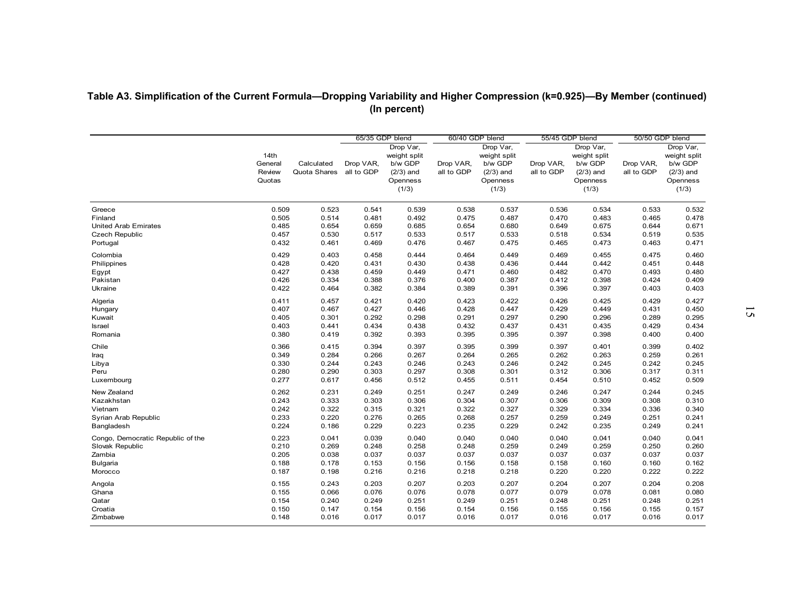|                                   |                                     |                            | 65/35 GDP blend         |                                                             | 60/40 GDP blend         |                                                             | 55/45 GDP blend         |                                                             | 50/50 GDP blend         |                                                             |
|-----------------------------------|-------------------------------------|----------------------------|-------------------------|-------------------------------------------------------------|-------------------------|-------------------------------------------------------------|-------------------------|-------------------------------------------------------------|-------------------------|-------------------------------------------------------------|
|                                   |                                     |                            |                         | Drop Var,                                                   |                         | Drop Var,                                                   |                         | Drop Var,                                                   |                         | Drop Var,                                                   |
|                                   | 14th<br>General<br>Review<br>Quotas | Calculated<br>Quota Shares | Drop VAR,<br>all to GDP | weight split<br>b/w GDP<br>$(2/3)$ and<br>Openness<br>(1/3) | Drop VAR,<br>all to GDP | weight split<br>b/w GDP<br>$(2/3)$ and<br>Openness<br>(1/3) | Drop VAR,<br>all to GDP | weight split<br>b/w GDP<br>$(2/3)$ and<br>Openness<br>(1/3) | Drop VAR,<br>all to GDP | weight split<br>b/w GDP<br>$(2/3)$ and<br>Openness<br>(1/3) |
| Greece                            | 0.509                               | 0.523                      | 0.541                   | 0.539                                                       | 0.538                   | 0.537                                                       | 0.536                   | 0.534                                                       | 0.533                   | 0.532                                                       |
| Finland                           | 0.505                               | 0.514                      | 0.481                   | 0.492                                                       | 0.475                   | 0.487                                                       | 0.470                   | 0.483                                                       | 0.465                   | 0.478                                                       |
| <b>United Arab Emirates</b>       | 0.485                               | 0.654                      | 0.659                   | 0.685                                                       | 0.654                   | 0.680                                                       | 0.649                   | 0.675                                                       | 0.644                   | 0.671                                                       |
| <b>Czech Republic</b>             | 0.457                               | 0.530                      | 0.517                   | 0.533                                                       | 0.517                   | 0.533                                                       | 0.518                   | 0.534                                                       | 0.519                   | 0.535                                                       |
| Portugal                          | 0.432                               | 0.461                      | 0.469                   | 0.476                                                       | 0.467                   | 0.475                                                       | 0.465                   | 0.473                                                       | 0.463                   | 0.471                                                       |
| Colombia                          | 0.429                               | 0.403                      | 0.458                   | 0.444                                                       | 0.464                   | 0.449                                                       | 0.469                   | 0.455                                                       | 0.475                   | 0.460                                                       |
| Philippines                       | 0.428                               | 0.420                      | 0.431                   | 0.430                                                       | 0.438                   | 0.436                                                       | 0.444                   | 0.442                                                       | 0.451                   | 0.448                                                       |
| Egypt                             | 0.427                               | 0.438                      | 0.459                   | 0.449                                                       | 0.471                   | 0.460                                                       | 0.482                   | 0.470                                                       | 0.493                   | 0.480                                                       |
| Pakistan                          | 0.426                               | 0.334                      | 0.388                   | 0.376                                                       | 0.400                   | 0.387                                                       | 0.412                   | 0.398                                                       | 0.424                   | 0.409                                                       |
| Ukraine                           | 0.422                               | 0.464                      | 0.382                   | 0.384                                                       | 0.389                   | 0.391                                                       | 0.396                   | 0.397                                                       | 0.403                   | 0.403                                                       |
| Algeria                           | 0.411                               | 0.457                      | 0.421                   | 0.420                                                       | 0.423                   | 0.422                                                       | 0.426                   | 0.425                                                       | 0.429                   | 0.427                                                       |
| Hungary                           | 0.407                               | 0.467                      | 0.427                   | 0.446                                                       | 0.428                   | 0.447                                                       | 0.429                   | 0.449                                                       | 0.431                   | 0.450                                                       |
| Kuwait                            | 0.405                               | 0.301                      | 0.292                   | 0.298                                                       | 0.291                   | 0.297                                                       | 0.290                   | 0.296                                                       | 0.289                   | 0.295                                                       |
| Israel                            | 0.403                               | 0.441                      | 0.434                   | 0.438                                                       | 0.432                   | 0.437                                                       | 0.431                   | 0.435                                                       | 0.429                   | 0.434                                                       |
| Romania                           | 0.380                               | 0.419                      | 0.392                   | 0.393                                                       | 0.395                   | 0.395                                                       | 0.397                   | 0.398                                                       | 0.400                   | 0.400                                                       |
| Chile                             | 0.366                               | 0.415                      | 0.394                   | 0.397                                                       | 0.395                   | 0.399                                                       | 0.397                   | 0.401                                                       | 0.399                   | 0.402                                                       |
| Iraq                              | 0.349                               | 0.284                      | 0.266                   | 0.267                                                       | 0.264                   | 0.265                                                       | 0.262                   | 0.263                                                       | 0.259                   | 0.261                                                       |
| Libya                             | 0.330                               | 0.244                      | 0.243                   | 0.246                                                       | 0.243                   | 0.246                                                       | 0.242                   | 0.245                                                       | 0.242                   | 0.245                                                       |
| Peru                              | 0.280                               | 0.290                      | 0.303                   | 0.297                                                       | 0.308                   | 0.301                                                       | 0.312                   | 0.306                                                       | 0.317                   | 0.311                                                       |
| Luxembourg                        | 0.277                               | 0.617                      | 0.456                   | 0.512                                                       | 0.455                   | 0.511                                                       | 0.454                   | 0.510                                                       | 0.452                   | 0.509                                                       |
| New Zealand                       | 0.262                               | 0.231                      | 0.249                   | 0.251                                                       | 0.247                   | 0.249                                                       | 0.246                   | 0.247                                                       | 0.244                   | 0.245                                                       |
| Kazakhstan                        | 0.243                               | 0.333                      | 0.303                   | 0.306                                                       | 0.304                   | 0.307                                                       | 0.306                   | 0.309                                                       | 0.308                   | 0.310                                                       |
| Vietnam                           | 0.242                               | 0.322                      | 0.315                   | 0.321                                                       | 0.322                   | 0.327                                                       | 0.329                   | 0.334                                                       | 0.336                   | 0.340                                                       |
| Syrian Arab Republic              | 0.233                               | 0.220                      | 0.276                   | 0.265                                                       | 0.268                   | 0.257                                                       | 0.259                   | 0.249                                                       | 0.251                   | 0.241                                                       |
| Bangladesh                        | 0.224                               | 0.186                      | 0.229                   | 0.223                                                       | 0.235                   | 0.229                                                       | 0.242                   | 0.235                                                       | 0.249                   | 0.241                                                       |
| Congo, Democratic Republic of the | 0.223                               | 0.041                      | 0.039                   | 0.040                                                       | 0.040                   | 0.040                                                       | 0.040                   | 0.041                                                       | 0.040                   | 0.041                                                       |
| Slovak Republic                   | 0.210                               | 0.269                      | 0.248                   | 0.258                                                       | 0.248                   | 0.259                                                       | 0.249                   | 0.259                                                       | 0.250                   | 0.260                                                       |
| Zambia                            | 0.205                               | 0.038                      | 0.037                   | 0.037                                                       | 0.037                   | 0.037                                                       | 0.037                   | 0.037                                                       | 0.037                   | 0.037                                                       |
| Bulgaria                          | 0.188                               | 0.178                      | 0.153                   | 0.156                                                       | 0.156                   | 0.158                                                       | 0.158                   | 0.160                                                       | 0.160                   | 0.162                                                       |
| Morocco                           | 0.187                               | 0.198                      | 0.216                   | 0.216                                                       | 0.218                   | 0.218                                                       | 0.220                   | 0.220                                                       | 0.222                   | 0.222                                                       |
|                                   |                                     |                            |                         |                                                             |                         |                                                             |                         |                                                             |                         |                                                             |
| Angola                            | 0.155                               | 0.243                      | 0.203                   | 0.207                                                       | 0.203                   | 0.207                                                       | 0.204                   | 0.207                                                       | 0.204                   | 0.208                                                       |
| Ghana                             | 0.155                               | 0.066                      | 0.076                   | 0.076                                                       | 0.078                   | 0.077                                                       | 0.079                   | 0.078                                                       | 0.081                   | 0.080                                                       |
| Qatar                             | 0.154                               | 0.240<br>0.147             | 0.249                   | 0.251                                                       | 0.249                   | 0.251                                                       | 0.248                   | 0.251                                                       | 0.248<br>0.155          | 0.251                                                       |
| Croatia<br>Zimbabwe               | 0.150<br>0.148                      | 0.016                      | 0.154<br>0.017          | 0.156<br>0.017                                              | 0.154<br>0.016          | 0.156<br>0.017                                              | 0.155<br>0.016          | 0.156<br>0.017                                              | 0.016                   | 0.157<br>0.017                                              |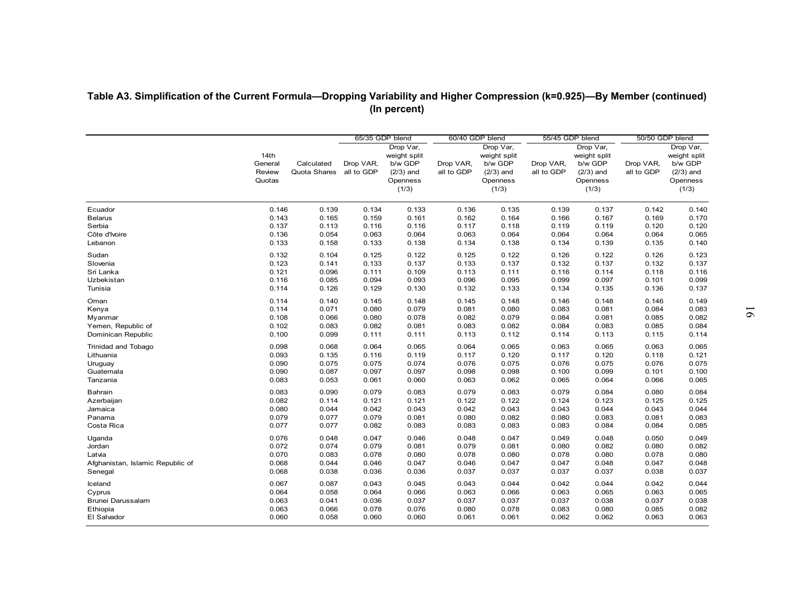| Table A3. Simplification of the Current Formula—Dropping Variability and Higher Compression (k=0.925)—By Member (continued) |                 |                |                 |                         |                |                         |                 |                         |                 |                         |
|-----------------------------------------------------------------------------------------------------------------------------|-----------------|----------------|-----------------|-------------------------|----------------|-------------------------|-----------------|-------------------------|-----------------|-------------------------|
|                                                                                                                             |                 |                |                 | (In percent)            |                |                         |                 |                         |                 |                         |
|                                                                                                                             |                 |                |                 |                         |                |                         |                 |                         |                 |                         |
|                                                                                                                             |                 |                | 65/35 GDP blend |                         |                | 60/40 GDP blend         | 55/45 GDP blend |                         | 50/50 GDP blend |                         |
|                                                                                                                             |                 |                |                 | Drop Var,               |                | Drop Var,               |                 | Drop Var,               |                 | Drop Var,               |
|                                                                                                                             | 14th<br>General | Calculated     | Drop VAR,       | weight split<br>b/w GDP | Drop VAR,      | weight split<br>b/w GDP | Drop VAR,       | weight split<br>b/w GDP | Drop VAR,       | weight split<br>b/w GDP |
|                                                                                                                             | Review          | Quota Shares   | all to GDP      | $(2/3)$ and             | all to GDP     | $(2/3)$ and             | all to GDP      | $(2/3)$ and             | all to GDP      | $(2/3)$ and             |
|                                                                                                                             | Quotas          |                |                 | Openness<br>(1/3)       |                | Openness<br>(1/3)       |                 | Openness<br>(1/3)       |                 | Openness<br>(1/3)       |
|                                                                                                                             |                 |                |                 |                         |                |                         |                 |                         |                 |                         |
| Ecuador                                                                                                                     | 0.146           | 0.139          | 0.134           | 0.133                   | 0.136          | 0.135                   | 0.139           | 0.137                   | 0.142           | 0.140                   |
| <b>Belarus</b>                                                                                                              | 0.143           | 0.165          | 0.159           | 0.161                   | 0.162          | 0.164                   | 0.166           | 0.167                   | 0.169           | 0.170                   |
| Serbia                                                                                                                      | 0.137           | 0.113<br>0.054 | 0.116           | 0.116                   | 0.117          | 0.118<br>0.064          | 0.119           | 0.119                   | 0.120           | 0.120                   |
| Côte d'Ivoire<br>Lebanon                                                                                                    | 0.136<br>0.133  | 0.158          | 0.063<br>0.133  | 0.064<br>0.138          | 0.063<br>0.134 | 0.138                   | 0.064<br>0.134  | 0.064<br>0.139          | 0.064<br>0.135  | 0.065<br>0.140          |
| Sudan                                                                                                                       | 0.132           | 0.104          | 0.125           | 0.122                   | 0.125          | 0.122                   | 0.126           | 0.122                   | 0.126           | 0.123                   |
| Slovenia                                                                                                                    | 0.123           | 0.141          | 0.133           | 0.137                   | 0.133          | 0.137                   | 0.132           | 0.137                   | 0.132           | 0.137                   |
| Sri Lanka                                                                                                                   | 0.121           | 0.096          | 0.111           | 0.109                   | 0.113          | 0.111                   | 0.116           | 0.114                   | 0.118           | 0.116                   |
| Uzbekistan                                                                                                                  | 0.116           | 0.085          | 0.094           | 0.093                   | 0.096          | 0.095                   | 0.099           | 0.097                   | 0.101           | 0.099                   |
| Tunisia                                                                                                                     | 0.114           | 0.126          | 0.129           | 0.130                   | 0.132          | 0.133                   | 0.134           | 0.135                   | 0.136           | 0.137                   |
| Oman                                                                                                                        | 0.114           | 0.140          | 0.145           | 0.148                   | 0.145          | 0.148                   | 0.146           | 0.148                   | 0.146           | 0.149                   |
| Kenya                                                                                                                       | 0.114           | 0.071          | 0.080           | 0.079                   | 0.081          | 0.080                   | 0.083           | 0.081                   | 0.084           | 0.083                   |
| Myanmar                                                                                                                     | 0.108           | 0.066          | 0.080           | 0.078                   | 0.082          | 0.079                   | 0.084           | 0.081                   | 0.085           | 0.082                   |
| Yemen, Republic of                                                                                                          | 0.102           | 0.083          | 0.082           | 0.081                   | 0.083          | 0.082                   | 0.084           | 0.083                   | 0.085           | 0.084                   |
| Dominican Republic                                                                                                          | 0.100           | 0.099          | 0.111           | 0.111                   | 0.113          | 0.112                   | 0.114           | 0.113                   | 0.115           | 0.114                   |
| Trinidad and Tobago                                                                                                         | 0.098           | 0.068          | 0.064           | 0.065                   | 0.064          | 0.065                   | 0.063           | 0.065                   | 0.063           | 0.065                   |
| Lithuania                                                                                                                   | 0.093           | 0.135          | 0.116           | 0.119                   | 0.117          | 0.120                   | 0.117           | 0.120                   | 0.118           | 0.121                   |
| Uruguay                                                                                                                     | 0.090           | 0.075          | 0.075           | 0.074                   | 0.076          | 0.075                   | 0.076           | 0.075                   | 0.076           | 0.075                   |
| Guatemala<br>Tanzania                                                                                                       | 0.090<br>0.083  | 0.087<br>0.053 | 0.097<br>0.061  | 0.097<br>0.060          | 0.098<br>0.063 | 0.098<br>0.062          | 0.100<br>0.065  | 0.099<br>0.064          | 0.101<br>0.066  | 0.100<br>0.065          |
| Bahrain                                                                                                                     | 0.083           | 0.090          | 0.079           | 0.083                   | 0.079          | 0.083                   | 0.079           | 0.084                   | 0.080           | 0.084                   |
| Azerbaijan                                                                                                                  | 0.082           | 0.114          | 0.121           | 0.121                   | 0.122          | 0.122                   | 0.124           | 0.123                   | 0.125           | 0.125                   |
| Jamaica                                                                                                                     | 0.080           | 0.044          | 0.042           | 0.043                   | 0.042          | 0.043                   | 0.043           | 0.044                   | 0.043           | 0.044                   |
| Panama                                                                                                                      | 0.079           | 0.077          | 0.079           | 0.081                   | 0.080          | 0.082                   | 0.080           | 0.083                   | 0.081           | 0.083                   |
| Costa Rica                                                                                                                  | 0.077           | 0.077          | 0.082           | 0.083                   | 0.083          | 0.083                   | 0.083           | 0.084                   | 0.084           | 0.085                   |
| Uganda                                                                                                                      | 0.076           | 0.048          | 0.047           | 0.046                   | 0.048          | 0.047                   | 0.049           | 0.048                   | 0.050           | 0.049                   |
| Jordan                                                                                                                      | 0.072           | 0.074          | 0.079           | 0.081                   | 0.079          | 0.081                   | 0.080           | 0.082                   | 0.080           | 0.082                   |
| Latvia                                                                                                                      | 0.070           | 0.083          | 0.078           | 0.080                   | 0.078          | 0.080                   | 0.078           | 0.080                   | 0.078           | 0.080                   |
| Afghanistan, Islamic Republic of                                                                                            | 0.068           | 0.044          | 0.046           | 0.047                   | 0.046          | 0.047                   | 0.047           | 0.048                   | 0.047           | 0.048                   |
| Senegal                                                                                                                     | 0.068           | 0.038          | 0.036           | 0.036                   | 0.037          | 0.037                   | 0.037           | 0.037                   | 0.038           | 0.037                   |
| Iceland                                                                                                                     | 0.067           | 0.087          | 0.043           | 0.045                   | 0.043          | 0.044                   | 0.042           | 0.044                   | 0.042           | 0.044                   |
| Cyprus                                                                                                                      | 0.064           | 0.058          | 0.064           | 0.066                   | 0.063          | 0.066                   | 0.063           | 0.065                   | 0.063           | 0.065                   |
| Brunei Darussalam                                                                                                           | 0.063           | 0.041          | 0.036           | 0.037                   | 0.037          | 0.037                   | 0.037           | 0.038                   | 0.037           | 0.038                   |
| Ethiopia                                                                                                                    | 0.063           | 0.066          | 0.078           | 0.076                   | 0.080          | 0.078                   | 0.083           | 0.080                   | 0.085           | 0.082                   |
| El Salvador                                                                                                                 | 0.060           | 0.058          | 0.060           | 0.060                   | 0.061          | 0.061                   | 0.062           | 0.062                   | 0.063           | 0.063                   |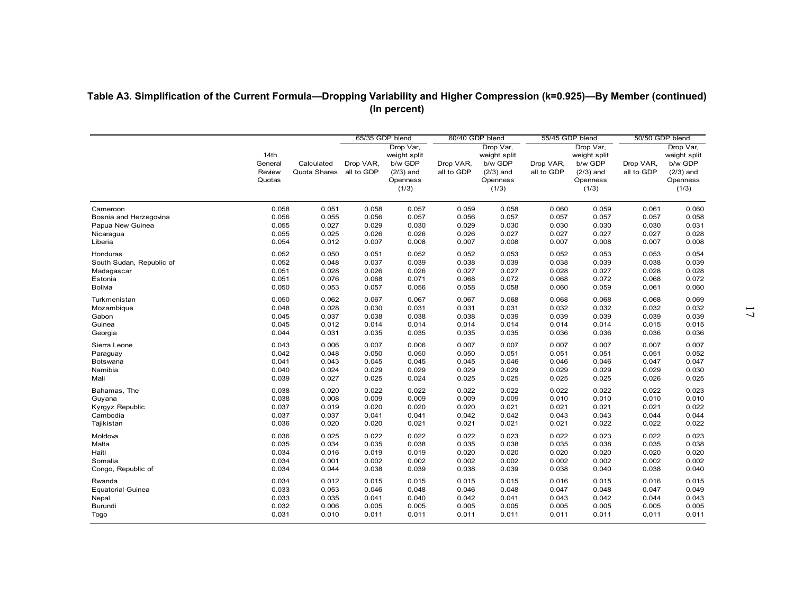|                          |                                     |                            |                                            |                                                                          | 60/40 GDP blend         |                                                                          | 55/45 GDP blend         |                                                                          |                                            |                                                                          |
|--------------------------|-------------------------------------|----------------------------|--------------------------------------------|--------------------------------------------------------------------------|-------------------------|--------------------------------------------------------------------------|-------------------------|--------------------------------------------------------------------------|--------------------------------------------|--------------------------------------------------------------------------|
|                          | 14th<br>General<br>Review<br>Quotas | Calculated<br>Quota Shares | 65/35 GDP blend<br>Drop VAR,<br>all to GDP | Drop Var,<br>weight split<br>b/w GDP<br>$(2/3)$ and<br>Openness<br>(1/3) | Drop VAR,<br>all to GDP | Drop Var,<br>weight split<br>b/w GDP<br>$(2/3)$ and<br>Openness<br>(1/3) | Drop VAR,<br>all to GDP | Drop Var,<br>weight split<br>b/w GDP<br>$(2/3)$ and<br>Openness<br>(1/3) | 50/50 GDP blend<br>Drop VAR,<br>all to GDP | Drop Var,<br>weight split<br>b/w GDP<br>$(2/3)$ and<br>Openness<br>(1/3) |
| Cameroon                 | 0.058                               | 0.051                      | 0.058                                      | 0.057                                                                    | 0.059                   | 0.058                                                                    | 0.060                   | 0.059                                                                    | 0.061                                      | 0.060                                                                    |
| Bosnia and Herzegovina   | 0.056                               | 0.055                      | 0.056                                      | 0.057                                                                    | 0.056                   | 0.057                                                                    | 0.057                   | 0.057                                                                    | 0.057                                      | 0.058                                                                    |
| Papua New Guinea         | 0.055<br>0.055                      | 0.027<br>0.025             | 0.029<br>0.026                             | 0.030<br>0.026                                                           | 0.029<br>0.026          | 0.030<br>0.027                                                           | 0.030<br>0.027          | 0.030<br>0.027                                                           | 0.030<br>0.027                             | 0.031<br>0.028                                                           |
| Nicaragua<br>Liberia     | 0.054                               | 0.012                      | 0.007                                      | 0.008                                                                    | 0.007                   | 0.008                                                                    | 0.007                   | 0.008                                                                    | 0.007                                      | 0.008                                                                    |
| Honduras                 | 0.052                               | 0.050                      | 0.051                                      | 0.052                                                                    | 0.052                   | 0.053                                                                    | 0.052                   | 0.053                                                                    | 0.053                                      | 0.054                                                                    |
| South Sudan, Republic of | 0.052                               | 0.048                      | 0.037                                      | 0.039                                                                    | 0.038                   | 0.039                                                                    | 0.038                   | 0.039                                                                    | 0.038                                      | 0.039                                                                    |
| Madagascar               | 0.051                               | 0.028                      | 0.026                                      | 0.026                                                                    | 0.027                   | 0.027                                                                    | 0.028                   | 0.027                                                                    | 0.028                                      | 0.028                                                                    |
| Estonia                  | 0.051                               | 0.076                      | 0.068                                      | 0.071                                                                    | 0.068                   | 0.072                                                                    | 0.068                   | 0.072                                                                    | 0.068                                      | 0.072                                                                    |
| <b>Bolivia</b>           | 0.050                               | 0.053                      | 0.057                                      | 0.056                                                                    | 0.058                   | 0.058                                                                    | 0.060                   | 0.059                                                                    | 0.061                                      | 0.060                                                                    |
| Turkmenistan             | 0.050                               | 0.062                      | 0.067                                      | 0.067                                                                    | 0.067                   | 0.068                                                                    | 0.068                   | 0.068                                                                    | 0.068                                      | 0.069                                                                    |
| Mozambique               | 0.048                               | 0.028                      | 0.030                                      | 0.031                                                                    | 0.031                   | 0.031                                                                    | 0.032                   | 0.032                                                                    | 0.032                                      | 0.032                                                                    |
| Gabon                    | 0.045                               | 0.037                      | 0.038                                      | 0.038                                                                    | 0.038                   | 0.039                                                                    | 0.039                   | 0.039                                                                    | 0.039                                      | 0.039                                                                    |
| Guinea<br>Georgia        | 0.045<br>0.044                      | 0.012<br>0.031             | 0.014<br>0.035                             | 0.014<br>0.035                                                           | 0.014<br>0.035          | 0.014<br>0.035                                                           | 0.014<br>0.036          | 0.014<br>0.036                                                           | 0.015<br>0.036                             | 0.015<br>0.036                                                           |
| Sierra Leone             | 0.043                               | 0.006                      | 0.007                                      | 0.006                                                                    | 0.007                   | 0.007                                                                    | 0.007                   | 0.007                                                                    | 0.007                                      | 0.007                                                                    |
| Paraguay                 | 0.042                               | 0.048                      | 0.050                                      | 0.050                                                                    | 0.050                   | 0.051                                                                    | 0.051                   | 0.051                                                                    | 0.051                                      | 0.052                                                                    |
| Botswana                 | 0.041                               | 0.043                      | 0.045                                      | 0.045                                                                    | 0.045                   | 0.046                                                                    | 0.046                   | 0.046                                                                    | 0.047                                      | 0.047                                                                    |
| Namibia                  | 0.040                               | 0.024                      | 0.029                                      | 0.029                                                                    | 0.029                   | 0.029                                                                    | 0.029                   | 0.029                                                                    | 0.029                                      | 0.030                                                                    |
| Mali                     | 0.039                               | 0.027                      | 0.025                                      | 0.024                                                                    | 0.025                   | 0.025                                                                    | 0.025                   | 0.025                                                                    | 0.026                                      | 0.025                                                                    |
| Bahamas, The             | 0.038                               | 0.020                      | 0.022                                      | 0.022                                                                    | 0.022                   | 0.022                                                                    | 0.022                   | 0.022                                                                    | 0.022                                      | 0.023                                                                    |
| Guyana                   | 0.038                               | 0.008                      | 0.009                                      | 0.009                                                                    | 0.009                   | 0.009                                                                    | 0.010                   | 0.010                                                                    | 0.010                                      | 0.010                                                                    |
| Kyrgyz Republic          | 0.037                               | 0.019                      | 0.020                                      | 0.020                                                                    | 0.020                   | 0.021                                                                    | 0.021                   | 0.021                                                                    | 0.021                                      | 0.022                                                                    |
| Cambodia                 | 0.037                               | 0.037                      | 0.041                                      | 0.041                                                                    | 0.042                   | 0.042                                                                    | 0.043                   | 0.043                                                                    | 0.044                                      | 0.044                                                                    |
| Tajikistan               | 0.036                               | 0.020                      | 0.020                                      | 0.021                                                                    | 0.021                   | 0.021                                                                    | 0.021                   | 0.022                                                                    | 0.022                                      | 0.022                                                                    |
| Moldova                  | 0.036                               | 0.025                      | 0.022                                      | 0.022                                                                    | 0.022                   | 0.023                                                                    | 0.022                   | 0.023                                                                    | 0.022                                      | 0.023                                                                    |
| Malta                    | 0.035                               | 0.034                      | 0.035                                      | 0.038                                                                    | 0.035                   | 0.038                                                                    | 0.035                   | 0.038                                                                    | 0.035                                      | 0.038                                                                    |
| Haiti                    | 0.034                               | 0.016                      | 0.019                                      | 0.019                                                                    | 0.020                   | 0.020                                                                    | 0.020                   | 0.020                                                                    | 0.020                                      | 0.020                                                                    |
| Somalia                  | 0.034                               | 0.001                      | 0.002                                      | 0.002                                                                    | 0.002                   | 0.002                                                                    | 0.002                   | 0.002                                                                    | 0.002                                      | 0.002                                                                    |
| Congo, Republic of       | 0.034                               | 0.044                      | 0.038                                      | 0.039                                                                    | 0.038                   | 0.039                                                                    | 0.038                   | 0.040                                                                    | 0.038                                      | 0.040                                                                    |
| Rwanda                   | 0.034                               | 0.012                      | 0.015                                      | 0.015                                                                    | 0.015                   | 0.015                                                                    | 0.016                   | 0.015                                                                    | 0.016                                      | 0.015                                                                    |
| <b>Equatorial Guinea</b> | 0.033                               | 0.053                      | 0.046                                      | 0.048                                                                    | 0.046                   | 0.048                                                                    | 0.047                   | 0.048                                                                    | 0.047                                      | 0.049                                                                    |
| Nepal                    | 0.033                               | 0.035                      | 0.041                                      | 0.040                                                                    | 0.042                   | 0.041                                                                    | 0.043                   | 0.042                                                                    | 0.044                                      | 0.043                                                                    |
| Burundi                  | 0.032                               | 0.006                      | 0.005                                      | 0.005                                                                    | 0.005                   | 0.005                                                                    | 0.005                   | 0.005                                                                    | 0.005                                      | 0.005                                                                    |
| Togo                     | 0.031                               | 0.010                      | 0.011                                      | 0.011                                                                    | 0.011                   | 0.011                                                                    | 0.011                   | 0.011                                                                    | 0.011                                      | 0.011                                                                    |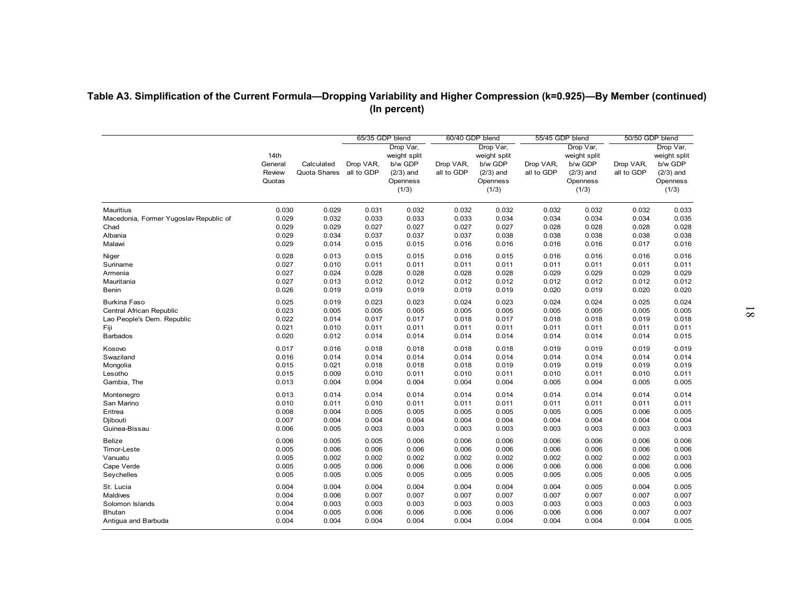| Mauritius<br>Macedonia, Former Yugoslav Republic of<br>Chad<br>Albania<br>Malawi<br>Niger<br>Suriname<br>Armenia<br>Mauritania<br>Benin<br><b>Burkina Faso</b> | 14th<br>General<br>Review<br>Quotas<br>0.030<br>0.029<br>0.029 | Calculated<br>Quota Shares | Drop VAR,<br>all to GDP | 65/35 GDP blend<br>Drop Var,<br>weight split | 60/40 GDP blend         | Drop Var,                                                   | 55/45 GDP blend         | Drop Var,                                                   | 50/50 GDP blend         | Drop Var,                                                   |
|----------------------------------------------------------------------------------------------------------------------------------------------------------------|----------------------------------------------------------------|----------------------------|-------------------------|----------------------------------------------|-------------------------|-------------------------------------------------------------|-------------------------|-------------------------------------------------------------|-------------------------|-------------------------------------------------------------|
|                                                                                                                                                                |                                                                |                            |                         |                                              |                         |                                                             |                         |                                                             |                         |                                                             |
|                                                                                                                                                                |                                                                |                            |                         | b/w GDP<br>$(2/3)$ and<br>Openness<br>(1/3)  | Drop VAR,<br>all to GDP | weight split<br>b/w GDP<br>$(2/3)$ and<br>Openness<br>(1/3) | Drop VAR,<br>all to GDP | weight split<br>b/w GDP<br>$(2/3)$ and<br>Openness<br>(1/3) | Drop VAR,<br>all to GDP | weight split<br>b/w GDP<br>$(2/3)$ and<br>Openness<br>(1/3) |
|                                                                                                                                                                |                                                                | 0.029                      | 0.031                   | 0.032                                        | 0.032                   | 0.032                                                       | 0.032                   | 0.032                                                       | 0.032                   | 0.033                                                       |
|                                                                                                                                                                |                                                                | 0.032                      | 0.033                   | 0.033                                        | 0.033                   | 0.034                                                       | 0.034                   | 0.034                                                       | 0.034                   | 0.035                                                       |
|                                                                                                                                                                |                                                                | 0.029                      | 0.027                   | 0.027                                        | 0.027                   | 0.027                                                       | 0.028                   | 0.028                                                       | 0.028                   | 0.028                                                       |
|                                                                                                                                                                | 0.029                                                          | 0.034                      | 0.037                   | 0.037                                        | 0.037                   | 0.038                                                       | 0.038                   | 0.038                                                       | 0.038                   | 0.038                                                       |
|                                                                                                                                                                | 0.029                                                          | 0.014                      | 0.015                   | 0.015                                        | 0.016                   | 0.016                                                       | 0.016                   | 0.016                                                       | 0.017                   | 0.016                                                       |
|                                                                                                                                                                | 0.028                                                          | 0.013                      | 0.015                   | 0.015                                        | 0.016                   | 0.015                                                       | 0.016                   | 0.016                                                       | 0.016                   | 0.016                                                       |
|                                                                                                                                                                | 0.027                                                          | 0.010                      | 0.011                   | 0.011                                        | 0.011                   | 0.011                                                       | 0.011                   | 0.011                                                       | 0.011                   | 0.011                                                       |
|                                                                                                                                                                | 0.027                                                          | 0.024                      | 0.028                   | 0.028                                        | 0.028                   | 0.028                                                       | 0.029                   | 0.029                                                       | 0.029                   | 0.029                                                       |
|                                                                                                                                                                | 0.027                                                          | 0.013                      | 0.012                   | 0.012                                        | 0.012                   | 0.012                                                       | 0.012                   | 0.012                                                       | 0.012                   | 0.012                                                       |
|                                                                                                                                                                | 0.026                                                          | 0.019                      | 0.019                   | 0.019                                        | 0.019                   | 0.019                                                       | 0.020                   | 0.019                                                       | 0.020                   | 0.020                                                       |
|                                                                                                                                                                | 0.025                                                          | 0.019                      | 0.023                   | 0.023                                        | 0.024                   | 0.023                                                       | 0.024                   | 0.024                                                       | 0.025                   | 0.024                                                       |
| Central African Republic                                                                                                                                       | 0.023                                                          | 0.005                      | 0.005                   | 0.005                                        | 0.005                   | 0.005                                                       | 0.005                   | 0.005                                                       | 0.005                   | 0.005                                                       |
| Lao People's Dem. Republic                                                                                                                                     | 0.022                                                          | 0.014                      | 0.017                   | 0.017                                        | 0.018                   | 0.017                                                       | 0.018                   | 0.018                                                       | 0.019                   | 0.018                                                       |
|                                                                                                                                                                | 0.021                                                          | 0.010                      | 0.011                   | 0.011                                        | 0.011                   | 0.011                                                       | 0.011                   | 0.011                                                       | 0.011                   | 0.011                                                       |
| <b>Barbados</b>                                                                                                                                                | 0.020                                                          | 0.012                      | 0.014                   | 0.014                                        | 0.014                   | 0.014                                                       | 0.014                   | 0.014                                                       | 0.014                   | 0.015                                                       |
| Kosovo                                                                                                                                                         | 0.017                                                          | 0.016                      | 0.018                   | 0.018                                        | 0.018                   | 0.018                                                       | 0.019                   | 0.019                                                       | 0.019                   | 0.019                                                       |
| Swaziland                                                                                                                                                      | 0.016                                                          | 0.014                      | 0.014                   | 0.014                                        | 0.014                   | 0.014                                                       | 0.014                   | 0.014                                                       | 0.014                   | 0.014                                                       |
| Mongolia                                                                                                                                                       | 0.015                                                          | 0.021                      | 0.018                   | 0.018                                        | 0.018                   | 0.019                                                       | 0.019                   | 0.019                                                       | 0.019                   | 0.019                                                       |
| Lesotho                                                                                                                                                        | 0.015                                                          | 0.009                      | 0.010                   | 0.011                                        | 0.010                   | 0.011                                                       | 0.010                   | 0.011                                                       | 0.010                   | 0.011                                                       |
| Gambia, The                                                                                                                                                    | 0.013                                                          | 0.004                      | 0.004                   | 0.004                                        | 0.004                   | 0.004                                                       | 0.005                   | 0.004                                                       | 0.005                   | 0.005                                                       |
| Montenegro                                                                                                                                                     | 0.013                                                          | 0.014                      | 0.014                   | 0.014                                        | 0.014                   | 0.014                                                       | 0.014                   | 0.014                                                       | 0.014                   | 0.014                                                       |
| San Marino                                                                                                                                                     | 0.010                                                          | 0.011                      | 0.010                   | 0.011                                        | 0.011                   | 0.011                                                       | 0.011                   | 0.011                                                       | 0.011                   | 0.011                                                       |
| Eritrea                                                                                                                                                        | 0.008                                                          | 0.004                      | 0.005                   | 0.005                                        | 0.005                   | 0.005                                                       | 0.005                   | 0.005                                                       | 0.006                   | 0.005                                                       |
| Djibouti                                                                                                                                                       | 0.007                                                          | 0.004                      | 0.004                   | 0.004                                        | 0.004                   | 0.004                                                       | 0.004                   | 0.004                                                       | 0.004                   | 0.004                                                       |
| Guinea-Bissau                                                                                                                                                  | 0.006                                                          | 0.005                      | 0.003                   | 0.003                                        | 0.003                   | 0.003                                                       | 0.003                   | 0.003                                                       | 0.003                   | 0.003                                                       |
|                                                                                                                                                                | 0.006                                                          | 0.005                      | 0.005                   | 0.006                                        | 0.006                   | 0.006                                                       | 0.006                   | 0.006                                                       | 0.006                   | 0.006                                                       |
| Timor-Leste                                                                                                                                                    | 0.005                                                          | 0.006                      | 0.006                   | 0.006                                        | 0.006                   | 0.006                                                       | 0.006                   | 0.006                                                       | 0.006                   | 0.006                                                       |
|                                                                                                                                                                | 0.005                                                          | 0.002                      | 0.002                   | 0.002                                        | 0.002                   | 0.002                                                       | 0.002                   | 0.002                                                       | 0.002                   | 0.003                                                       |
| Vanuatu<br>Cape Verde                                                                                                                                          | 0.005                                                          | 0.005                      | 0.006                   | 0.006                                        | 0.006                   | 0.006                                                       | 0.006                   | 0.006                                                       | 0.006                   | 0.006                                                       |
| Seychelles                                                                                                                                                     | 0.005                                                          | 0.005                      | 0.005                   | 0.005                                        | 0.005                   | 0.005                                                       | 0.005                   | 0.005                                                       | 0.005                   | 0.005                                                       |
|                                                                                                                                                                |                                                                |                            |                         |                                              |                         |                                                             |                         |                                                             |                         |                                                             |
| St. Lucia                                                                                                                                                      | 0.004                                                          | 0.004                      | 0.004                   | 0.004                                        | 0.004                   | 0.004                                                       | 0.004                   | 0.005                                                       | 0.004                   | 0.005                                                       |
| Maldives                                                                                                                                                       | 0.004                                                          | 0.006                      | 0.007                   | 0.007                                        | 0.007                   | 0.007                                                       | 0.007                   | 0.007                                                       | 0.007                   | 0.007                                                       |
| Solomon Islands                                                                                                                                                | 0.004                                                          | 0.003                      | 0.003                   | 0.003                                        | 0.003                   | 0.003                                                       | 0.003                   | 0.003                                                       | 0.003                   | 0.003                                                       |
| <b>Bhutan</b><br>Antigua and Barbuda                                                                                                                           | 0.004<br>0.004                                                 | 0.005<br>0.004             | 0.006<br>0.004          | 0.006<br>0.004                               | 0.006<br>0.004          | 0.006                                                       | 0.006                   | 0.006                                                       | 0.007                   | 0.007                                                       |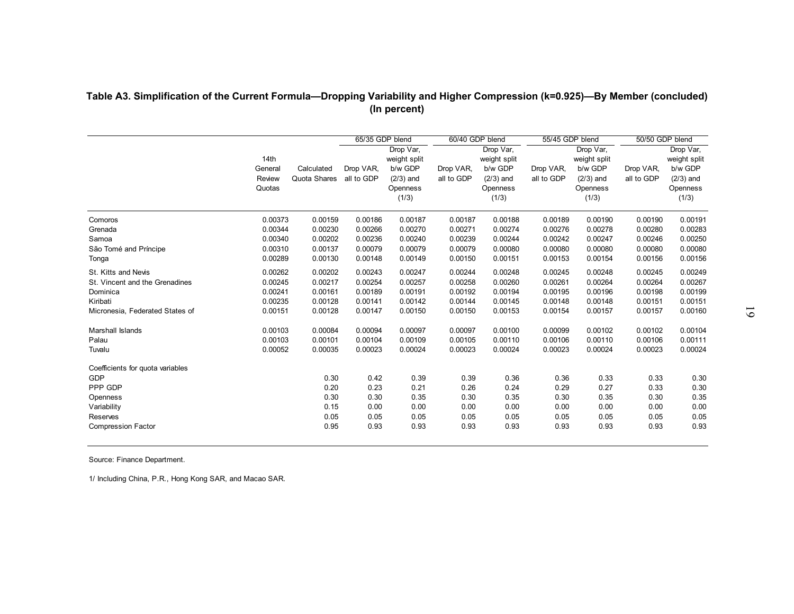|                                       |                                     |                            | 65/35 GDP blend         |                                                                          | 60/40 GDP blend         |                                                                          | 55/45 GDP blend         |                                                                          | 50/50 GDP blend         |                                                                          |
|---------------------------------------|-------------------------------------|----------------------------|-------------------------|--------------------------------------------------------------------------|-------------------------|--------------------------------------------------------------------------|-------------------------|--------------------------------------------------------------------------|-------------------------|--------------------------------------------------------------------------|
|                                       | 14th<br>General<br>Review<br>Quotas | Calculated<br>Quota Shares | Drop VAR,<br>all to GDP | Drop Var,<br>weight split<br>b/w GDP<br>$(2/3)$ and<br>Openness<br>(1/3) | Drop VAR,<br>all to GDP | Drop Var,<br>weight split<br>b/w GDP<br>$(2/3)$ and<br>Openness<br>(1/3) | Drop VAR,<br>all to GDP | Drop Var,<br>weight split<br>b/w GDP<br>$(2/3)$ and<br>Openness<br>(1/3) | Drop VAR,<br>all to GDP | Drop Var,<br>weight split<br>b/w GDP<br>$(2/3)$ and<br>Openness<br>(1/3) |
| Comoros<br>Grenada                    | 0.00373<br>0.00344                  | 0.00159<br>0.00230         | 0.00186<br>0.00266      | 0.00187<br>0.00270                                                       | 0.00187<br>0.00271      | 0.00188<br>0.00274                                                       | 0.00189<br>0.00276      | 0.00190<br>0.00278                                                       | 0.00190<br>0.00280      | 0.00191<br>0.00283                                                       |
| Samoa                                 | 0.00340                             | 0.00202                    | 0.00236                 | 0.00240                                                                  | 0.00239                 | 0.00244                                                                  | 0.00242                 | 0.00247                                                                  | 0.00246                 | 0.00250                                                                  |
| São Tomé and Príncipe                 | 0.00310                             | 0.00137                    | 0.00079                 | 0.00079                                                                  | 0.00079                 | 0.00080                                                                  | 0.00080                 | 0.00080                                                                  | 0.00080                 | 0.00080                                                                  |
| Tonga                                 | 0.00289                             | 0.00130                    | 0.00148                 | 0.00149                                                                  | 0.00150                 | 0.00151                                                                  | 0.00153                 | 0.00154                                                                  | 0.00156                 | 0.00156                                                                  |
| St. Kitts and Nevis                   | 0.00262                             | 0.00202                    | 0.00243                 | 0.00247                                                                  | 0.00244                 | 0.00248                                                                  | 0.00245                 | 0.00248                                                                  | 0.00245                 | 0.00249                                                                  |
| St. Vincent and the Grenadines        | 0.00245                             | 0.00217                    | 0.00254                 | 0.00257                                                                  | 0.00258                 | 0.00260                                                                  | 0.00261                 | 0.00264                                                                  | 0.00264                 | 0.00267                                                                  |
| Dominica                              | 0.00241                             | 0.00161                    | 0.00189                 | 0.00191                                                                  | 0.00192                 | 0.00194                                                                  | 0.00195                 | 0.00196                                                                  | 0.00198                 | 0.00199                                                                  |
| Kiribati                              | 0.00235                             | 0.00128                    | 0.00141                 | 0.00142                                                                  | 0.00144                 | 0.00145                                                                  | 0.00148                 | 0.00148                                                                  | 0.00151                 | 0.00151                                                                  |
| Micronesia, Federated States of       | 0.00151                             | 0.00128                    | 0.00147                 | 0.00150                                                                  | 0.00150                 | 0.00153                                                                  | 0.00154                 | 0.00157                                                                  | 0.00157                 | 0.00160                                                                  |
| Marshall Islands                      | 0.00103                             | 0.00084                    | 0.00094                 | 0.00097                                                                  | 0.00097                 | 0.00100                                                                  | 0.00099                 | 0.00102                                                                  | 0.00102                 | 0.00104                                                                  |
| Palau                                 | 0.00103                             | 0.00101                    | 0.00104                 | 0.00109                                                                  | 0.00105                 | 0.00110                                                                  | 0.00106                 | 0.00110                                                                  | 0.00106                 | 0.00111                                                                  |
| Tuvalu                                | 0.00052                             | 0.00035                    | 0.00023                 | 0.00024                                                                  | 0.00023                 | 0.00024                                                                  | 0.00023                 | 0.00024                                                                  | 0.00023                 | 0.00024                                                                  |
| Coefficients for quota variables      |                                     |                            |                         |                                                                          |                         |                                                                          |                         |                                                                          |                         |                                                                          |
| GDP                                   |                                     | 0.30                       | 0.42                    | 0.39                                                                     | 0.39                    | 0.36                                                                     | 0.36                    | 0.33                                                                     | 0.33                    | 0.30                                                                     |
| PPP GDP                               |                                     | 0.20                       | 0.23                    | 0.21                                                                     | 0.26                    | 0.24                                                                     | 0.29                    | 0.27                                                                     | 0.33                    | 0.30                                                                     |
| Openness                              |                                     | 0.30                       | 0.30                    | 0.35                                                                     | 0.30                    | 0.35                                                                     | 0.30                    | 0.35                                                                     | 0.30                    | 0.35                                                                     |
| Variability                           |                                     | 0.15                       | 0.00                    | 0.00                                                                     | 0.00                    | 0.00                                                                     | 0.00                    | 0.00                                                                     | 0.00                    | 0.00                                                                     |
| Reserves<br><b>Compression Factor</b> |                                     | 0.05<br>0.95               | 0.05<br>0.93            | 0.05<br>0.93                                                             | 0.05<br>0.93            | 0.05<br>0.93                                                             | 0.05<br>0.93            | 0.05<br>0.93                                                             | 0.05<br>0.93            | 0.05<br>0.93                                                             |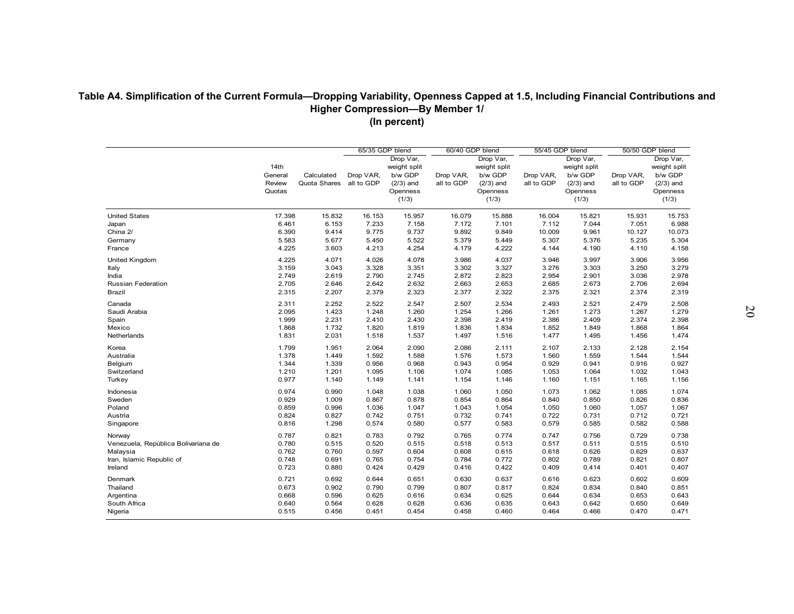|                                       | 14th<br>General<br>Review<br>Quotas | Calculated<br>Quota Shares | 65/35 GDP blend<br>Drop VAR,<br>all to GDP | Drop Var,<br>weight split<br>b/w GDP<br>$(2/3)$ and<br>Openness<br>(1/3) | 60/40 GDP blend<br>Drop VAR,<br>all to GDP | Drop Var,<br>weight split<br>b/w GDP<br>$(2/3)$ and<br>Openness<br>(1/3) | 55/45 GDP blend<br>Drop VAR,<br>all to GDP | Drop Var,<br>weight split<br>b/w GDP<br>$(2/3)$ and<br>Openness<br>(1/3) | 50/50 GDP blend<br>Drop VAR,<br>all to GDP | Drop Var,<br>weight split<br>b/w GDP<br>$(2/3)$ and<br>Openness<br>(1/3) |
|---------------------------------------|-------------------------------------|----------------------------|--------------------------------------------|--------------------------------------------------------------------------|--------------------------------------------|--------------------------------------------------------------------------|--------------------------------------------|--------------------------------------------------------------------------|--------------------------------------------|--------------------------------------------------------------------------|
| <b>United States</b>                  | 17.398                              | 15.832                     | 16.153                                     | 15.957                                                                   | 16.079                                     | 15.888                                                                   | 16.004                                     | 15.821                                                                   | 15.931                                     | 15.753                                                                   |
| Japan                                 | 6.461                               | 6.153                      | 7.233                                      | 7.158                                                                    | 7.172                                      | 7.101                                                                    | 7.112                                      | 7.044                                                                    | 7.051                                      | 6.988                                                                    |
| China 2/<br>Germany                   | 6.390<br>5.583                      | 9.414<br>5.677             | 9.775                                      | 9.737<br>5.522                                                           | 9.892                                      | 9.849<br>5.449                                                           | 10.009<br>5.307                            | 9.961<br>5.376                                                           | 10.127                                     | 10.073                                                                   |
| France                                | 4.225                               | 3.603                      | 5.450<br>4.213                             | 4.254                                                                    | 5.379<br>4.179                             | 4.222                                                                    | 4.144                                      | 4.190                                                                    | 5.235<br>4.110                             | 5.304<br>4.158                                                           |
|                                       | 4.225                               | 4.071                      | 4.026                                      | 4.078                                                                    | 3.986                                      | 4.037                                                                    | 3.946                                      | 3.997                                                                    | 3.906                                      | 3.956                                                                    |
| United Kingdom<br>Italy               | 3.159                               | 3.043                      | 3.328                                      | 3.351                                                                    | 3.302                                      | 3.327                                                                    | 3.276                                      | 3.303                                                                    | 3.250                                      | 3.279                                                                    |
|                                       | 2.749                               | 2.619                      | 2.790                                      | 2.745                                                                    | 2.872                                      | 2.823                                                                    | 2.954                                      | 2.901                                                                    | 3.036                                      | 2.978                                                                    |
| India<br>Russian Federation           | 2.705                               | 2.646                      | 2.642                                      | 2.632                                                                    | 2.663                                      | 2.653                                                                    | 2.685                                      | 2.673                                                                    | 2.706                                      | 2.694                                                                    |
| <b>Brazil</b>                         | 2.315                               | 2.207                      | 2.379                                      | 2.323                                                                    | 2.377                                      | 2.322                                                                    | 2.375                                      | 2.321                                                                    | 2.374                                      | 2.319                                                                    |
| Canada                                | 2.311                               | 2.252                      | 2.522                                      | 2.547                                                                    | 2.507                                      | 2.534                                                                    | 2.493                                      | 2.521                                                                    | 2.479                                      | 2.508                                                                    |
| Saudi Arabia                          | 2.095                               | 1.423                      | 1.248                                      | 1.260                                                                    | 1.254                                      | 1.266                                                                    | 1.261                                      | 1.273                                                                    | 1.267                                      | 1.279                                                                    |
| Spain                                 | 1.999                               | 2.231                      | 2.410                                      | 2.430                                                                    | 2.398                                      | 2.419                                                                    | 2.386                                      | 2.409                                                                    | 2.374                                      | 2.398                                                                    |
| Mexico                                | 1.868                               | 1.732                      | 1.820                                      | 1.819                                                                    | 1.836                                      | 1.834                                                                    | 1.852                                      | 1.849                                                                    | 1.868                                      | 1.864                                                                    |
| Netherlands                           | 1.831                               | 2.031                      | 1.518                                      | 1.537                                                                    | 1.497                                      | 1.516                                                                    | 1.477                                      | 1.495                                                                    | 1.456                                      | 1.474                                                                    |
| Korea                                 | 1.799                               | 1.951                      | 2.064                                      | 2.090                                                                    | 2.086                                      | 2.111                                                                    | 2.107                                      | 2.133                                                                    | 2.128                                      | 2.154                                                                    |
| Australia                             | 1.378                               | 1.449                      | 1.592                                      | 1.588                                                                    | 1.576                                      | 1.573                                                                    | 1.560                                      | 1.559                                                                    | 1.544                                      | 1.544                                                                    |
| Belgium                               | 1.344                               | 1.339                      | 0.956                                      | 0.968                                                                    | 0.943                                      | 0.954                                                                    | 0.929                                      | 0.941                                                                    | 0.916                                      | 0.927                                                                    |
| Switzerland                           | 1.210                               | 1.201                      | 1.095                                      | 1.106                                                                    | 1.074                                      | 1.085                                                                    | 1.053                                      | 1.064                                                                    | 1.032                                      | 1.043                                                                    |
| Turkey                                | 0.977                               | 1.140                      | 1.149                                      | 1.141                                                                    | 1.154                                      | 1.146                                                                    | 1.160                                      | 1.151                                                                    | 1.165                                      | 1.156                                                                    |
| Indonesia                             | 0.974                               | 0.990                      | 1.048                                      | 1.038                                                                    | 1.060                                      | 1.050                                                                    | 1.073                                      | 1.062                                                                    | 1.085                                      | 1.074                                                                    |
| Sweden                                | 0.929                               | 1.009                      | 0.867                                      | 0.878                                                                    | 0.854                                      | 0.864                                                                    | 0.840                                      | 0.850                                                                    | 0.826                                      | 0.836                                                                    |
| Poland                                | 0.859                               | 0.996                      | 1.036                                      | 1.047                                                                    | 1.043                                      | 1.054                                                                    | 1.050                                      | 1.060                                                                    | 1.057                                      | 1.067                                                                    |
| Austria                               | 0.824                               | 0.827                      | 0.742                                      | 0.751                                                                    | 0.732                                      | 0.741                                                                    | 0.722                                      | 0.731                                                                    | 0.712                                      | 0.721                                                                    |
| Singapore                             | 0.816                               | 1.298                      | 0.574                                      | 0.580                                                                    | 0.577                                      | 0.583                                                                    | 0.579                                      | 0.585                                                                    | 0.582                                      | 0.588                                                                    |
|                                       |                                     |                            |                                            |                                                                          |                                            |                                                                          |                                            |                                                                          |                                            |                                                                          |
| Norway                                | 0.787<br>0.780                      | 0.821<br>0.515             | 0.783                                      | 0.792<br>0.515                                                           | 0.765                                      | 0.774<br>0.513                                                           | 0.747<br>0.517                             | 0.756                                                                    | 0.729<br>0.515                             | 0.738<br>0.510                                                           |
| Venezuela, República Bolivariana de   | 0.762                               | 0.760                      | 0.520<br>0.597                             | 0.604                                                                    | 0.518<br>0.608                             | 0.615                                                                    | 0.618                                      | 0.511<br>0.626                                                           | 0.629                                      | 0.637                                                                    |
| Malaysia<br>Iran, Islamic Republic of | 0.748                               | 0.691                      | 0.765                                      | 0.754                                                                    | 0.784                                      | 0.772                                                                    | 0.802                                      | 0.789                                                                    | 0.821                                      | 0.807                                                                    |
| Ireland                               | 0.723                               | 0.880                      | 0.424                                      | 0.429                                                                    | 0.416                                      | 0.422                                                                    | 0.409                                      | 0.414                                                                    | 0.401                                      | 0.407                                                                    |
|                                       |                                     |                            |                                            |                                                                          |                                            |                                                                          |                                            |                                                                          |                                            |                                                                          |
| Denmark                               | 0.721                               | 0.692                      | 0.644                                      | 0.651                                                                    | 0.630                                      | 0.637                                                                    | 0.616                                      | 0.623                                                                    | 0.602                                      | 0.609                                                                    |
| Thailand                              | 0.673                               | 0.902                      | 0.790                                      | 0.799                                                                    | 0.807                                      | 0.817                                                                    | 0.824                                      | 0.834                                                                    | 0.840                                      | 0.851                                                                    |
| Argentina                             | 0.668                               | 0.596<br>0.564             | 0.625<br>0.628                             | 0.616<br>0.628                                                           | 0.634                                      | 0.625                                                                    | 0.644                                      | 0.634                                                                    | 0.653                                      | 0.643                                                                    |
| South Africa                          | 0.640                               |                            |                                            |                                                                          | 0.636                                      | 0.635                                                                    | 0.643                                      | 0.642                                                                    | 0.650                                      | 0.649                                                                    |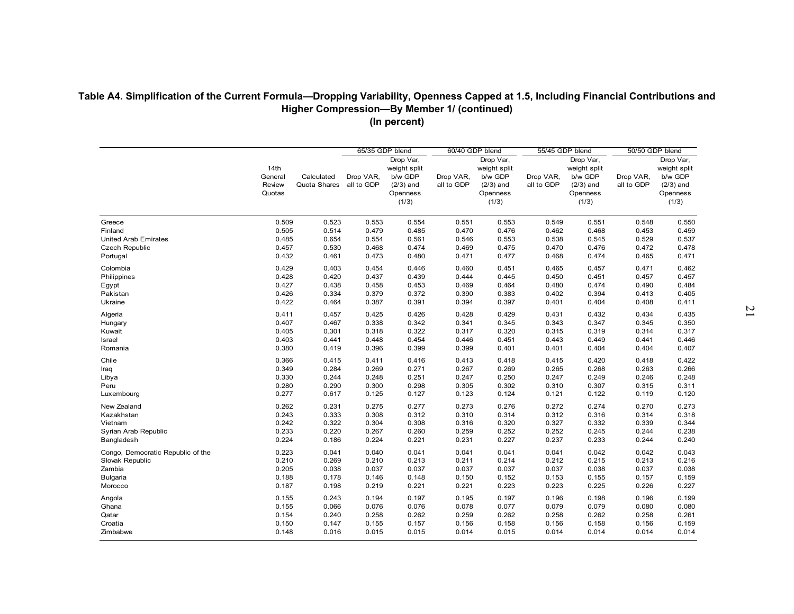| Greece<br>Finland<br><b>United Arab Emirates</b><br><b>Czech Republic</b><br>Portugal<br>Colombia<br>Philippines<br>Egypt<br>Pakistan<br>Ukraine<br>Algeria<br>Hungary<br>Kuwait<br>Israel<br>Romania<br>Chile<br>Iraq<br>Libya<br>Peru | 14th<br>General<br>Review<br>Quotas<br>0.509<br>0.505<br>0.485<br>0.457<br>0.432<br>0.429<br>0.428<br>0.427<br>0.426<br>0.422 | Calculated<br>Quota Shares<br>0.523<br>0.514<br>0.654<br>0.530<br>0.461<br>0.403<br>0.420<br>0.438 | 65/35 GDP blend<br>Drop VAR,<br>all to GDP<br>0.553<br>0.479<br>0.554<br>0.468<br>0.473<br>0.454<br>0.437<br>0.458 | Drop Var,<br>weight split<br>b/w GDP<br>$(2/3)$ and<br>Openness<br>(1/3)<br>0.554<br>0.485<br>0.561<br>0.474<br>0.480<br>0.446<br>0.439 | 60/40 GDP blend<br>Drop VAR,<br>all to GDP<br>0.551<br>0.470<br>0.546<br>0.469<br>0.471<br>0.460<br>0.444 | Drop Var,<br>weight split<br>b/w GDP<br>$(2/3)$ and<br>Openness<br>(1/3)<br>0.553<br>0.476<br>0.553<br>0.475<br>0.477<br>0.451 | 55/45 GDP blend<br>Drop VAR,<br>all to GDP<br>0.549<br>0.462<br>0.538<br>0.470<br>0.468 | Drop Var,<br>weight split<br>b/w GDP<br>$(2/3)$ and<br>Openness<br>(1/3)<br>0.551<br>0.468<br>0.545<br>0.476<br>0.474 | 50/50 GDP blend<br>Drop VAR,<br>all to GDP<br>0.548<br>0.453<br>0.529<br>0.472<br>0.465 | Drop Var,<br>weight split<br>b/w GDP<br>$(2/3)$ and<br>Openness<br>(1/3)<br>0.550<br>0.459<br>0.537<br>0.478<br>0.471 |
|-----------------------------------------------------------------------------------------------------------------------------------------------------------------------------------------------------------------------------------------|-------------------------------------------------------------------------------------------------------------------------------|----------------------------------------------------------------------------------------------------|--------------------------------------------------------------------------------------------------------------------|-----------------------------------------------------------------------------------------------------------------------------------------|-----------------------------------------------------------------------------------------------------------|--------------------------------------------------------------------------------------------------------------------------------|-----------------------------------------------------------------------------------------|-----------------------------------------------------------------------------------------------------------------------|-----------------------------------------------------------------------------------------|-----------------------------------------------------------------------------------------------------------------------|
|                                                                                                                                                                                                                                         |                                                                                                                               |                                                                                                    |                                                                                                                    |                                                                                                                                         |                                                                                                           |                                                                                                                                |                                                                                         |                                                                                                                       |                                                                                         |                                                                                                                       |
|                                                                                                                                                                                                                                         |                                                                                                                               |                                                                                                    |                                                                                                                    |                                                                                                                                         |                                                                                                           |                                                                                                                                |                                                                                         |                                                                                                                       |                                                                                         |                                                                                                                       |
|                                                                                                                                                                                                                                         |                                                                                                                               |                                                                                                    |                                                                                                                    |                                                                                                                                         |                                                                                                           |                                                                                                                                |                                                                                         |                                                                                                                       |                                                                                         |                                                                                                                       |
|                                                                                                                                                                                                                                         |                                                                                                                               |                                                                                                    |                                                                                                                    |                                                                                                                                         |                                                                                                           |                                                                                                                                |                                                                                         |                                                                                                                       |                                                                                         |                                                                                                                       |
|                                                                                                                                                                                                                                         |                                                                                                                               |                                                                                                    |                                                                                                                    |                                                                                                                                         |                                                                                                           |                                                                                                                                |                                                                                         |                                                                                                                       |                                                                                         |                                                                                                                       |
|                                                                                                                                                                                                                                         |                                                                                                                               |                                                                                                    |                                                                                                                    |                                                                                                                                         |                                                                                                           |                                                                                                                                |                                                                                         |                                                                                                                       |                                                                                         |                                                                                                                       |
|                                                                                                                                                                                                                                         |                                                                                                                               |                                                                                                    |                                                                                                                    |                                                                                                                                         |                                                                                                           |                                                                                                                                |                                                                                         |                                                                                                                       |                                                                                         |                                                                                                                       |
|                                                                                                                                                                                                                                         |                                                                                                                               |                                                                                                    |                                                                                                                    |                                                                                                                                         |                                                                                                           |                                                                                                                                | 0.465                                                                                   | 0.457                                                                                                                 | 0.471                                                                                   | 0.462                                                                                                                 |
|                                                                                                                                                                                                                                         |                                                                                                                               |                                                                                                    |                                                                                                                    |                                                                                                                                         |                                                                                                           | 0.445                                                                                                                          | 0.450                                                                                   | 0.451                                                                                                                 | 0.457                                                                                   | 0.457                                                                                                                 |
|                                                                                                                                                                                                                                         |                                                                                                                               |                                                                                                    |                                                                                                                    | 0.453                                                                                                                                   | 0.469                                                                                                     | 0.464                                                                                                                          | 0.480                                                                                   | 0.474                                                                                                                 | 0.490                                                                                   | 0.484                                                                                                                 |
|                                                                                                                                                                                                                                         |                                                                                                                               | 0.334                                                                                              | 0.379                                                                                                              | 0.372                                                                                                                                   | 0.390                                                                                                     | 0.383                                                                                                                          | 0.402                                                                                   | 0.394                                                                                                                 | 0.413                                                                                   | 0.405                                                                                                                 |
|                                                                                                                                                                                                                                         |                                                                                                                               | 0.464                                                                                              | 0.387                                                                                                              | 0.391                                                                                                                                   | 0.394                                                                                                     | 0.397                                                                                                                          | 0.401                                                                                   | 0.404                                                                                                                 | 0.408                                                                                   | 0.411                                                                                                                 |
|                                                                                                                                                                                                                                         | 0.411                                                                                                                         | 0.457                                                                                              | 0.425                                                                                                              | 0.426                                                                                                                                   | 0.428                                                                                                     | 0.429                                                                                                                          | 0.431                                                                                   | 0.432                                                                                                                 | 0.434                                                                                   | 0.435                                                                                                                 |
|                                                                                                                                                                                                                                         | 0.407                                                                                                                         | 0.467                                                                                              | 0.338                                                                                                              | 0.342                                                                                                                                   | 0.341                                                                                                     | 0.345                                                                                                                          | 0.343                                                                                   | 0.347                                                                                                                 | 0.345                                                                                   | 0.350                                                                                                                 |
|                                                                                                                                                                                                                                         | 0.405                                                                                                                         | 0.301                                                                                              | 0.318                                                                                                              | 0.322                                                                                                                                   | 0.317                                                                                                     | 0.320                                                                                                                          | 0.315                                                                                   | 0.319                                                                                                                 | 0.314                                                                                   | 0.317                                                                                                                 |
|                                                                                                                                                                                                                                         | 0.403                                                                                                                         | 0.441                                                                                              | 0.448                                                                                                              | 0.454                                                                                                                                   | 0.446                                                                                                     | 0.451                                                                                                                          | 0.443                                                                                   | 0.449                                                                                                                 | 0.441                                                                                   | 0.446                                                                                                                 |
|                                                                                                                                                                                                                                         | 0.380                                                                                                                         | 0.419                                                                                              | 0.396                                                                                                              | 0.399                                                                                                                                   | 0.399                                                                                                     | 0.401                                                                                                                          | 0.401                                                                                   | 0.404                                                                                                                 | 0.404                                                                                   | 0.407                                                                                                                 |
|                                                                                                                                                                                                                                         | 0.366                                                                                                                         | 0.415                                                                                              | 0.411                                                                                                              | 0.416                                                                                                                                   | 0.413                                                                                                     | 0.418                                                                                                                          | 0.415                                                                                   | 0.420                                                                                                                 | 0.418                                                                                   | 0.422                                                                                                                 |
|                                                                                                                                                                                                                                         | 0.349                                                                                                                         | 0.284                                                                                              | 0.269                                                                                                              | 0.271                                                                                                                                   | 0.267                                                                                                     | 0.269                                                                                                                          | 0.265                                                                                   | 0.268                                                                                                                 | 0.263                                                                                   | 0.266                                                                                                                 |
|                                                                                                                                                                                                                                         | 0.330                                                                                                                         | 0.244                                                                                              | 0.248                                                                                                              | 0.251                                                                                                                                   | 0.247                                                                                                     | 0.250                                                                                                                          | 0.247                                                                                   | 0.249                                                                                                                 | 0.246                                                                                   | 0.248                                                                                                                 |
|                                                                                                                                                                                                                                         | 0.280                                                                                                                         | 0.290                                                                                              | 0.300                                                                                                              | 0.298                                                                                                                                   | 0.305                                                                                                     | 0.302                                                                                                                          | 0.310                                                                                   | 0.307                                                                                                                 | 0.315                                                                                   | 0.311                                                                                                                 |
| Luxembourg                                                                                                                                                                                                                              | 0.277                                                                                                                         | 0.617                                                                                              | 0.125                                                                                                              | 0.127                                                                                                                                   | 0.123                                                                                                     | 0.124                                                                                                                          | 0.121                                                                                   | 0.122                                                                                                                 | 0.119                                                                                   | 0.120                                                                                                                 |
| New Zealand                                                                                                                                                                                                                             | 0.262                                                                                                                         | 0.231                                                                                              | 0.275                                                                                                              | 0.277                                                                                                                                   | 0.273                                                                                                     | 0.276                                                                                                                          | 0.272                                                                                   | 0.274                                                                                                                 | 0.270                                                                                   | 0.273                                                                                                                 |
| Kazakhstan                                                                                                                                                                                                                              | 0.243                                                                                                                         | 0.333                                                                                              | 0.308                                                                                                              | 0.312                                                                                                                                   | 0.310                                                                                                     | 0.314                                                                                                                          | 0.312                                                                                   | 0.316                                                                                                                 | 0.314                                                                                   | 0.318                                                                                                                 |
| Vietnam                                                                                                                                                                                                                                 | 0.242                                                                                                                         | 0.322                                                                                              | 0.304                                                                                                              | 0.308                                                                                                                                   | 0.316                                                                                                     | 0.320                                                                                                                          | 0.327                                                                                   | 0.332                                                                                                                 | 0.339                                                                                   | 0.344                                                                                                                 |
| Syrian Arab Republic                                                                                                                                                                                                                    | 0.233                                                                                                                         | 0.220                                                                                              | 0.267                                                                                                              | 0.260                                                                                                                                   | 0.259                                                                                                     | 0.252                                                                                                                          | 0.252                                                                                   | 0.245                                                                                                                 | 0.244                                                                                   | 0.238                                                                                                                 |
| Bangladesh                                                                                                                                                                                                                              | 0.224                                                                                                                         | 0.186                                                                                              | 0.224                                                                                                              | 0.221                                                                                                                                   | 0.231                                                                                                     | 0.227                                                                                                                          | 0.237                                                                                   | 0.233                                                                                                                 | 0.244                                                                                   | 0.240                                                                                                                 |
| Congo, Democratic Republic of the                                                                                                                                                                                                       | 0.223                                                                                                                         | 0.041                                                                                              | 0.040                                                                                                              | 0.041                                                                                                                                   | 0.041                                                                                                     | 0.041                                                                                                                          | 0.041                                                                                   | 0.042                                                                                                                 | 0.042                                                                                   | 0.043                                                                                                                 |
| Slovak Republic                                                                                                                                                                                                                         | 0.210                                                                                                                         | 0.269                                                                                              | 0.210                                                                                                              | 0.213                                                                                                                                   | 0.211                                                                                                     | 0.214                                                                                                                          | 0.212                                                                                   | 0.215                                                                                                                 | 0.213                                                                                   | 0.216                                                                                                                 |
| Zambia                                                                                                                                                                                                                                  | 0.205                                                                                                                         | 0.038                                                                                              | 0.037                                                                                                              | 0.037                                                                                                                                   | 0.037                                                                                                     | 0.037                                                                                                                          | 0.037                                                                                   | 0.038                                                                                                                 | 0.037                                                                                   | 0.038                                                                                                                 |
| <b>Bulgaria</b>                                                                                                                                                                                                                         | 0.188                                                                                                                         | 0.178                                                                                              | 0.146                                                                                                              | 0.148                                                                                                                                   | 0.150                                                                                                     | 0.152                                                                                                                          | 0.153                                                                                   | 0.155                                                                                                                 | 0.157                                                                                   | 0.159                                                                                                                 |
| Morocco                                                                                                                                                                                                                                 | 0.187                                                                                                                         | 0.198                                                                                              | 0.219                                                                                                              | 0.221                                                                                                                                   | 0.221                                                                                                     | 0.223                                                                                                                          | 0.223                                                                                   | 0.225                                                                                                                 | 0.226                                                                                   | 0.227                                                                                                                 |
|                                                                                                                                                                                                                                         |                                                                                                                               |                                                                                                    |                                                                                                                    |                                                                                                                                         |                                                                                                           |                                                                                                                                |                                                                                         |                                                                                                                       |                                                                                         |                                                                                                                       |
| Angola                                                                                                                                                                                                                                  | 0.155                                                                                                                         | 0.243                                                                                              | 0.194                                                                                                              | 0.197                                                                                                                                   | 0.195                                                                                                     | 0.197                                                                                                                          | 0.196                                                                                   | 0.198                                                                                                                 | 0.196                                                                                   | 0.199                                                                                                                 |
| Ghana                                                                                                                                                                                                                                   | 0.155                                                                                                                         | 0.066                                                                                              | 0.076                                                                                                              | 0.076<br>0.262                                                                                                                          | 0.078                                                                                                     | 0.077<br>0.262                                                                                                                 | 0.079                                                                                   | 0.079<br>0.262                                                                                                        | 0.080                                                                                   | 0.080<br>0.261                                                                                                        |
| Qatar                                                                                                                                                                                                                                   | 0.154                                                                                                                         | 0.240                                                                                              | 0.258                                                                                                              |                                                                                                                                         | 0.259                                                                                                     |                                                                                                                                | 0.258                                                                                   |                                                                                                                       | 0.258                                                                                   |                                                                                                                       |
| Croatia<br>Zimbabwe                                                                                                                                                                                                                     | 0.150<br>0.148                                                                                                                | 0.147<br>0.016                                                                                     | 0.155<br>0.015                                                                                                     | 0.157<br>0.015                                                                                                                          | 0.156<br>0.014                                                                                            | 0.158<br>0.015                                                                                                                 | 0.156<br>0.014                                                                          | 0.158<br>0.014                                                                                                        | 0.156<br>0.014                                                                          | 0.159<br>0.014                                                                                                        |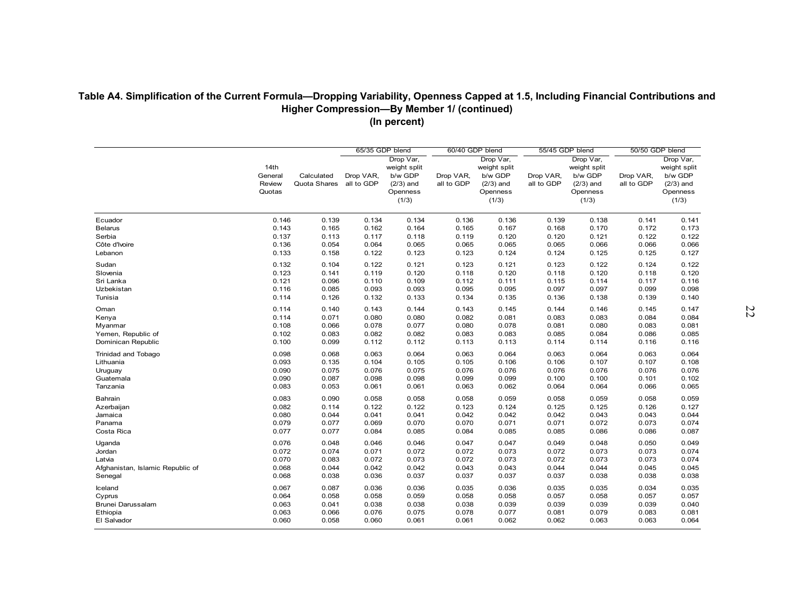|                                          |                                     |                            | 65/35 GDP blend         |                                                                          | 60/40 GDP blend         |                                                                          | 55/45 GDP blend         |                                                                          | 50/50 GDP blend         |                                                                          |
|------------------------------------------|-------------------------------------|----------------------------|-------------------------|--------------------------------------------------------------------------|-------------------------|--------------------------------------------------------------------------|-------------------------|--------------------------------------------------------------------------|-------------------------|--------------------------------------------------------------------------|
|                                          | 14th<br>General<br>Review<br>Quotas | Calculated<br>Quota Shares | Drop VAR.<br>all to GDP | Drop Var,<br>weight split<br>b/w GDP<br>$(2/3)$ and<br>Openness<br>(1/3) | Drop VAR,<br>all to GDP | Drop Var,<br>weight split<br>b/w GDP<br>$(2/3)$ and<br>Openness<br>(1/3) | Drop VAR,<br>all to GDP | Drop Var,<br>weight split<br>b/w GDP<br>$(2/3)$ and<br>Openness<br>(1/3) | Drop VAR,<br>all to GDP | Drop Var,<br>weight split<br>b/w GDP<br>$(2/3)$ and<br>Openness<br>(1/3) |
| Ecuador                                  | 0.146                               | 0.139                      | 0.134                   | 0.134                                                                    | 0.136                   | 0.136                                                                    | 0.139                   | 0.138                                                                    | 0.141                   | 0.141                                                                    |
| <b>Belarus</b><br>Serbia                 | 0.143<br>0.137                      | 0.165<br>0.113             | 0.162<br>0.117          | 0.164<br>0.118                                                           | 0.165<br>0.119          | 0.167<br>0.120                                                           | 0.168<br>0.120          | 0.170<br>0.121                                                           | 0.172<br>0.122          | 0.173<br>0.122                                                           |
| Côte d'Ivoire                            | 0.136                               | 0.054                      | 0.064                   | 0.065                                                                    | 0.065                   | 0.065                                                                    | 0.065                   | 0.066                                                                    | 0.066                   | 0.066                                                                    |
| Lebanon                                  | 0.133                               | 0.158                      | 0.122                   | 0.123                                                                    | 0.123                   | 0.124                                                                    | 0.124                   | 0.125                                                                    | 0.125                   | 0.127                                                                    |
| Sudan                                    | 0.132                               | 0.104                      | 0.122                   | 0.121                                                                    | 0.123                   | 0.121                                                                    | 0.123                   | 0.122                                                                    | 0.124                   | 0.122                                                                    |
| Slovenia                                 | 0.123                               | 0.141                      | 0.119                   | 0.120                                                                    | 0.118                   | 0.120                                                                    | 0.118                   | 0.120                                                                    | 0.118                   | 0.120                                                                    |
| Sri Lanka                                | 0.121                               | 0.096                      | 0.110                   | 0.109                                                                    | 0.112                   | 0.111                                                                    | 0.115                   | 0.114                                                                    | 0.117                   | 0.116                                                                    |
| Uzbekistan                               | 0.116                               | 0.085                      | 0.093                   | 0.093                                                                    | 0.095                   | 0.095                                                                    | 0.097                   | 0.097                                                                    | 0.099                   | 0.098                                                                    |
| Tunisia                                  | 0.114                               | 0.126                      | 0.132                   | 0.133                                                                    | 0.134                   | 0.135                                                                    | 0.136                   | 0.138                                                                    | 0.139                   | 0.140                                                                    |
| Oman                                     | 0.114                               | 0.140                      | 0.143                   | 0.144                                                                    | 0.143                   | 0.145                                                                    | 0.144                   | 0.146                                                                    | 0.145                   | 0.147                                                                    |
| Kenya                                    | 0.114                               | 0.071                      | 0.080                   | 0.080                                                                    | 0.082                   | 0.081                                                                    | 0.083                   | 0.083                                                                    | 0.084                   | 0.084                                                                    |
| Mvanmar                                  | 0.108                               | 0.066                      | 0.078                   | 0.077                                                                    | 0.080                   | 0.078                                                                    | 0.081                   | 0.080                                                                    | 0.083                   | 0.081                                                                    |
| Yemen, Republic of<br>Dominican Republic | 0.102<br>0.100                      | 0.083<br>0.099             | 0.082<br>0.112          | 0.082<br>0.112                                                           | 0.083<br>0.113          | 0.083<br>0.113                                                           | 0.085<br>0.114          | 0.084<br>0.114                                                           | 0.086<br>0.116          | 0.085<br>0.116                                                           |
|                                          |                                     |                            |                         |                                                                          |                         |                                                                          |                         |                                                                          |                         |                                                                          |
| Trinidad and Tobago                      | 0.098                               | 0.068                      | 0.063                   | 0.064                                                                    | 0.063                   | 0.064                                                                    | 0.063                   | 0.064                                                                    | 0.063                   | 0.064                                                                    |
| Lithuania<br>Uruguay                     | 0.093<br>0.090                      | 0.135<br>0.075             | 0.104<br>0.076          | 0.105<br>0.075                                                           | 0.105<br>0.076          | 0.106<br>0.076                                                           | 0.106<br>0.076          | 0.107<br>0.076                                                           | 0.107<br>0.076          | 0.108<br>0.076                                                           |
| Guatemala                                | 0.090                               | 0.087                      | 0.098                   | 0.098                                                                    | 0.099                   | 0.099                                                                    | 0.100                   | 0.100                                                                    | 0.101                   | 0.102                                                                    |
| Tanzania                                 | 0.083                               | 0.053                      | 0.061                   | 0.061                                                                    | 0.063                   | 0.062                                                                    | 0.064                   | 0.064                                                                    | 0.066                   | 0.065                                                                    |
| Bahrain                                  | 0.083                               | 0.090                      | 0.058                   | 0.058                                                                    | 0.058                   | 0.059                                                                    | 0.058                   | 0.059                                                                    | 0.058                   | 0.059                                                                    |
| Azerbaijan                               | 0.082                               | 0.114                      | 0.122                   | 0.122                                                                    | 0.123                   | 0.124                                                                    | 0.125                   | 0.125                                                                    | 0.126                   | 0.127                                                                    |
| Jamaica                                  | 0.080                               | 0.044                      | 0.041                   | 0.041                                                                    | 0.042                   | 0.042                                                                    | 0.042                   | 0.043                                                                    | 0.043                   | 0.044                                                                    |
| Panama                                   | 0.079                               | 0.077                      | 0.069                   | 0.070                                                                    | 0.070                   | 0.071                                                                    | 0.071                   | 0.072                                                                    | 0.073                   | 0.074                                                                    |
| Costa Rica                               | 0.077                               | 0.077                      | 0.084                   | 0.085                                                                    | 0.084                   | 0.085                                                                    | 0.085                   | 0.086                                                                    | 0.086                   | 0.087                                                                    |
| Uganda                                   | 0.076                               | 0.048                      | 0.046                   | 0.046                                                                    | 0.047                   | 0.047                                                                    | 0.049                   | 0.048                                                                    | 0.050                   | 0.049                                                                    |
| Jordan                                   | 0.072                               | 0.074                      | 0.071                   | 0.072                                                                    | 0.072                   | 0.073                                                                    | 0.072                   | 0.073                                                                    | 0.073                   | 0.074                                                                    |
| Latvia                                   | 0.070                               | 0.083                      | 0.072                   | 0.073                                                                    | 0.072                   | 0.073                                                                    | 0.072                   | 0.073                                                                    | 0.073                   | 0.074                                                                    |
| Afghanistan, Islamic Republic of         | 0.068                               | 0.044                      | 0.042                   | 0.042                                                                    | 0.043                   | 0.043                                                                    | 0.044                   | 0.044                                                                    | 0.045                   | 0.045                                                                    |
| Senegal                                  | 0.068                               | 0.038                      | 0.036                   | 0.037                                                                    | 0.037                   | 0.037                                                                    | 0.037                   | 0.038                                                                    | 0.038                   | 0.038                                                                    |
| Iceland                                  | 0.067                               | 0.087                      | 0.036                   | 0.036                                                                    | 0.035                   | 0.036                                                                    | 0.035                   | 0.035                                                                    | 0.034                   | 0.035                                                                    |
| Cyprus                                   | 0.064                               | 0.058                      | 0.058                   | 0.059                                                                    | 0.058                   | 0.058                                                                    | 0.057                   | 0.058                                                                    | 0.057                   | 0.057                                                                    |
| Brunei Darussalam                        | 0.063                               | 0.041                      | 0.038                   | 0.038                                                                    | 0.038                   | 0.039                                                                    | 0.039                   | 0.039                                                                    | 0.039                   | 0.040                                                                    |
| Ethiopia                                 | 0.063                               | 0.066                      | 0.076                   | 0.075                                                                    | 0.078                   | 0.077                                                                    | 0.081                   | 0.079                                                                    | 0.083                   | 0.081                                                                    |
| El Salvador                              | 0.060                               | 0.058                      | 0.060                   | 0.061                                                                    | 0.061                   | 0.062                                                                    | 0.062                   | 0.063                                                                    | 0.063                   | 0.064                                                                    |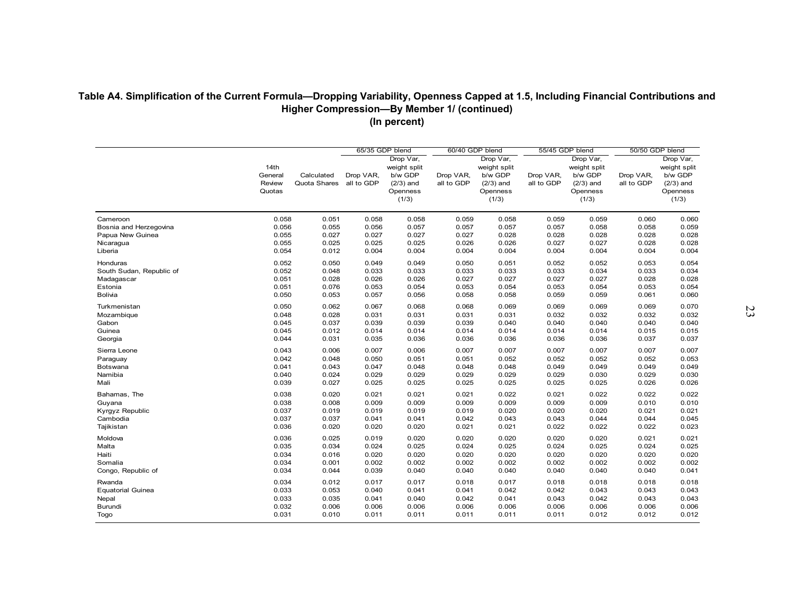|                                            |                                     |                            | 65/35 GDP blend         |                                                                          | 60/40 GDP blend         |                                                                          | 55/45 GDP blend         |                                                                          | 50/50 GDP blend         |                                                                          |
|--------------------------------------------|-------------------------------------|----------------------------|-------------------------|--------------------------------------------------------------------------|-------------------------|--------------------------------------------------------------------------|-------------------------|--------------------------------------------------------------------------|-------------------------|--------------------------------------------------------------------------|
|                                            | 14th<br>General<br>Review<br>Quotas | Calculated<br>Quota Shares | Drop VAR,<br>all to GDP | Drop Var,<br>weight split<br>b/w GDP<br>$(2/3)$ and<br>Openness<br>(1/3) | Drop VAR,<br>all to GDP | Drop Var,<br>weight split<br>b/w GDP<br>$(2/3)$ and<br>Openness<br>(1/3) | Drop VAR,<br>all to GDP | Drop Var,<br>weight split<br>b/w GDP<br>$(2/3)$ and<br>Openness<br>(1/3) | Drop VAR,<br>all to GDP | Drop Var,<br>weight split<br>b/w GDP<br>$(2/3)$ and<br>Openness<br>(1/3) |
| Cameroon                                   | 0.058                               | 0.051                      | 0.058                   | 0.058                                                                    | 0.059                   | 0.058                                                                    | 0.059                   | 0.059                                                                    | 0.060                   | 0.060                                                                    |
| Bosnia and Herzegovina<br>Papua New Guinea | 0.056<br>0.055                      | 0.055<br>0.027             | 0.056<br>0.027          | 0.057<br>0.027                                                           | 0.057<br>0.027          | 0.057<br>0.028                                                           | 0.057<br>0.028          | 0.058<br>0.028                                                           | 0.058<br>0.028          | 0.059<br>0.028                                                           |
| Nicaragua                                  | 0.055                               | 0.025                      | 0.025                   | 0.025                                                                    | 0.026                   | 0.026                                                                    | 0.027                   | 0.027                                                                    | 0.028                   | 0.028                                                                    |
| Liberia                                    | 0.054                               | 0.012                      | 0.004                   | 0.004                                                                    | 0.004                   | 0.004                                                                    | 0.004                   | 0.004                                                                    | 0.004                   | 0.004                                                                    |
| Honduras                                   | 0.052                               | 0.050                      | 0.049                   | 0.049                                                                    | 0.050                   | 0.051                                                                    | 0.052                   | 0.052                                                                    | 0.053                   | 0.054                                                                    |
| South Sudan, Republic of                   | 0.052                               | 0.048                      | 0.033                   | 0.033                                                                    | 0.033                   | 0.033                                                                    | 0.033                   | 0.034                                                                    | 0.033                   | 0.034                                                                    |
| Madagascar                                 | 0.051                               | 0.028                      | 0.026                   | 0.026                                                                    | 0.027                   | 0.027                                                                    | 0.027                   | 0.027                                                                    | 0.028                   | 0.028                                                                    |
| Estonia                                    | 0.051                               | 0.076                      | 0.053                   | 0.054                                                                    | 0.053                   | 0.054                                                                    | 0.053                   | 0.054                                                                    | 0.053                   | 0.054                                                                    |
| <b>Bolivia</b>                             | 0.050                               | 0.053                      | 0.057                   | 0.056                                                                    | 0.058                   | 0.058                                                                    | 0.059                   | 0.059                                                                    | 0.061                   | 0.060                                                                    |
| Turkmenistan                               | 0.050                               | 0.062                      | 0.067                   | 0.068                                                                    | 0.068                   | 0.069                                                                    | 0.069                   | 0.069                                                                    | 0.069                   | 0.070                                                                    |
| Mozambique                                 | 0.048                               | 0.028                      | 0.031                   | 0.031                                                                    | 0.031                   | 0.031                                                                    | 0.032                   | 0.032                                                                    | 0.032                   | 0.032                                                                    |
| Gabon                                      | 0.045                               | 0.037                      | 0.039                   | 0.039                                                                    | 0.039                   | 0.040                                                                    | 0.040                   | 0.040                                                                    | 0.040                   | 0.040                                                                    |
| Guinea                                     | 0.045                               | 0.012                      | 0.014                   | 0.014                                                                    | 0.014                   | 0.014                                                                    | 0.014                   | 0.014                                                                    | 0.015                   | 0.015                                                                    |
| Georgia                                    | 0.044                               | 0.031                      | 0.035                   | 0.036                                                                    | 0.036                   | 0.036                                                                    | 0.036                   | 0.036                                                                    | 0.037                   | 0.037                                                                    |
| Sierra Leone                               | 0.043                               | 0.006                      | 0.007                   | 0.006                                                                    | 0.007                   | 0.007                                                                    | 0.007                   | 0.007                                                                    | 0.007                   | 0.007                                                                    |
| Paraguay                                   | 0.042                               | 0.048                      | 0.050                   | 0.051                                                                    | 0.051                   | 0.052                                                                    | 0.052                   | 0.052                                                                    | 0.052                   | 0.053                                                                    |
| Botswana                                   | 0.041                               | 0.043                      | 0.047                   | 0.048                                                                    | 0.048                   | 0.048                                                                    | 0.049                   | 0.049                                                                    | 0.049                   | 0.049                                                                    |
| Namibia                                    | 0.040                               | 0.024                      | 0.029                   | 0.029                                                                    | 0.029                   | 0.029                                                                    | 0.029                   | 0.030                                                                    | 0.029                   | 0.030                                                                    |
| Mali                                       | 0.039                               | 0.027                      | 0.025                   | 0.025                                                                    | 0.025                   | 0.025                                                                    | 0.025                   | 0.025                                                                    | 0.026                   | 0.026                                                                    |
| Bahamas, The                               | 0.038                               | 0.020                      | 0.021                   | 0.021                                                                    | 0.021                   | 0.022                                                                    | 0.021                   | 0.022                                                                    | 0.022                   | 0.022                                                                    |
| Guyana                                     | 0.038                               | 0.008                      | 0.009                   | 0.009                                                                    | 0.009                   | 0.009                                                                    | 0.009                   | 0.009                                                                    | 0.010                   | 0.010                                                                    |
| Kyrgyz Republic                            | 0.037                               | 0.019                      | 0.019                   | 0.019                                                                    | 0.019                   | 0.020                                                                    | 0.020                   | 0.020                                                                    | 0.021                   | 0.021                                                                    |
| Cambodia                                   | 0.037                               | 0.037                      | 0.041                   | 0.041                                                                    | 0.042                   | 0.043                                                                    | 0.043                   | 0.044                                                                    | 0.044                   | 0.045                                                                    |
| Tajikistan                                 | 0.036                               | 0.020                      | 0.020                   | 0.020                                                                    | 0.021                   | 0.021                                                                    | 0.022                   | 0.022                                                                    | 0.022                   | 0.023                                                                    |
| Moldova                                    | 0.036                               | 0.025                      | 0.019                   | 0.020                                                                    | 0.020                   | 0.020                                                                    | 0.020                   | 0.020                                                                    | 0.021                   | 0.021                                                                    |
| Malta                                      | 0.035                               | 0.034                      | 0.024                   | 0.025                                                                    | 0.024                   | 0.025                                                                    | 0.024                   | 0.025                                                                    | 0.024                   | 0.025                                                                    |
| Haiti                                      | 0.034                               | 0.016                      | 0.020                   | 0.020                                                                    | 0.020                   | 0.020                                                                    | 0.020                   | 0.020                                                                    | 0.020                   | 0.020                                                                    |
| Somalia                                    | 0.034                               | 0.001                      | 0.002                   | 0.002                                                                    | 0.002                   | 0.002                                                                    | 0.002                   | 0.002                                                                    | 0.002                   | 0.002                                                                    |
| Congo, Republic of                         | 0.034                               | 0.044                      | 0.039                   | 0.040                                                                    | 0.040                   | 0.040                                                                    | 0.040                   | 0.040                                                                    | 0.040                   | 0.041                                                                    |
| Rwanda                                     | 0.034                               | 0.012                      | 0.017                   | 0.017                                                                    | 0.018                   | 0.017                                                                    | 0.018                   | 0.018                                                                    | 0.018                   | 0.018                                                                    |
| <b>Equatorial Guinea</b>                   | 0.033                               | 0.053                      | 0.040                   | 0.041                                                                    | 0.041                   | 0.042                                                                    | 0.042                   | 0.043                                                                    | 0.043                   | 0.043                                                                    |
| Nepal                                      | 0.033                               | 0.035                      | 0.041                   | 0.040                                                                    | 0.042                   | 0.041                                                                    | 0.043                   | 0.042                                                                    | 0.043                   | 0.043                                                                    |
| Burundi                                    | 0.032                               | 0.006                      | 0.006                   | 0.006                                                                    | 0.006                   | 0.006                                                                    | 0.006                   | 0.006                                                                    | 0.006                   | 0.006                                                                    |
| Togo                                       | 0.031                               | 0.010                      | 0.011                   | 0.011                                                                    | 0.011                   | 0.011                                                                    | 0.011                   | 0.012                                                                    | 0.012                   | 0.012                                                                    |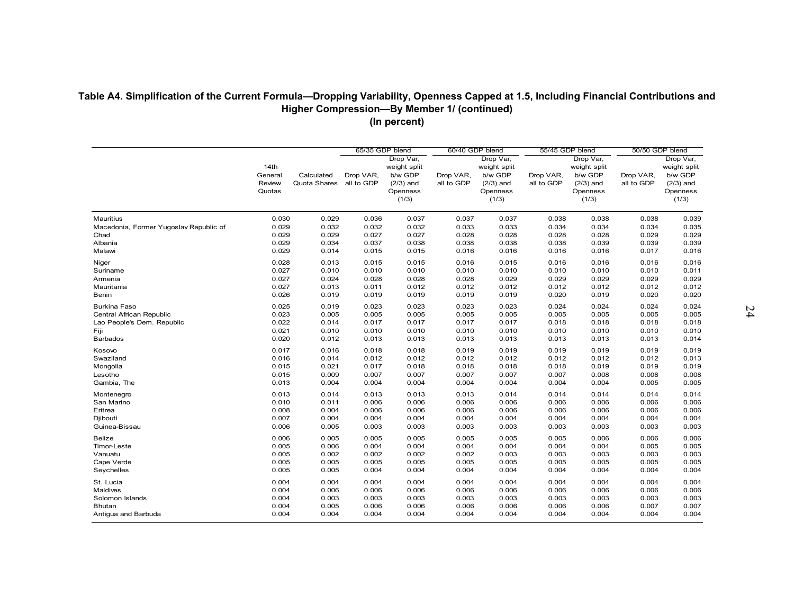| (in percent) |  |
|--------------|--|
|              |  |

|                                        |                                     |                            | 65/35 GDP blend         |                                                             | 60/40 GDP blend         |                                                             | 55/45 GDP blend         |                                                             | 50/50 GDP blend         |                                                             |
|----------------------------------------|-------------------------------------|----------------------------|-------------------------|-------------------------------------------------------------|-------------------------|-------------------------------------------------------------|-------------------------|-------------------------------------------------------------|-------------------------|-------------------------------------------------------------|
|                                        | 14th<br>General<br>Review<br>Quotas |                            | Drop Var,               |                                                             | Drop Var,               |                                                             | Drop Var,               |                                                             | Drop Var,               |                                                             |
|                                        |                                     | Calculated<br>Quota Shares | Drop VAR,<br>all to GDP | weight split<br>b/w GDP<br>$(2/3)$ and<br>Openness<br>(1/3) | Drop VAR,<br>all to GDP | weight split<br>b/w GDP<br>$(2/3)$ and<br>Openness<br>(1/3) | Drop VAR,<br>all to GDP | weight split<br>b/w GDP<br>$(2/3)$ and<br>Openness<br>(1/3) | Drop VAR,<br>all to GDP | weight split<br>b/w GDP<br>$(2/3)$ and<br>Openness<br>(1/3) |
| Mauritius                              | 0.030                               | 0.029                      | 0.036                   | 0.037                                                       | 0.037                   | 0.037                                                       | 0.038                   | 0.038                                                       | 0.038                   | 0.039                                                       |
| Macedonia, Former Yugoslav Republic of | 0.029                               | 0.032                      | 0.032                   | 0.032                                                       | 0.033                   | 0.033                                                       | 0.034                   | 0.034                                                       | 0.034                   | 0.035                                                       |
| Chad                                   | 0.029                               | 0.029                      | 0.027                   | 0.027                                                       | 0.028                   | 0.028                                                       | 0.028                   | 0.028                                                       | 0.029                   | 0.029                                                       |
| Albania                                | 0.029                               | 0.034                      | 0.037                   | 0.038                                                       | 0.038                   | 0.038                                                       | 0.038                   | 0.039                                                       | 0.039                   | 0.039                                                       |
| Malawi                                 | 0.029                               | 0.014                      | 0.015                   | 0.015                                                       | 0.016                   | 0.016                                                       | 0.016                   | 0.016                                                       | 0.017                   | 0.016                                                       |
| Niger                                  | 0.028                               | 0.013                      | 0.015                   | 0.015                                                       | 0.016                   | 0.015                                                       | 0.016                   | 0.016                                                       | 0.016                   | 0.016                                                       |
| Suriname                               | 0.027                               | 0.010                      | 0.010                   | 0.010                                                       | 0.010                   | 0.010                                                       | 0.010                   | 0.010                                                       | 0.010                   | 0.011                                                       |
| Armenia                                | 0.027                               | 0.024                      | 0.028                   | 0.028                                                       | 0.028                   | 0.029                                                       | 0.029                   | 0.029                                                       | 0.029                   | 0.029                                                       |
| Mauritania                             | 0.027                               | 0.013                      | 0.011                   | 0.012                                                       | 0.012                   | 0.012                                                       | 0.012                   | 0.012                                                       | 0.012                   | 0.012                                                       |
| Benin                                  | 0.026                               | 0.019                      | 0.019                   | 0.019                                                       | 0.019                   | 0.019                                                       | 0.020                   | 0.019                                                       | 0.020                   | 0.020                                                       |
| <b>Burkina Faso</b>                    | 0.025                               | 0.019                      | 0.023                   | 0.023                                                       | 0.023                   | 0.023                                                       | 0.024                   | 0.024                                                       | 0.024                   | 0.024                                                       |
| Central African Republic               | 0.023                               | 0.005                      | 0.005                   | 0.005                                                       | 0.005                   | 0.005                                                       | 0.005                   | 0.005                                                       | 0.005                   | 0.005                                                       |
| Lao People's Dem. Republic             | 0.022                               | 0.014                      | 0.017                   | 0.017                                                       | 0.017                   | 0.017                                                       | 0.018                   | 0.018                                                       | 0.018                   | 0.018                                                       |
| Fiji                                   | 0.021                               | 0.010                      | 0.010                   | 0.010                                                       | 0.010                   | 0.010                                                       | 0.010                   | 0.010                                                       | 0.010                   | 0.010                                                       |
| <b>Barbados</b>                        | 0.020                               | 0.012                      | 0.013                   | 0.013                                                       | 0.013                   | 0.013                                                       | 0.013                   | 0.013                                                       | 0.013                   | 0.014                                                       |
| Kosovo                                 | 0.017                               | 0.016                      | 0.018                   | 0.018                                                       | 0.019                   | 0.019                                                       | 0.019                   | 0.019                                                       | 0.019                   | 0.019                                                       |
| Swaziland                              | 0.016                               | 0.014                      | 0.012                   | 0.012                                                       | 0.012                   | 0.012                                                       | 0.012                   | 0.012                                                       | 0.012                   | 0.013                                                       |
| Mongolia                               | 0.015                               | 0.021                      | 0.017                   | 0.018                                                       | 0.018                   | 0.018                                                       | 0.018                   | 0.019                                                       | 0.019                   | 0.019                                                       |
| Lesotho                                | 0.015                               | 0.009                      | 0.007                   | 0.007                                                       | 0.007                   | 0.007                                                       | 0.007                   | 0.008                                                       | 0.008                   | 0.008                                                       |
| Gambia, The                            | 0.013                               | 0.004                      | 0.004                   | 0.004                                                       | 0.004                   | 0.004                                                       | 0.004                   | 0.004                                                       | 0.005                   | 0.005                                                       |
| Montenegro                             | 0.013                               | 0.014                      | 0.013                   | 0.013                                                       | 0.013                   | 0.014                                                       | 0.014                   | 0.014                                                       | 0.014                   | 0.014                                                       |
| San Marino                             | 0.010                               | 0.011                      | 0.006                   | 0.006                                                       | 0.006                   | 0.006                                                       | 0.006                   | 0.006                                                       | 0.006                   | 0.006                                                       |
| Eritrea                                | 0.008                               | 0.004                      | 0.006                   | 0.006                                                       | 0.006                   | 0.006                                                       | 0.006                   | 0.006                                                       | 0.006                   | 0.006                                                       |
| Djibouti                               | 0.007                               | 0.004                      | 0.004                   | 0.004                                                       | 0.004                   | 0.004                                                       | 0.004                   | 0.004                                                       | 0.004                   | 0.004                                                       |
| Guinea-Bissau                          | 0.006                               | 0.005                      | 0.003                   | 0.003                                                       | 0.003                   | 0.003                                                       | 0.003                   | 0.003                                                       | 0.003                   | 0.003                                                       |
| <b>Belize</b>                          | 0.006                               | 0.005                      | 0.005                   | 0.005                                                       | 0.005                   | 0.005                                                       | 0.005                   | 0.006                                                       | 0.006                   | 0.006                                                       |
| Timor-Leste                            | 0.005                               | 0.006                      | 0.004                   | 0.004                                                       | 0.004                   | 0.004                                                       | 0.004                   | 0.004                                                       | 0.005                   | 0.005                                                       |
| Vanuatu                                | 0.005                               | 0.002                      | 0.002                   | 0.002                                                       | 0.002                   | 0.003                                                       | 0.003                   | 0.003                                                       | 0.003                   | 0.003                                                       |
| Cape Verde                             | 0.005                               | 0.005                      | 0.005                   | 0.005                                                       | 0.005                   | 0.005                                                       | 0.005                   | 0.005                                                       | 0.005                   | 0.005                                                       |
| Seychelles                             | 0.005                               | 0.005                      | 0.004                   | 0.004                                                       | 0.004                   | 0.004                                                       | 0.004                   | 0.004                                                       | 0.004                   | 0.004                                                       |
| St. Lucia                              | 0.004                               | 0.004                      | 0.004                   | 0.004                                                       | 0.004                   | 0.004                                                       | 0.004                   | 0.004                                                       | 0.004                   | 0.004                                                       |
| Maldives                               | 0.004                               | 0.006                      | 0.006                   | 0.006                                                       | 0.006                   | 0.006                                                       | 0.006                   | 0.006                                                       | 0.006                   | 0.006                                                       |
| Solomon Islands                        | 0.004                               | 0.003                      | 0.003                   | 0.003                                                       | 0.003                   | 0.003                                                       | 0.003                   | 0.003                                                       | 0.003                   | 0.003                                                       |
| Bhutan                                 | 0.004                               | 0.005                      | 0.006                   | 0.006                                                       | 0.006                   | 0.006                                                       | 0.006                   | 0.006                                                       | 0.007                   | 0.007                                                       |
| Antigua and Barbuda                    | 0.004                               | 0.004                      | 0.004                   | 0.004                                                       | 0.004                   | 0.004                                                       | 0.004                   | 0.004                                                       | 0.004                   | 0.004                                                       |